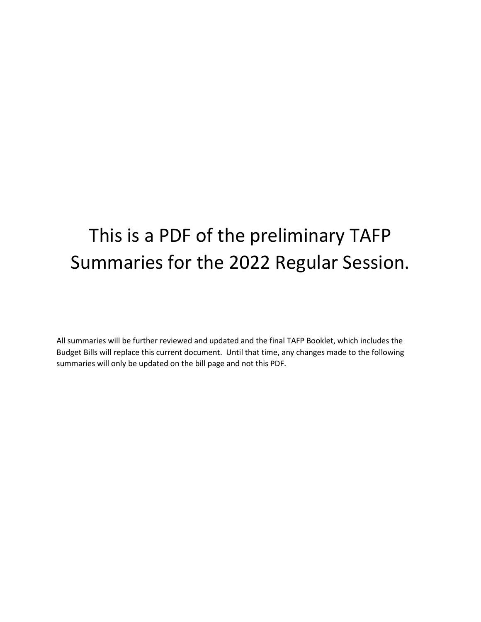## This is a PDF of the preliminary TAFP Summaries for the 2022 Regular Session.

All summaries will be further reviewed and updated and the final TAFP Booklet, which includes the Budget Bills will replace this current document. Until that time, any changes made to the following summaries will only be updated on the bill page and not this PDF.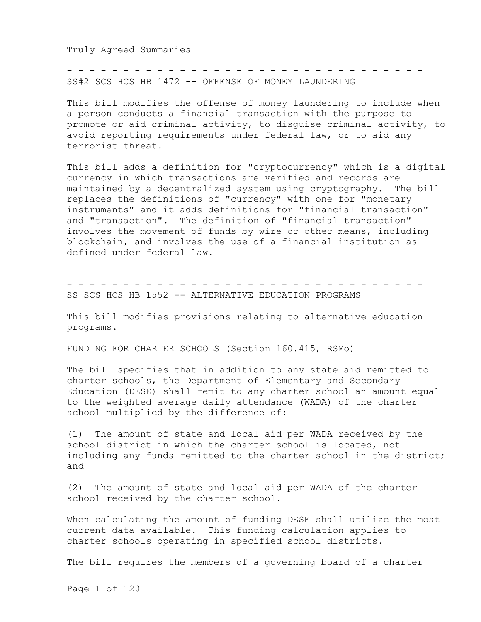Truly Agreed Summaries

SS#2 SCS HCS HB 1472 -- OFFENSE OF MONEY LAUNDERING

This bill modifies the offense of money laundering to include when a person conducts a financial transaction with the purpose to promote or aid criminal activity, to disguise criminal activity, to avoid reporting requirements under federal law, or to aid any terrorist threat.

- - - - - - - - - - - - - - - - - - - - - - - - - - - - - - - -

This bill adds a definition for "cryptocurrency" which is a digital currency in which transactions are verified and records are maintained by a decentralized system using cryptography. The bill replaces the definitions of "currency" with one for "monetary instruments" and it adds definitions for "financial transaction" and "transaction". The definition of "financial transaction" involves the movement of funds by wire or other means, including blockchain, and involves the use of a financial institution as defined under federal law.

- - - - - - - - - - - - - - - - - - - - - - - - - - - - - - - -

SS SCS HCS HB 1552 -- ALTERNATIVE EDUCATION PROGRAMS

This bill modifies provisions relating to alternative education programs.

FUNDING FOR CHARTER SCHOOLS (Section 160.415, RSMo)

The bill specifies that in addition to any state aid remitted to charter schools, the Department of Elementary and Secondary Education (DESE) shall remit to any charter school an amount equal to the weighted average daily attendance (WADA) of the charter school multiplied by the difference of:

(1) The amount of state and local aid per WADA received by the school district in which the charter school is located, not including any funds remitted to the charter school in the district; and

(2) The amount of state and local aid per WADA of the charter school received by the charter school.

When calculating the amount of funding DESE shall utilize the most current data available. This funding calculation applies to charter schools operating in specified school districts.

The bill requires the members of a governing board of a charter

Page 1 of 120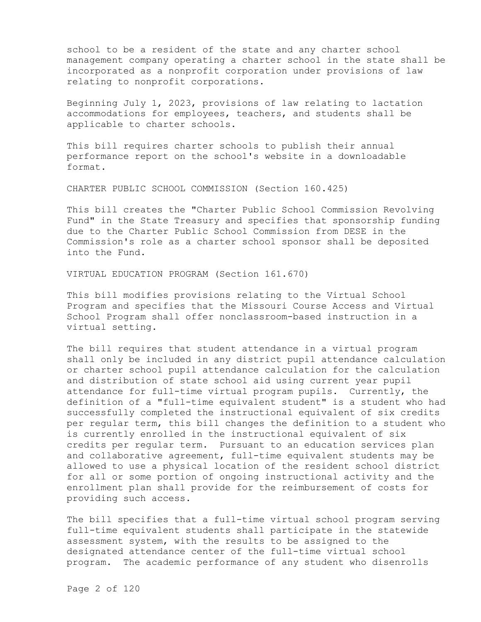school to be a resident of the state and any charter school management company operating a charter school in the state shall be incorporated as a nonprofit corporation under provisions of law relating to nonprofit corporations.

Beginning July 1, 2023, provisions of law relating to lactation accommodations for employees, teachers, and students shall be applicable to charter schools.

This bill requires charter schools to publish their annual performance report on the school's website in a downloadable format.

CHARTER PUBLIC SCHOOL COMMISSION (Section 160.425)

This bill creates the "Charter Public School Commission Revolving Fund" in the State Treasury and specifies that sponsorship funding due to the Charter Public School Commission from DESE in the Commission's role as a charter school sponsor shall be deposited into the Fund.

VIRTUAL EDUCATION PROGRAM (Section 161.670)

This bill modifies provisions relating to the Virtual School Program and specifies that the Missouri Course Access and Virtual School Program shall offer nonclassroom-based instruction in a virtual setting.

The bill requires that student attendance in a virtual program shall only be included in any district pupil attendance calculation or charter school pupil attendance calculation for the calculation and distribution of state school aid using current year pupil attendance for full-time virtual program pupils. Currently, the definition of a "full-time equivalent student" is a student who had successfully completed the instructional equivalent of six credits per regular term, this bill changes the definition to a student who is currently enrolled in the instructional equivalent of six credits per regular term. Pursuant to an education services plan and collaborative agreement, full-time equivalent students may be allowed to use a physical location of the resident school district for all or some portion of ongoing instructional activity and the enrollment plan shall provide for the reimbursement of costs for providing such access.

The bill specifies that a full-time virtual school program serving full-time equivalent students shall participate in the statewide assessment system, with the results to be assigned to the designated attendance center of the full-time virtual school program. The academic performance of any student who disenrolls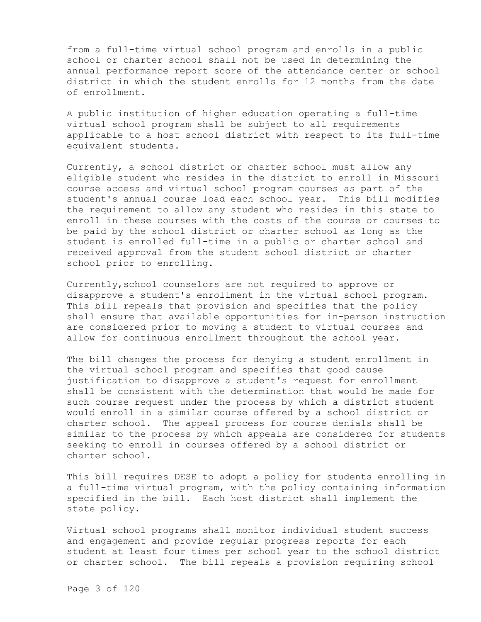from a full-time virtual school program and enrolls in a public school or charter school shall not be used in determining the annual performance report score of the attendance center or school district in which the student enrolls for 12 months from the date of enrollment.

A public institution of higher education operating a full-time virtual school program shall be subject to all requirements applicable to a host school district with respect to its full-time equivalent students.

Currently, a school district or charter school must allow any eligible student who resides in the district to enroll in Missouri course access and virtual school program courses as part of the student's annual course load each school year. This bill modifies the requirement to allow any student who resides in this state to enroll in these courses with the costs of the course or courses to be paid by the school district or charter school as long as the student is enrolled full-time in a public or charter school and received approval from the student school district or charter school prior to enrolling.

Currently,school counselors are not required to approve or disapprove a student's enrollment in the virtual school program. This bill repeals that provision and specifies that the policy shall ensure that available opportunities for in-person instruction are considered prior to moving a student to virtual courses and allow for continuous enrollment throughout the school year.

The bill changes the process for denying a student enrollment in the virtual school program and specifies that good cause justification to disapprove a student's request for enrollment shall be consistent with the determination that would be made for such course request under the process by which a district student would enroll in a similar course offered by a school district or charter school. The appeal process for course denials shall be similar to the process by which appeals are considered for students seeking to enroll in courses offered by a school district or charter school.

This bill requires DESE to adopt a policy for students enrolling in a full-time virtual program, with the policy containing information specified in the bill. Each host district shall implement the state policy.

Virtual school programs shall monitor individual student success and engagement and provide regular progress reports for each student at least four times per school year to the school district or charter school. The bill repeals a provision requiring school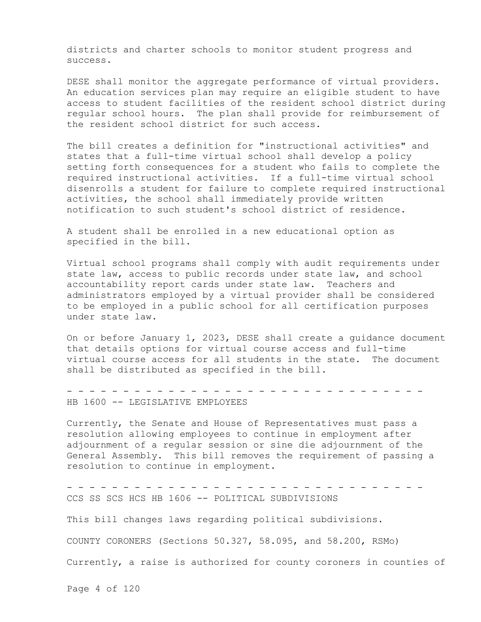districts and charter schools to monitor student progress and success.

DESE shall monitor the aggregate performance of virtual providers. An education services plan may require an eligible student to have access to student facilities of the resident school district during regular school hours. The plan shall provide for reimbursement of the resident school district for such access.

The bill creates a definition for "instructional activities" and states that a full-time virtual school shall develop a policy setting forth consequences for a student who fails to complete the required instructional activities. If a full-time virtual school disenrolls a student for failure to complete required instructional activities, the school shall immediately provide written notification to such student's school district of residence.

A student shall be enrolled in a new educational option as specified in the bill.

Virtual school programs shall comply with audit requirements under state law, access to public records under state law, and school accountability report cards under state law. Teachers and administrators employed by a virtual provider shall be considered to be employed in a public school for all certification purposes under state law.

On or before January 1, 2023, DESE shall create a guidance document that details options for virtual course access and full-time virtual course access for all students in the state. The document shall be distributed as specified in the bill.

- - - - - - - - - - - - - - - - - - - - - - - - - - - - - - - - HB 1600 -- LEGISLATIVE EMPLOYEES

Currently, the Senate and House of Representatives must pass a resolution allowing employees to continue in employment after adjournment of a regular session or sine die adjournment of the General Assembly. This bill removes the requirement of passing a resolution to continue in employment.

- - - - - - - - - - - - - - - - - - - - - - - - - - - - - - - - CCS SS SCS HCS HB 1606 -- POLITICAL SUBDIVISIONS

This bill changes laws regarding political subdivisions.

COUNTY CORONERS (Sections 50.327, 58.095, and 58.200, RSMo)

Currently, a raise is authorized for county coroners in counties of

Page 4 of 120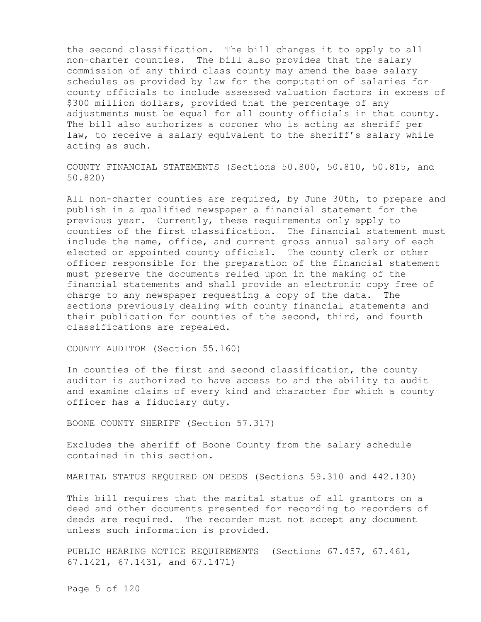the second classification. The bill changes it to apply to all non-charter counties. The bill also provides that the salary commission of any third class county may amend the base salary schedules as provided by law for the computation of salaries for county officials to include assessed valuation factors in excess of \$300 million dollars, provided that the percentage of any adjustments must be equal for all county officials in that county. The bill also authorizes a coroner who is acting as sheriff per law, to receive a salary equivalent to the sheriff's salary while acting as such.

COUNTY FINANCIAL STATEMENTS (Sections 50.800, 50.810, 50.815, and 50.820)

All non-charter counties are required, by June 30th, to prepare and publish in a qualified newspaper a financial statement for the previous year. Currently, these requirements only apply to counties of the first classification. The financial statement must include the name, office, and current gross annual salary of each elected or appointed county official. The county clerk or other officer responsible for the preparation of the financial statement must preserve the documents relied upon in the making of the financial statements and shall provide an electronic copy free of charge to any newspaper requesting a copy of the data. The sections previously dealing with county financial statements and their publication for counties of the second, third, and fourth classifications are repealed.

COUNTY AUDITOR (Section 55.160)

In counties of the first and second classification, the county auditor is authorized to have access to and the ability to audit and examine claims of every kind and character for which a county officer has a fiduciary duty.

BOONE COUNTY SHERIFF (Section 57.317)

Excludes the sheriff of Boone County from the salary schedule contained in this section.

MARITAL STATUS REQUIRED ON DEEDS (Sections 59.310 and 442.130)

This bill requires that the marital status of all grantors on a deed and other documents presented for recording to recorders of deeds are required. The recorder must not accept any document unless such information is provided.

PUBLIC HEARING NOTICE REQUIREMENTS (Sections 67.457, 67.461, 67.1421, 67.1431, and 67.1471)

Page 5 of 120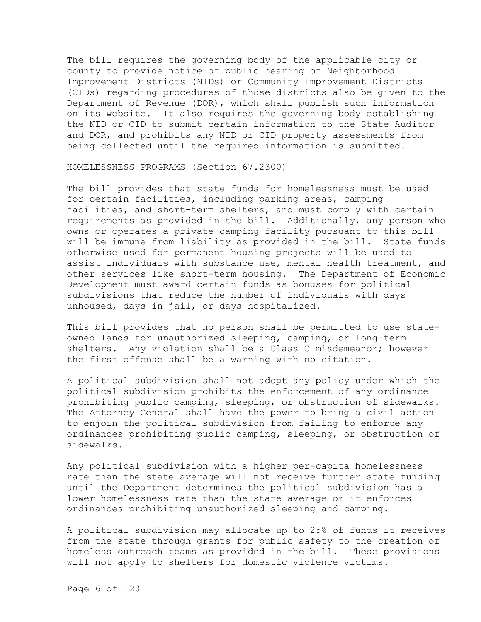The bill requires the governing body of the applicable city or county to provide notice of public hearing of Neighborhood Improvement Districts (NIDs) or Community Improvement Districts (CIDs) regarding procedures of those districts also be given to the Department of Revenue (DOR), which shall publish such information on its website. It also requires the governing body establishing the NID or CID to submit certain information to the State Auditor and DOR, and prohibits any NID or CID property assessments from being collected until the required information is submitted.

HOMELESSNESS PROGRAMS (Section 67.2300)

The bill provides that state funds for homelessness must be used for certain facilities, including parking areas, camping facilities, and short-term shelters, and must comply with certain requirements as provided in the bill. Additionally, any person who owns or operates a private camping facility pursuant to this bill will be immune from liability as provided in the bill. State funds otherwise used for permanent housing projects will be used to assist individuals with substance use, mental health treatment, and other services like short-term housing. The Department of Economic Development must award certain funds as bonuses for political subdivisions that reduce the number of individuals with days unhoused, days in jail, or days hospitalized.

This bill provides that no person shall be permitted to use stateowned lands for unauthorized sleeping, camping, or long-term shelters. Any violation shall be a Class C misdemeanor; however the first offense shall be a warning with no citation.

A political subdivision shall not adopt any policy under which the political subdivision prohibits the enforcement of any ordinance prohibiting public camping, sleeping, or obstruction of sidewalks. The Attorney General shall have the power to bring a civil action to enjoin the political subdivision from failing to enforce any ordinances prohibiting public camping, sleeping, or obstruction of sidewalks.

Any political subdivision with a higher per-capita homelessness rate than the state average will not receive further state funding until the Department determines the political subdivision has a lower homelessness rate than the state average or it enforces ordinances prohibiting unauthorized sleeping and camping.

A political subdivision may allocate up to 25% of funds it receives from the state through grants for public safety to the creation of homeless outreach teams as provided in the bill. These provisions will not apply to shelters for domestic violence victims.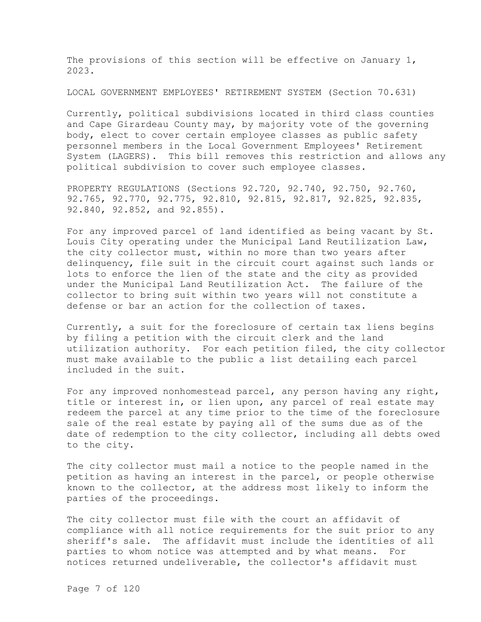The provisions of this section will be effective on January 1, 2023.

LOCAL GOVERNMENT EMPLOYEES' RETIREMENT SYSTEM (Section 70.631)

Currently, political subdivisions located in third class counties and Cape Girardeau County may, by majority vote of the governing body, elect to cover certain employee classes as public safety personnel members in the Local Government Employees' Retirement System (LAGERS). This bill removes this restriction and allows any political subdivision to cover such employee classes.

PROPERTY REGULATIONS (Sections 92.720, 92.740, 92.750, 92.760, 92.765, 92.770, 92.775, 92.810, 92.815, 92.817, 92.825, 92.835, 92.840, 92.852, and 92.855).

For any improved parcel of land identified as being vacant by St. Louis City operating under the Municipal Land Reutilization Law, the city collector must, within no more than two years after delinquency, file suit in the circuit court against such lands or lots to enforce the lien of the state and the city as provided under the Municipal Land Reutilization Act. The failure of the collector to bring suit within two years will not constitute a defense or bar an action for the collection of taxes.

Currently, a suit for the foreclosure of certain tax liens begins by filing a petition with the circuit clerk and the land utilization authority. For each petition filed, the city collector must make available to the public a list detailing each parcel included in the suit.

For any improved nonhomestead parcel, any person having any right, title or interest in, or lien upon, any parcel of real estate may redeem the parcel at any time prior to the time of the foreclosure sale of the real estate by paying all of the sums due as of the date of redemption to the city collector, including all debts owed to the city.

The city collector must mail a notice to the people named in the petition as having an interest in the parcel, or people otherwise known to the collector, at the address most likely to inform the parties of the proceedings.

The city collector must file with the court an affidavit of compliance with all notice requirements for the suit prior to any sheriff's sale. The affidavit must include the identities of all parties to whom notice was attempted and by what means. For notices returned undeliverable, the collector's affidavit must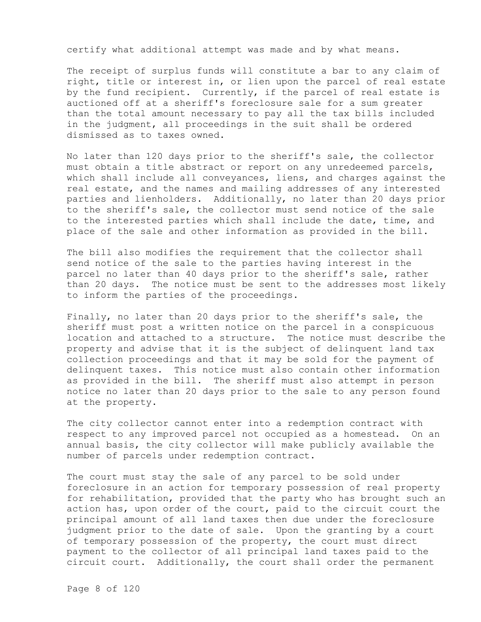certify what additional attempt was made and by what means.

The receipt of surplus funds will constitute a bar to any claim of right, title or interest in, or lien upon the parcel of real estate by the fund recipient. Currently, if the parcel of real estate is auctioned off at a sheriff's foreclosure sale for a sum greater than the total amount necessary to pay all the tax bills included in the judgment, all proceedings in the suit shall be ordered dismissed as to taxes owned.

No later than 120 days prior to the sheriff's sale, the collector must obtain a title abstract or report on any unredeemed parcels, which shall include all conveyances, liens, and charges against the real estate, and the names and mailing addresses of any interested parties and lienholders. Additionally, no later than 20 days prior to the sheriff's sale, the collector must send notice of the sale to the interested parties which shall include the date, time, and place of the sale and other information as provided in the bill.

The bill also modifies the requirement that the collector shall send notice of the sale to the parties having interest in the parcel no later than 40 days prior to the sheriff's sale, rather than 20 days. The notice must be sent to the addresses most likely to inform the parties of the proceedings.

Finally, no later than 20 days prior to the sheriff's sale, the sheriff must post a written notice on the parcel in a conspicuous location and attached to a structure. The notice must describe the property and advise that it is the subject of delinquent land tax collection proceedings and that it may be sold for the payment of delinquent taxes. This notice must also contain other information as provided in the bill. The sheriff must also attempt in person notice no later than 20 days prior to the sale to any person found at the property.

The city collector cannot enter into a redemption contract with respect to any improved parcel not occupied as a homestead. On an annual basis, the city collector will make publicly available the number of parcels under redemption contract.

The court must stay the sale of any parcel to be sold under foreclosure in an action for temporary possession of real property for rehabilitation, provided that the party who has brought such an action has, upon order of the court, paid to the circuit court the principal amount of all land taxes then due under the foreclosure judgment prior to the date of sale. Upon the granting by a court of temporary possession of the property, the court must direct payment to the collector of all principal land taxes paid to the circuit court. Additionally, the court shall order the permanent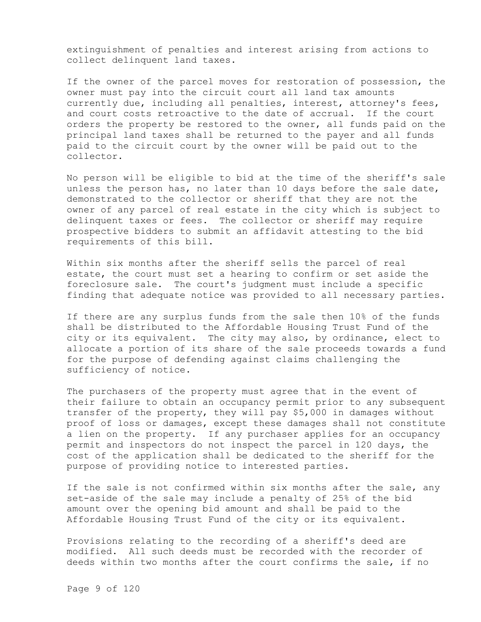extinguishment of penalties and interest arising from actions to collect delinquent land taxes.

If the owner of the parcel moves for restoration of possession, the owner must pay into the circuit court all land tax amounts currently due, including all penalties, interest, attorney's fees, and court costs retroactive to the date of accrual. If the court orders the property be restored to the owner, all funds paid on the principal land taxes shall be returned to the payer and all funds paid to the circuit court by the owner will be paid out to the collector.

No person will be eligible to bid at the time of the sheriff's sale unless the person has, no later than 10 days before the sale date, demonstrated to the collector or sheriff that they are not the owner of any parcel of real estate in the city which is subject to delinquent taxes or fees. The collector or sheriff may require prospective bidders to submit an affidavit attesting to the bid requirements of this bill.

Within six months after the sheriff sells the parcel of real estate, the court must set a hearing to confirm or set aside the foreclosure sale. The court's judgment must include a specific finding that adequate notice was provided to all necessary parties.

If there are any surplus funds from the sale then 10% of the funds shall be distributed to the Affordable Housing Trust Fund of the city or its equivalent. The city may also, by ordinance, elect to allocate a portion of its share of the sale proceeds towards a fund for the purpose of defending against claims challenging the sufficiency of notice.

The purchasers of the property must agree that in the event of their failure to obtain an occupancy permit prior to any subsequent transfer of the property, they will pay \$5,000 in damages without proof of loss or damages, except these damages shall not constitute a lien on the property. If any purchaser applies for an occupancy permit and inspectors do not inspect the parcel in 120 days, the cost of the application shall be dedicated to the sheriff for the purpose of providing notice to interested parties.

If the sale is not confirmed within six months after the sale, any set-aside of the sale may include a penalty of 25% of the bid amount over the opening bid amount and shall be paid to the Affordable Housing Trust Fund of the city or its equivalent.

Provisions relating to the recording of a sheriff's deed are modified. All such deeds must be recorded with the recorder of deeds within two months after the court confirms the sale, if no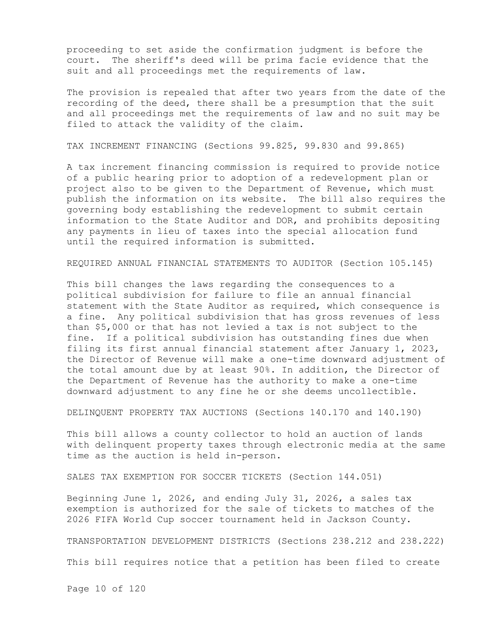proceeding to set aside the confirmation judgment is before the court. The sheriff's deed will be prima facie evidence that the suit and all proceedings met the requirements of law.

The provision is repealed that after two years from the date of the recording of the deed, there shall be a presumption that the suit and all proceedings met the requirements of law and no suit may be filed to attack the validity of the claim.

TAX INCREMENT FINANCING (Sections 99.825, 99.830 and 99.865)

A tax increment financing commission is required to provide notice of a public hearing prior to adoption of a redevelopment plan or project also to be given to the Department of Revenue, which must publish the information on its website. The bill also requires the governing body establishing the redevelopment to submit certain information to the State Auditor and DOR, and prohibits depositing any payments in lieu of taxes into the special allocation fund until the required information is submitted.

REQUIRED ANNUAL FINANCIAL STATEMENTS TO AUDITOR (Section 105.145)

This bill changes the laws regarding the consequences to a political subdivision for failure to file an annual financial statement with the State Auditor as required, which consequence is a fine. Any political subdivision that has gross revenues of less than \$5,000 or that has not levied a tax is not subject to the fine. If a political subdivision has outstanding fines due when filing its first annual financial statement after January 1, 2023, the Director of Revenue will make a one-time downward adjustment of the total amount due by at least 90%. In addition, the Director of the Department of Revenue has the authority to make a one-time downward adjustment to any fine he or she deems uncollectible.

DELINQUENT PROPERTY TAX AUCTIONS (Sections 140.170 and 140.190)

This bill allows a county collector to hold an auction of lands with delinquent property taxes through electronic media at the same time as the auction is held in-person.

SALES TAX EXEMPTION FOR SOCCER TICKETS (Section 144.051)

Beginning June 1, 2026, and ending July 31, 2026, a sales tax exemption is authorized for the sale of tickets to matches of the 2026 FIFA World Cup soccer tournament held in Jackson County.

TRANSPORTATION DEVELOPMENT DISTRICTS (Sections 238.212 and 238.222)

This bill requires notice that a petition has been filed to create

Page 10 of 120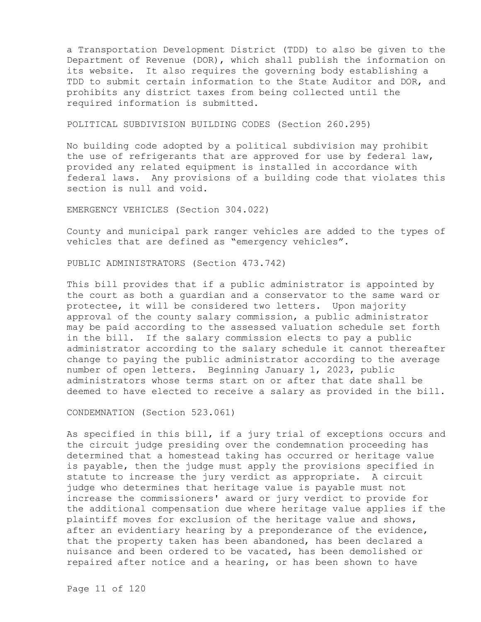a Transportation Development District (TDD) to also be given to the Department of Revenue (DOR), which shall publish the information on its website. It also requires the governing body establishing a TDD to submit certain information to the State Auditor and DOR, and prohibits any district taxes from being collected until the required information is submitted.

POLITICAL SUBDIVISION BUILDING CODES (Section 260.295)

No building code adopted by a political subdivision may prohibit the use of refrigerants that are approved for use by federal law, provided any related equipment is installed in accordance with federal laws. Any provisions of a building code that violates this section is null and void.

EMERGENCY VEHICLES (Section 304.022)

County and municipal park ranger vehicles are added to the types of vehicles that are defined as "emergency vehicles".

PUBLIC ADMINISTRATORS (Section 473.742)

This bill provides that if a public administrator is appointed by the court as both a guardian and a conservator to the same ward or protectee, it will be considered two letters. Upon majority approval of the county salary commission, a public administrator may be paid according to the assessed valuation schedule set forth in the bill. If the salary commission elects to pay a public administrator according to the salary schedule it cannot thereafter change to paying the public administrator according to the average number of open letters. Beginning January 1, 2023, public administrators whose terms start on or after that date shall be deemed to have elected to receive a salary as provided in the bill.

CONDEMNATION (Section 523.061)

As specified in this bill, if a jury trial of exceptions occurs and the circuit judge presiding over the condemnation proceeding has determined that a homestead taking has occurred or heritage value is payable, then the judge must apply the provisions specified in statute to increase the jury verdict as appropriate. A circuit judge who determines that heritage value is payable must not increase the commissioners' award or jury verdict to provide for the additional compensation due where heritage value applies if the plaintiff moves for exclusion of the heritage value and shows, after an evidentiary hearing by a preponderance of the evidence, that the property taken has been abandoned, has been declared a nuisance and been ordered to be vacated, has been demolished or repaired after notice and a hearing, or has been shown to have

Page 11 of 120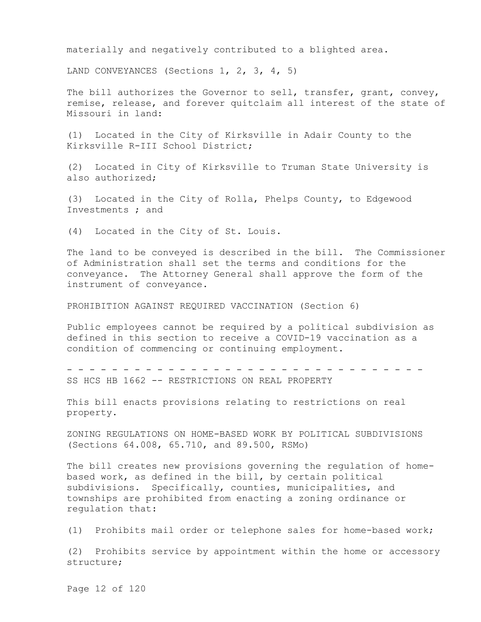materially and negatively contributed to a blighted area.

LAND CONVEYANCES (Sections 1, 2, 3, 4, 5)

The bill authorizes the Governor to sell, transfer, grant, convey, remise, release, and forever quitclaim all interest of the state of Missouri in land:

(1) Located in the City of Kirksville in Adair County to the Kirksville R-III School District;

(2) Located in City of Kirksville to Truman State University is also authorized;

(3) Located in the City of Rolla, Phelps County, to Edgewood Investments ; and

(4) Located in the City of St. Louis.

The land to be conveyed is described in the bill. The Commissioner of Administration shall set the terms and conditions for the conveyance. The Attorney General shall approve the form of the instrument of conveyance.

PROHIBITION AGAINST REQUIRED VACCINATION (Section 6)

Public employees cannot be required by a political subdivision as defined in this section to receive a COVID-19 vaccination as a condition of commencing or continuing employment.

- - - - - - - - - - - - - - - - - - - - - - - - - - - - - - - - SS HCS HB 1662 -- RESTRICTIONS ON REAL PROPERTY

This bill enacts provisions relating to restrictions on real property.

ZONING REGULATIONS ON HOME-BASED WORK BY POLITICAL SUBDIVISIONS (Sections 64.008, 65.710, and 89.500, RSMo)

The bill creates new provisions governing the regulation of homebased work, as defined in the bill, by certain political subdivisions. Specifically, counties, municipalities, and townships are prohibited from enacting a zoning ordinance or regulation that:

(1) Prohibits mail order or telephone sales for home-based work;

(2) Prohibits service by appointment within the home or accessory structure;

Page 12 of 120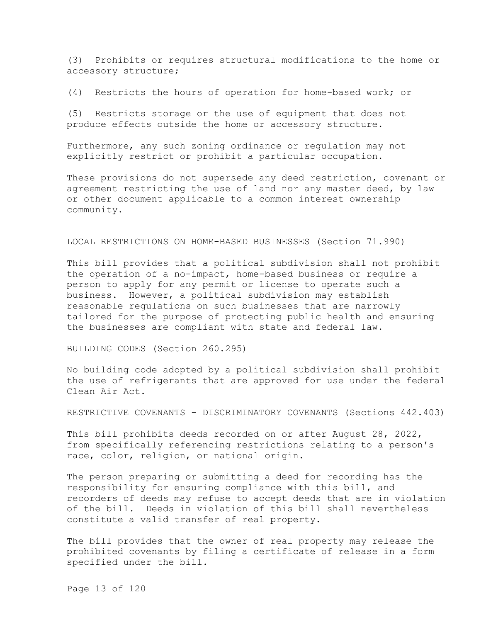(3) Prohibits or requires structural modifications to the home or accessory structure;

(4) Restricts the hours of operation for home-based work; or

(5) Restricts storage or the use of equipment that does not produce effects outside the home or accessory structure.

Furthermore, any such zoning ordinance or regulation may not explicitly restrict or prohibit a particular occupation.

These provisions do not supersede any deed restriction, covenant or agreement restricting the use of land nor any master deed, by law or other document applicable to a common interest ownership community.

## LOCAL RESTRICTIONS ON HOME-BASED BUSINESSES (Section 71.990)

This bill provides that a political subdivision shall not prohibit the operation of a no-impact, home-based business or require a person to apply for any permit or license to operate such a business. However, a political subdivision may establish reasonable regulations on such businesses that are narrowly tailored for the purpose of protecting public health and ensuring the businesses are compliant with state and federal law.

BUILDING CODES (Section 260.295)

No building code adopted by a political subdivision shall prohibit the use of refrigerants that are approved for use under the federal Clean Air Act.

RESTRICTIVE COVENANTS - DISCRIMINATORY COVENANTS (Sections 442.403)

This bill prohibits deeds recorded on or after August 28, 2022, from specifically referencing restrictions relating to a person's race, color, religion, or national origin.

The person preparing or submitting a deed for recording has the responsibility for ensuring compliance with this bill, and recorders of deeds may refuse to accept deeds that are in violation of the bill. Deeds in violation of this bill shall nevertheless constitute a valid transfer of real property.

The bill provides that the owner of real property may release the prohibited covenants by filing a certificate of release in a form specified under the bill.

Page 13 of 120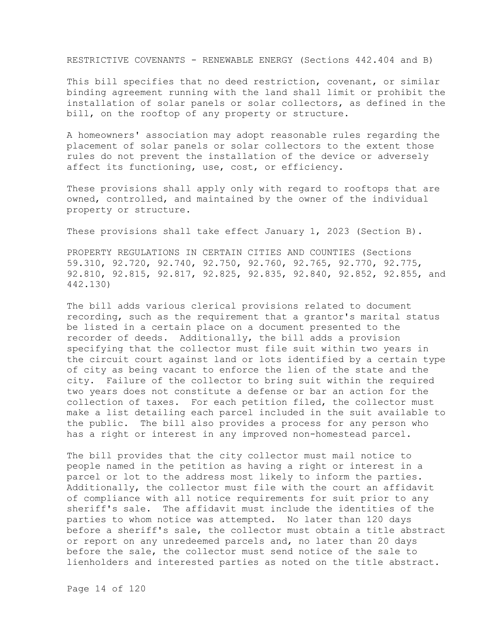RESTRICTIVE COVENANTS - RENEWABLE ENERGY (Sections 442.404 and B)

This bill specifies that no deed restriction, covenant, or similar binding agreement running with the land shall limit or prohibit the installation of solar panels or solar collectors, as defined in the bill, on the rooftop of any property or structure.

A homeowners' association may adopt reasonable rules regarding the placement of solar panels or solar collectors to the extent those rules do not prevent the installation of the device or adversely affect its functioning, use, cost, or efficiency.

These provisions shall apply only with regard to rooftops that are owned, controlled, and maintained by the owner of the individual property or structure.

These provisions shall take effect January 1, 2023 (Section B).

PROPERTY REGULATIONS IN CERTAIN CITIES AND COUNTIES (Sections 59.310, 92.720, 92.740, 92.750, 92.760, 92.765, 92.770, 92.775, 92.810, 92.815, 92.817, 92.825, 92.835, 92.840, 92.852, 92.855, and 442.130)

The bill adds various clerical provisions related to document recording, such as the requirement that a grantor's marital status be listed in a certain place on a document presented to the recorder of deeds. Additionally, the bill adds a provision specifying that the collector must file suit within two years in the circuit court against land or lots identified by a certain type of city as being vacant to enforce the lien of the state and the city. Failure of the collector to bring suit within the required two years does not constitute a defense or bar an action for the collection of taxes. For each petition filed, the collector must make a list detailing each parcel included in the suit available to the public. The bill also provides a process for any person who has a right or interest in any improved non-homestead parcel.

The bill provides that the city collector must mail notice to people named in the petition as having a right or interest in a parcel or lot to the address most likely to inform the parties. Additionally, the collector must file with the court an affidavit of compliance with all notice requirements for suit prior to any sheriff's sale. The affidavit must include the identities of the parties to whom notice was attempted. No later than 120 days before a sheriff's sale, the collector must obtain a title abstract or report on any unredeemed parcels and, no later than 20 days before the sale, the collector must send notice of the sale to lienholders and interested parties as noted on the title abstract.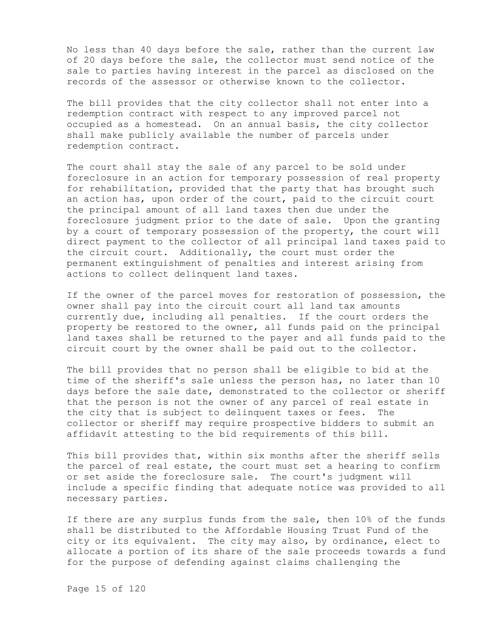No less than 40 days before the sale, rather than the current law of 20 days before the sale, the collector must send notice of the sale to parties having interest in the parcel as disclosed on the records of the assessor or otherwise known to the collector.

The bill provides that the city collector shall not enter into a redemption contract with respect to any improved parcel not occupied as a homestead. On an annual basis, the city collector shall make publicly available the number of parcels under redemption contract.

The court shall stay the sale of any parcel to be sold under foreclosure in an action for temporary possession of real property for rehabilitation, provided that the party that has brought such an action has, upon order of the court, paid to the circuit court the principal amount of all land taxes then due under the foreclosure judgment prior to the date of sale. Upon the granting by a court of temporary possession of the property, the court will direct payment to the collector of all principal land taxes paid to the circuit court. Additionally, the court must order the permanent extinguishment of penalties and interest arising from actions to collect delinquent land taxes.

If the owner of the parcel moves for restoration of possession, the owner shall pay into the circuit court all land tax amounts currently due, including all penalties. If the court orders the property be restored to the owner, all funds paid on the principal land taxes shall be returned to the payer and all funds paid to the circuit court by the owner shall be paid out to the collector.

The bill provides that no person shall be eligible to bid at the time of the sheriff's sale unless the person has, no later than 10 days before the sale date, demonstrated to the collector or sheriff that the person is not the owner of any parcel of real estate in the city that is subject to delinquent taxes or fees. The collector or sheriff may require prospective bidders to submit an affidavit attesting to the bid requirements of this bill.

This bill provides that, within six months after the sheriff sells the parcel of real estate, the court must set a hearing to confirm or set aside the foreclosure sale. The court's judgment will include a specific finding that adequate notice was provided to all necessary parties.

If there are any surplus funds from the sale, then 10% of the funds shall be distributed to the Affordable Housing Trust Fund of the city or its equivalent. The city may also, by ordinance, elect to allocate a portion of its share of the sale proceeds towards a fund for the purpose of defending against claims challenging the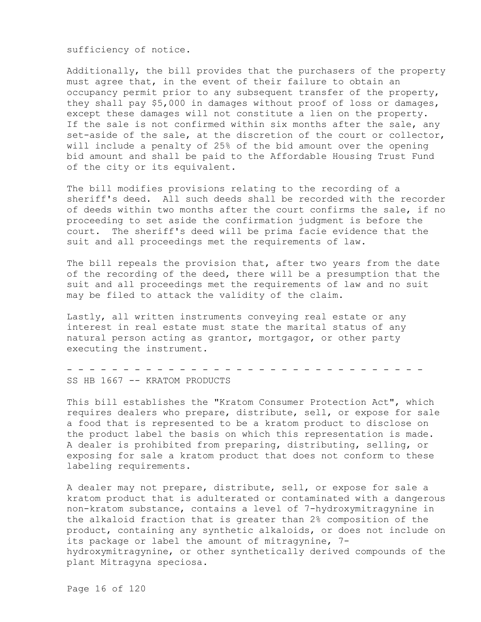sufficiency of notice.

Additionally, the bill provides that the purchasers of the property must agree that, in the event of their failure to obtain an occupancy permit prior to any subsequent transfer of the property, they shall pay \$5,000 in damages without proof of loss or damages, except these damages will not constitute a lien on the property. If the sale is not confirmed within six months after the sale, any set-aside of the sale, at the discretion of the court or collector, will include a penalty of 25% of the bid amount over the opening bid amount and shall be paid to the Affordable Housing Trust Fund of the city or its equivalent.

The bill modifies provisions relating to the recording of a sheriff's deed. All such deeds shall be recorded with the recorder of deeds within two months after the court confirms the sale, if no proceeding to set aside the confirmation judgment is before the court. The sheriff's deed will be prima facie evidence that the suit and all proceedings met the requirements of law.

The bill repeals the provision that, after two years from the date of the recording of the deed, there will be a presumption that the suit and all proceedings met the requirements of law and no suit may be filed to attack the validity of the claim.

Lastly, all written instruments conveying real estate or any interest in real estate must state the marital status of any natural person acting as grantor, mortgagor, or other party executing the instrument.

- - - - - - - - - - - - - - - - - - - - - - - - - - - - - - - - SS HB 1667 -- KRATOM PRODUCTS

This bill establishes the "Kratom Consumer Protection Act", which requires dealers who prepare, distribute, sell, or expose for sale a food that is represented to be a kratom product to disclose on the product label the basis on which this representation is made. A dealer is prohibited from preparing, distributing, selling, or exposing for sale a kratom product that does not conform to these labeling requirements.

A dealer may not prepare, distribute, sell, or expose for sale a kratom product that is adulterated or contaminated with a dangerous non-kratom substance, contains a level of 7-hydroxymitragynine in the alkaloid fraction that is greater than 2% composition of the product, containing any synthetic alkaloids, or does not include on its package or label the amount of mitragynine, 7 hydroxymitragynine, or other synthetically derived compounds of the plant Mitragyna speciosa.

Page 16 of 120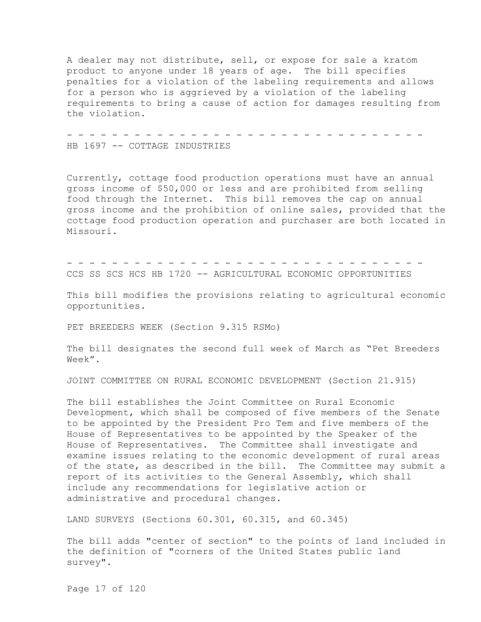A dealer may not distribute, sell, or expose for sale a kratom product to anyone under 18 years of age. The bill specifies penalties for a violation of the labeling requirements and allows for a person who is aggrieved by a violation of the labeling requirements to bring a cause of action for damages resulting from the violation.

- - - - - - - - - - - - - - - - - - - - - - - - - - - - - - - - HB 1697 -- COTTAGE INDUSTRIES

Currently, cottage food production operations must have an annual gross income of \$50,000 or less and are prohibited from selling food through the Internet. This bill removes the cap on annual gross income and the prohibition of online sales, provided that the cottage food production operation and purchaser are both located in Missouri.

- - - - - - - - - - - - - - - - - - - - - - - - - - - - - - - - CCS SS SCS HCS HB 1720 -- AGRICULTURAL ECONOMIC OPPORTUNITIES

This bill modifies the provisions relating to agricultural economic opportunities.

PET BREEDERS WEEK (Section 9.315 RSMo)

The bill designates the second full week of March as "Pet Breeders Week".

JOINT COMMITTEE ON RURAL ECONOMIC DEVELOPMENT (Section 21.915)

The bill establishes the Joint Committee on Rural Economic Development, which shall be composed of five members of the Senate to be appointed by the President Pro Tem and five members of the House of Representatives to be appointed by the Speaker of the House of Representatives. The Committee shall investigate and examine issues relating to the economic development of rural areas of the state, as described in the bill. The Committee may submit a report of its activities to the General Assembly, which shall include any recommendations for legislative action or administrative and procedural changes.

LAND SURVEYS (Sections 60.301, 60.315, and 60.345)

The bill adds "center of section" to the points of land included in the definition of "corners of the United States public land survey".

Page 17 of 120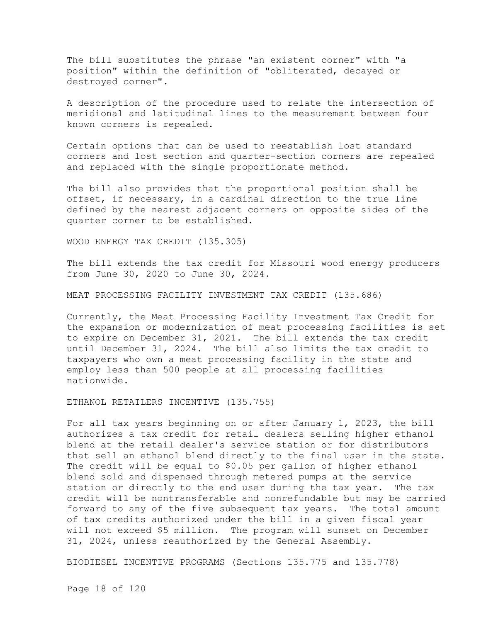The bill substitutes the phrase "an existent corner" with "a position" within the definition of "obliterated, decayed or destroyed corner".

A description of the procedure used to relate the intersection of meridional and latitudinal lines to the measurement between four known corners is repealed.

Certain options that can be used to reestablish lost standard corners and lost section and quarter-section corners are repealed and replaced with the single proportionate method.

The bill also provides that the proportional position shall be offset, if necessary, in a cardinal direction to the true line defined by the nearest adjacent corners on opposite sides of the quarter corner to be established.

WOOD ENERGY TAX CREDIT (135.305)

The bill extends the tax credit for Missouri wood energy producers from June 30, 2020 to June 30, 2024.

MEAT PROCESSING FACILITY INVESTMENT TAX CREDIT (135.686)

Currently, the Meat Processing Facility Investment Tax Credit for the expansion or modernization of meat processing facilities is set to expire on December 31, 2021. The bill extends the tax credit until December 31, 2024. The bill also limits the tax credit to taxpayers who own a meat processing facility in the state and employ less than 500 people at all processing facilities nationwide.

ETHANOL RETAILERS INCENTIVE (135.755)

For all tax years beginning on or after January 1, 2023, the bill authorizes a tax credit for retail dealers selling higher ethanol blend at the retail dealer's service station or for distributors that sell an ethanol blend directly to the final user in the state. The credit will be equal to \$0.05 per gallon of higher ethanol blend sold and dispensed through metered pumps at the service station or directly to the end user during the tax year. The tax credit will be nontransferable and nonrefundable but may be carried forward to any of the five subsequent tax years. The total amount of tax credits authorized under the bill in a given fiscal year will not exceed \$5 million. The program will sunset on December 31, 2024, unless reauthorized by the General Assembly.

BIODIESEL INCENTIVE PROGRAMS (Sections 135.775 and 135.778)

Page 18 of 120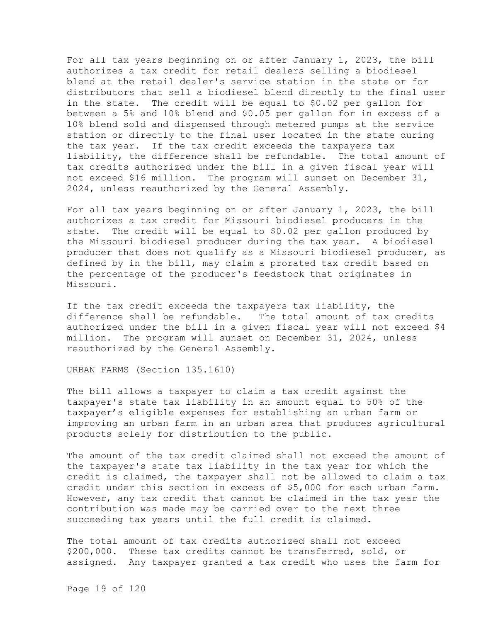For all tax years beginning on or after January 1, 2023, the bill authorizes a tax credit for retail dealers selling a biodiesel blend at the retail dealer's service station in the state or for distributors that sell a biodiesel blend directly to the final user in the state. The credit will be equal to \$0.02 per gallon for between a 5% and 10% blend and \$0.05 per gallon for in excess of a 10% blend sold and dispensed through metered pumps at the service station or directly to the final user located in the state during the tax year. If the tax credit exceeds the taxpayers tax liability, the difference shall be refundable. The total amount of tax credits authorized under the bill in a given fiscal year will not exceed \$16 million. The program will sunset on December 31, 2024, unless reauthorized by the General Assembly.

For all tax years beginning on or after January 1, 2023, the bill authorizes a tax credit for Missouri biodiesel producers in the state. The credit will be equal to \$0.02 per gallon produced by the Missouri biodiesel producer during the tax year. A biodiesel producer that does not qualify as a Missouri biodiesel producer, as defined by in the bill, may claim a prorated tax credit based on the percentage of the producer's feedstock that originates in Missouri.

If the tax credit exceeds the taxpayers tax liability, the difference shall be refundable. The total amount of tax credits authorized under the bill in a given fiscal year will not exceed \$4 million. The program will sunset on December 31, 2024, unless reauthorized by the General Assembly.

URBAN FARMS (Section 135.1610)

The bill allows a taxpayer to claim a tax credit against the taxpayer's state tax liability in an amount equal to 50% of the taxpayer's eligible expenses for establishing an urban farm or improving an urban farm in an urban area that produces agricultural products solely for distribution to the public.

The amount of the tax credit claimed shall not exceed the amount of the taxpayer's state tax liability in the tax year for which the credit is claimed, the taxpayer shall not be allowed to claim a tax credit under this section in excess of \$5,000 for each urban farm. However, any tax credit that cannot be claimed in the tax year the contribution was made may be carried over to the next three succeeding tax years until the full credit is claimed.

The total amount of tax credits authorized shall not exceed \$200,000. These tax credits cannot be transferred, sold, or assigned. Any taxpayer granted a tax credit who uses the farm for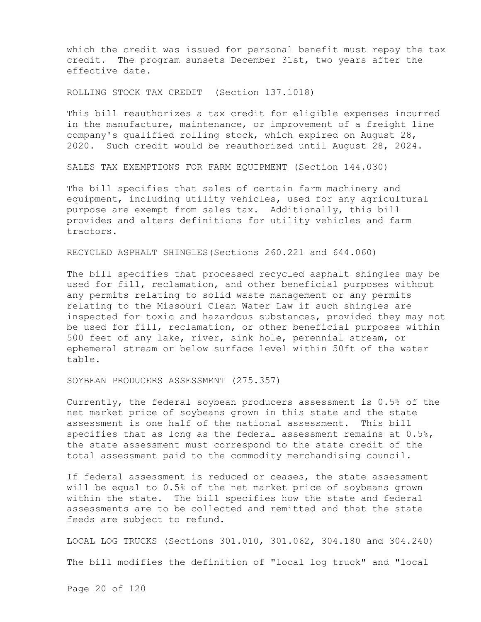which the credit was issued for personal benefit must repay the tax credit. The program sunsets December 31st, two years after the effective date.

ROLLING STOCK TAX CREDIT (Section 137.1018)

This bill reauthorizes a tax credit for eligible expenses incurred in the manufacture, maintenance, or improvement of a freight line company's qualified rolling stock, which expired on August 28, 2020. Such credit would be reauthorized until August 28, 2024.

SALES TAX EXEMPTIONS FOR FARM EQUIPMENT (Section 144.030)

The bill specifies that sales of certain farm machinery and equipment, including utility vehicles, used for any agricultural purpose are exempt from sales tax. Additionally, this bill provides and alters definitions for utility vehicles and farm tractors.

RECYCLED ASPHALT SHINGLES(Sections 260.221 and 644.060)

The bill specifies that processed recycled asphalt shingles may be used for fill, reclamation, and other beneficial purposes without any permits relating to solid waste management or any permits relating to the Missouri Clean Water Law if such shingles are inspected for toxic and hazardous substances, provided they may not be used for fill, reclamation, or other beneficial purposes within 500 feet of any lake, river, sink hole, perennial stream, or ephemeral stream or below surface level within 50ft of the water table.

SOYBEAN PRODUCERS ASSESSMENT (275.357)

Currently, the federal soybean producers assessment is 0.5% of the net market price of soybeans grown in this state and the state assessment is one half of the national assessment. This bill specifies that as long as the federal assessment remains at  $0.5\%$ , the state assessment must correspond to the state credit of the total assessment paid to the commodity merchandising council.

If federal assessment is reduced or ceases, the state assessment will be equal to 0.5% of the net market price of soybeans grown within the state. The bill specifies how the state and federal assessments are to be collected and remitted and that the state feeds are subject to refund.

LOCAL LOG TRUCKS (Sections 301.010, 301.062, 304.180 and 304.240) The bill modifies the definition of "local log truck" and "local

Page 20 of 120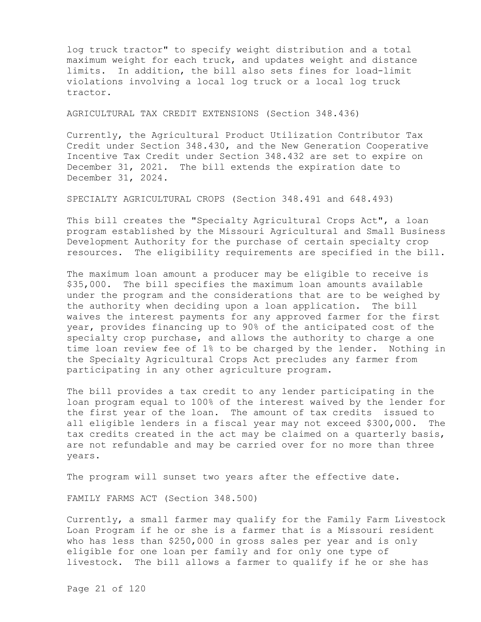log truck tractor" to specify weight distribution and a total maximum weight for each truck, and updates weight and distance limits. In addition, the bill also sets fines for load-limit violations involving a local log truck or a local log truck tractor.

AGRICULTURAL TAX CREDIT EXTENSIONS (Section 348.436)

Currently, the Agricultural Product Utilization Contributor Tax Credit under Section 348.430, and the New Generation Cooperative Incentive Tax Credit under Section 348.432 are set to expire on December 31, 2021. The bill extends the expiration date to December 31, 2024.

SPECIALTY AGRICULTURAL CROPS (Section 348.491 and 648.493)

This bill creates the "Specialty Agricultural Crops Act", a loan program established by the Missouri Agricultural and Small Business Development Authority for the purchase of certain specialty crop resources. The eligibility requirements are specified in the bill.

The maximum loan amount a producer may be eligible to receive is \$35,000. The bill specifies the maximum loan amounts available under the program and the considerations that are to be weighed by the authority when deciding upon a loan application. The bill waives the interest payments for any approved farmer for the first year, provides financing up to 90% of the anticipated cost of the specialty crop purchase, and allows the authority to charge a one time loan review fee of 1% to be charged by the lender. Nothing in the Specialty Agricultural Crops Act precludes any farmer from participating in any other agriculture program.

The bill provides a tax credit to any lender participating in the loan program equal to 100% of the interest waived by the lender for the first year of the loan. The amount of tax credits issued to all eligible lenders in a fiscal year may not exceed \$300,000. The tax credits created in the act may be claimed on a quarterly basis, are not refundable and may be carried over for no more than three years.

The program will sunset two years after the effective date.

FAMILY FARMS ACT (Section 348.500)

Currently, a small farmer may qualify for the Family Farm Livestock Loan Program if he or she is a farmer that is a Missouri resident who has less than \$250,000 in gross sales per year and is only eligible for one loan per family and for only one type of livestock. The bill allows a farmer to qualify if he or she has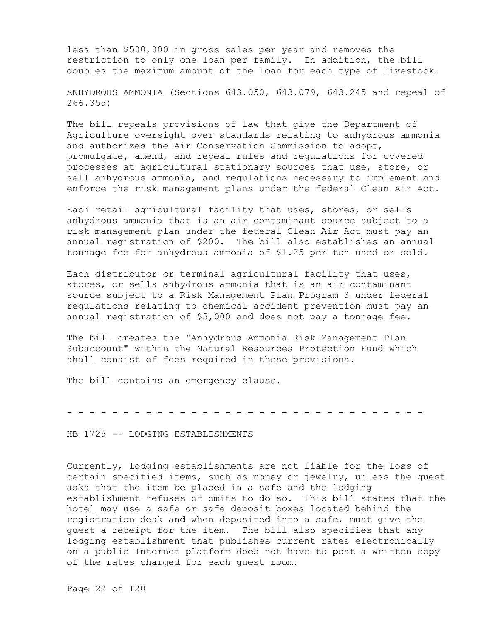less than \$500,000 in gross sales per year and removes the restriction to only one loan per family. In addition, the bill doubles the maximum amount of the loan for each type of livestock.

ANHYDROUS AMMONIA (Sections 643.050, 643.079, 643.245 and repeal of 266.355)

The bill repeals provisions of law that give the Department of Agriculture oversight over standards relating to anhydrous ammonia and authorizes the Air Conservation Commission to adopt, promulgate, amend, and repeal rules and regulations for covered processes at agricultural stationary sources that use, store, or sell anhydrous ammonia, and regulations necessary to implement and enforce the risk management plans under the federal Clean Air Act.

Each retail agricultural facility that uses, stores, or sells anhydrous ammonia that is an air contaminant source subject to a risk management plan under the federal Clean Air Act must pay an annual registration of \$200. The bill also establishes an annual tonnage fee for anhydrous ammonia of \$1.25 per ton used or sold.

Each distributor or terminal agricultural facility that uses, stores, or sells anhydrous ammonia that is an air contaminant source subject to a Risk Management Plan Program 3 under federal regulations relating to chemical accident prevention must pay an annual registration of \$5,000 and does not pay a tonnage fee.

The bill creates the "Anhydrous Ammonia Risk Management Plan Subaccount" within the Natural Resources Protection Fund which shall consist of fees required in these provisions.

The bill contains an emergency clause.

- - - - - - - - - - - - - - - - - - - - - - - - - - - - - - - -

HB 1725 -- LODGING ESTABLISHMENTS

Currently, lodging establishments are not liable for the loss of certain specified items, such as money or jewelry, unless the guest asks that the item be placed in a safe and the lodging establishment refuses or omits to do so. This bill states that the hotel may use a safe or safe deposit boxes located behind the registration desk and when deposited into a safe, must give the guest a receipt for the item. The bill also specifies that any lodging establishment that publishes current rates electronically on a public Internet platform does not have to post a written copy of the rates charged for each guest room.

Page 22 of 120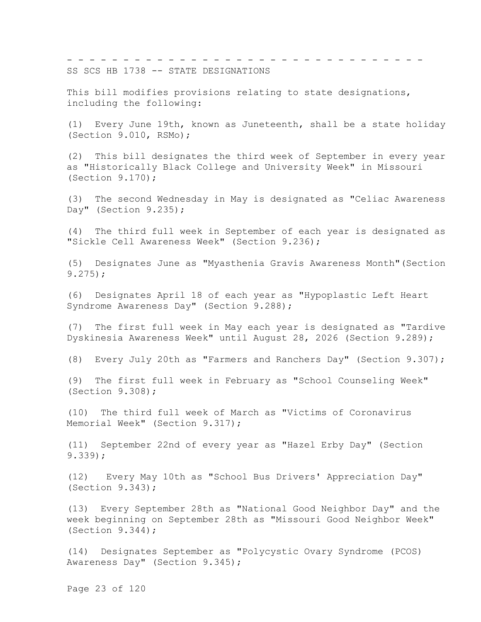- - - - - - - - - - - - - - - - - - - - - - - - - - - - - - - - SS SCS HB 1738 -- STATE DESIGNATIONS

This bill modifies provisions relating to state designations, including the following:

(1) Every June 19th, known as Juneteenth, shall be a state holiday (Section 9.010, RSMo);

(2) This bill designates the third week of September in every year as "Historically Black College and University Week" in Missouri (Section 9.170);

(3) The second Wednesday in May is designated as "Celiac Awareness Day" (Section 9.235);

(4) The third full week in September of each year is designated as "Sickle Cell Awareness Week" (Section 9.236);

(5) Designates June as "Myasthenia Gravis Awareness Month"(Section 9.275);

(6) Designates April 18 of each year as "Hypoplastic Left Heart Syndrome Awareness Day" (Section 9.288);

(7) The first full week in May each year is designated as "Tardive Dyskinesia Awareness Week" until August 28, 2026 (Section 9.289);

(8) Every July 20th as "Farmers and Ranchers Day" (Section 9.307);

(9) The first full week in February as "School Counseling Week" (Section 9.308);

(10) The third full week of March as "Victims of Coronavirus Memorial Week" (Section 9.317);

(11) September 22nd of every year as "Hazel Erby Day" (Section 9.339);

(12) Every May 10th as "School Bus Drivers' Appreciation Day" (Section 9.343);

(13) Every September 28th as "National Good Neighbor Day" and the week beginning on September 28th as "Missouri Good Neighbor Week" (Section 9.344);

(14) Designates September as "Polycystic Ovary Syndrome (PCOS) Awareness Day" (Section 9.345);

Page 23 of 120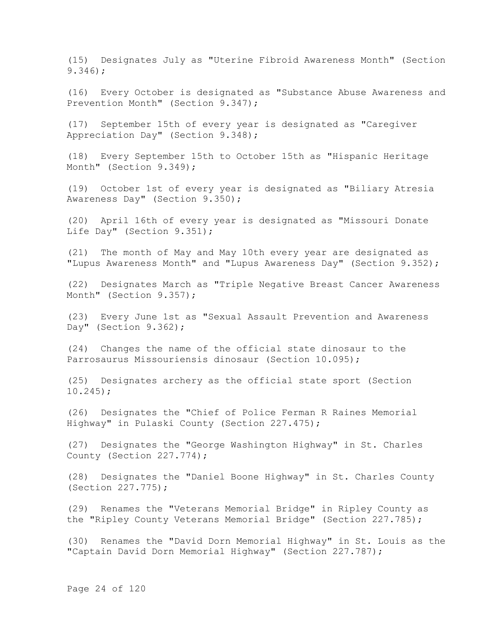(15) Designates July as "Uterine Fibroid Awareness Month" (Section 9.346);

(16) Every October is designated as "Substance Abuse Awareness and Prevention Month" (Section 9.347);

(17) September 15th of every year is designated as "Caregiver Appreciation Day" (Section 9.348);

(18) Every September 15th to October 15th as "Hispanic Heritage Month" (Section 9.349);

(19) October 1st of every year is designated as "Biliary Atresia Awareness Day" (Section 9.350);

(20) April 16th of every year is designated as "Missouri Donate Life Day" (Section 9.351);

(21) The month of May and May 10th every year are designated as "Lupus Awareness Month" and "Lupus Awareness Day" (Section 9.352);

(22) Designates March as "Triple Negative Breast Cancer Awareness Month" (Section 9.357);

(23) Every June 1st as "Sexual Assault Prevention and Awareness Day" (Section  $9.362$ );

(24) Changes the name of the official state dinosaur to the Parrosaurus Missouriensis dinosaur (Section 10.095);

(25) Designates archery as the official state sport (Section 10.245);

(26) Designates the "Chief of Police Ferman R Raines Memorial Highway" in Pulaski County (Section 227.475);

(27) Designates the "George Washington Highway" in St. Charles County (Section 227.774);

(28) Designates the "Daniel Boone Highway" in St. Charles County (Section 227.775);

(29) Renames the "Veterans Memorial Bridge" in Ripley County as the "Ripley County Veterans Memorial Bridge" (Section 227.785);

(30) Renames the "David Dorn Memorial Highway" in St. Louis as the "Captain David Dorn Memorial Highway" (Section 227.787);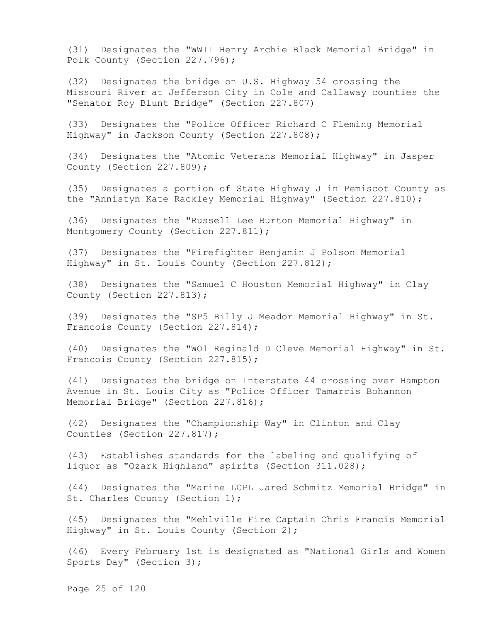(31) Designates the "WWII Henry Archie Black Memorial Bridge" in Polk County (Section 227.796);

(32) Designates the bridge on U.S. Highway 54 crossing the Missouri River at Jefferson City in Cole and Callaway counties the "Senator Roy Blunt Bridge" (Section 227.807)

(33) Designates the "Police Officer Richard C Fleming Memorial Highway" in Jackson County (Section 227.808);

(34) Designates the "Atomic Veterans Memorial Highway" in Jasper County (Section 227.809);

(35) Designates a portion of State Highway J in Pemiscot County as the "Annistyn Kate Rackley Memorial Highway" (Section 227.810);

(36) Designates the "Russell Lee Burton Memorial Highway" in Montgomery County (Section 227.811);

(37) Designates the "Firefighter Benjamin J Polson Memorial Highway" in St. Louis County (Section 227.812);

(38) Designates the "Samuel C Houston Memorial Highway" in Clay County (Section 227.813);

(39) Designates the "SP5 Billy J Meador Memorial Highway" in St. Francois County (Section 227.814);

(40) Designates the "WO1 Reginald D Cleve Memorial Highway" in St. Francois County (Section 227.815);

(41) Designates the bridge on Interstate 44 crossing over Hampton Avenue in St. Louis City as "Police Officer Tamarris Bohannon Memorial Bridge" (Section 227.816);

(42) Designates the "Championship Way" in Clinton and Clay Counties (Section 227.817);

(43) Establishes standards for the labeling and qualifying of liquor as "Ozark Highland" spirits (Section 311.028);

(44) Designates the "Marine LCPL Jared Schmitz Memorial Bridge" in St. Charles County (Section 1);

(45) Designates the "Mehlville Fire Captain Chris Francis Memorial Highway" in St. Louis County (Section 2);

(46) Every February 1st is designated as "National Girls and Women Sports Day" (Section 3);

Page 25 of 120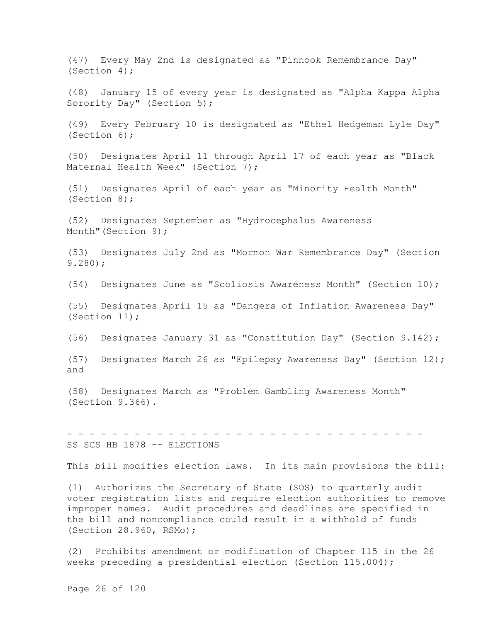(47) Every May 2nd is designated as "Pinhook Remembrance Day" (Section 4);

(48) January 15 of every year is designated as "Alpha Kappa Alpha Sorority Day" (Section 5);

(49) Every February 10 is designated as "Ethel Hedgeman Lyle Day" (Section 6);

(50) Designates April 11 through April 17 of each year as "Black Maternal Health Week" (Section 7);

(51) Designates April of each year as "Minority Health Month" (Section 8);

(52) Designates September as "Hydrocephalus Awareness Month" (Section 9);

(53) Designates July 2nd as "Mormon War Remembrance Day" (Section 9.280);

(54) Designates June as "Scoliosis Awareness Month" (Section 10);

(55) Designates April 15 as "Dangers of Inflation Awareness Day" (Section 11);

(56) Designates January 31 as "Constitution Day" (Section 9.142);

(57) Designates March 26 as "Epilepsy Awareness Day" (Section 12); and

(58) Designates March as "Problem Gambling Awareness Month" (Section 9.366).

SS SCS HB 1878 -- ELECTIONS

This bill modifies election laws. In its main provisions the bill:

- - - - - - - - - - - - - - - - - - - - - - - - - - - - - - - -

(1) Authorizes the Secretary of State (SOS) to quarterly audit voter registration lists and require election authorities to remove improper names. Audit procedures and deadlines are specified in the bill and noncompliance could result in a withhold of funds (Section 28.960, RSMo);

(2) Prohibits amendment or modification of Chapter 115 in the 26 weeks preceding a presidential election (Section 115.004);

Page 26 of 120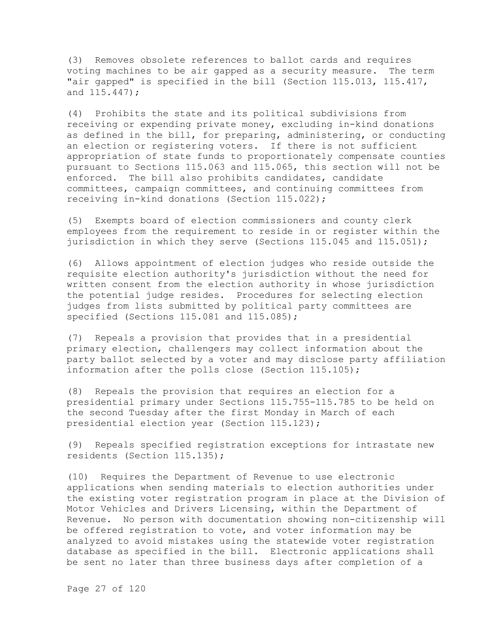(3) Removes obsolete references to ballot cards and requires voting machines to be air gapped as a security measure. The term "air gapped" is specified in the bill (Section 115.013, 115.417, and 115.447);

(4) Prohibits the state and its political subdivisions from receiving or expending private money, excluding in-kind donations as defined in the bill, for preparing, administering, or conducting an election or registering voters. If there is not sufficient appropriation of state funds to proportionately compensate counties pursuant to Sections 115.063 and 115.065, this section will not be enforced. The bill also prohibits candidates, candidate committees, campaign committees, and continuing committees from receiving in-kind donations (Section 115.022);

(5) Exempts board of election commissioners and county clerk employees from the requirement to reside in or register within the jurisdiction in which they serve (Sections 115.045 and 115.051);

(6) Allows appointment of election judges who reside outside the requisite election authority's jurisdiction without the need for written consent from the election authority in whose jurisdiction the potential judge resides. Procedures for selecting election judges from lists submitted by political party committees are specified (Sections 115.081 and 115.085);

(7) Repeals a provision that provides that in a presidential primary election, challengers may collect information about the party ballot selected by a voter and may disclose party affiliation information after the polls close (Section 115.105);

(8) Repeals the provision that requires an election for a presidential primary under Sections 115.755-115.785 to be held on the second Tuesday after the first Monday in March of each presidential election year (Section 115.123);

(9) Repeals specified registration exceptions for intrastate new residents (Section 115.135);

(10) Requires the Department of Revenue to use electronic applications when sending materials to election authorities under the existing voter registration program in place at the Division of Motor Vehicles and Drivers Licensing, within the Department of Revenue. No person with documentation showing non-citizenship will be offered registration to vote, and voter information may be analyzed to avoid mistakes using the statewide voter registration database as specified in the bill. Electronic applications shall be sent no later than three business days after completion of a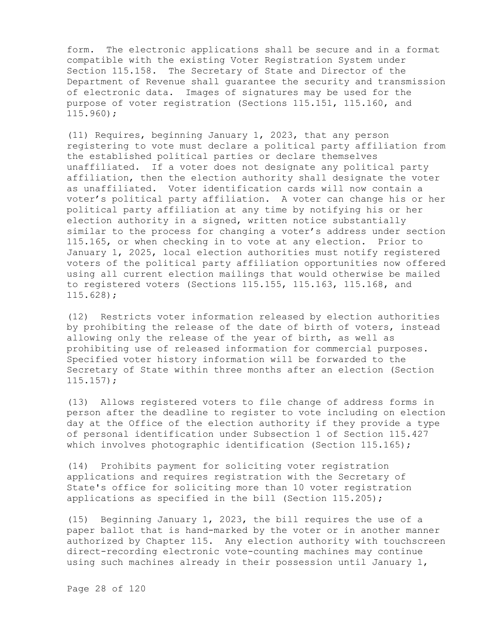form. The electronic applications shall be secure and in a format compatible with the existing Voter Registration System under Section 115.158. The Secretary of State and Director of the Department of Revenue shall guarantee the security and transmission of electronic data. Images of signatures may be used for the purpose of voter registration (Sections 115.151, 115.160, and 115.960);

(11) Requires, beginning January 1, 2023, that any person registering to vote must declare a political party affiliation from the established political parties or declare themselves unaffiliated. If a voter does not designate any political party affiliation, then the election authority shall designate the voter as unaffiliated. Voter identification cards will now contain a voter's political party affiliation. A voter can change his or her political party affiliation at any time by notifying his or her election authority in a signed, written notice substantially similar to the process for changing a voter's address under section 115.165, or when checking in to vote at any election. Prior to January 1, 2025, local election authorities must notify registered voters of the political party affiliation opportunities now offered using all current election mailings that would otherwise be mailed to registered voters (Sections 115.155, 115.163, 115.168, and 115.628);

(12) Restricts voter information released by election authorities by prohibiting the release of the date of birth of voters, instead allowing only the release of the year of birth, as well as prohibiting use of released information for commercial purposes. Specified voter history information will be forwarded to the Secretary of State within three months after an election (Section 115.157);

(13) Allows registered voters to file change of address forms in person after the deadline to register to vote including on election day at the Office of the election authority if they provide a type of personal identification under Subsection 1 of Section 115.427 which involves photographic identification (Section 115.165);

(14) Prohibits payment for soliciting voter registration applications and requires registration with the Secretary of State's office for soliciting more than 10 voter registration applications as specified in the bill (Section 115.205);

(15) Beginning January 1, 2023, the bill requires the use of a paper ballot that is hand-marked by the voter or in another manner authorized by Chapter 115. Any election authority with touchscreen direct-recording electronic vote-counting machines may continue using such machines already in their possession until January 1,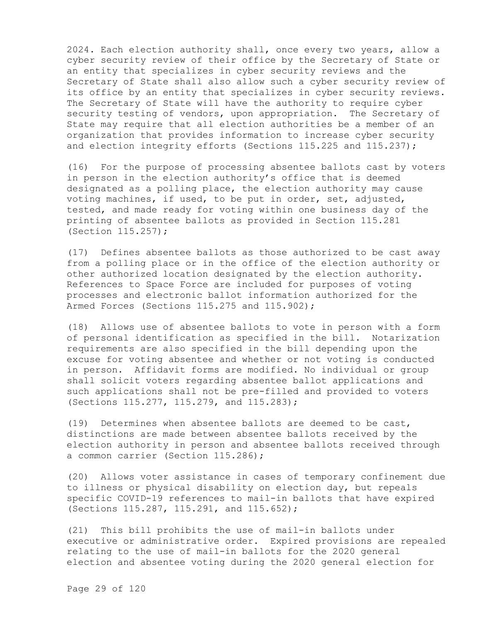2024. Each election authority shall, once every two years, allow a cyber security review of their office by the Secretary of State or an entity that specializes in cyber security reviews and the Secretary of State shall also allow such a cyber security review of its office by an entity that specializes in cyber security reviews. The Secretary of State will have the authority to require cyber security testing of vendors, upon appropriation. The Secretary of State may require that all election authorities be a member of an organization that provides information to increase cyber security and election integrity efforts (Sections 115.225 and 115.237);

(16) For the purpose of processing absentee ballots cast by voters in person in the election authority's office that is deemed designated as a polling place, the election authority may cause voting machines, if used, to be put in order, set, adjusted, tested, and made ready for voting within one business day of the printing of absentee ballots as provided in Section 115.281 (Section 115.257);

(17) Defines absentee ballots as those authorized to be cast away from a polling place or in the office of the election authority or other authorized location designated by the election authority. References to Space Force are included for purposes of voting processes and electronic ballot information authorized for the Armed Forces (Sections 115.275 and 115.902);

(18) Allows use of absentee ballots to vote in person with a form of personal identification as specified in the bill. Notarization requirements are also specified in the bill depending upon the excuse for voting absentee and whether or not voting is conducted in person. Affidavit forms are modified. No individual or group shall solicit voters regarding absentee ballot applications and such applications shall not be pre-filled and provided to voters (Sections 115.277, 115.279, and 115.283);

(19) Determines when absentee ballots are deemed to be cast, distinctions are made between absentee ballots received by the election authority in person and absentee ballots received through a common carrier (Section 115.286);

(20) Allows voter assistance in cases of temporary confinement due to illness or physical disability on election day, but repeals specific COVID-19 references to mail-in ballots that have expired (Sections 115.287, 115.291, and 115.652);

(21) This bill prohibits the use of mail-in ballots under executive or administrative order. Expired provisions are repealed relating to the use of mail-in ballots for the 2020 general election and absentee voting during the 2020 general election for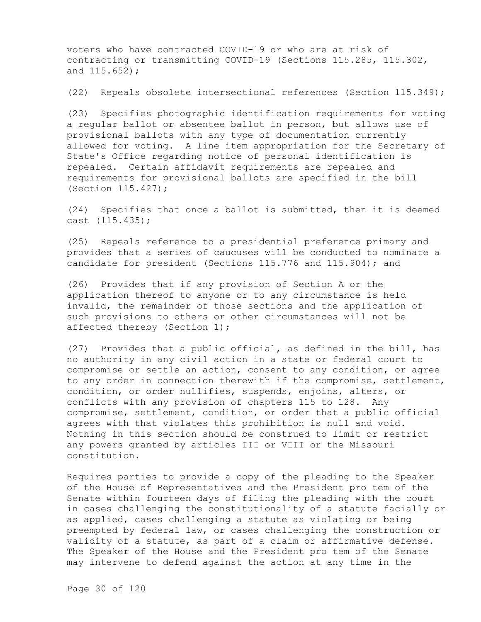voters who have contracted COVID-19 or who are at risk of contracting or transmitting COVID-19 (Sections 115.285, 115.302, and 115.652);

(22) Repeals obsolete intersectional references (Section 115.349);

(23) Specifies photographic identification requirements for voting a regular ballot or absentee ballot in person, but allows use of provisional ballots with any type of documentation currently allowed for voting. A line item appropriation for the Secretary of State's Office regarding notice of personal identification is repealed. Certain affidavit requirements are repealed and requirements for provisional ballots are specified in the bill (Section 115.427);

(24) Specifies that once a ballot is submitted, then it is deemed cast (115.435);

(25) Repeals reference to a presidential preference primary and provides that a series of caucuses will be conducted to nominate a candidate for president (Sections 115.776 and 115.904); and

(26) Provides that if any provision of Section A or the application thereof to anyone or to any circumstance is held invalid, the remainder of those sections and the application of such provisions to others or other circumstances will not be affected thereby (Section 1);

(27) Provides that a public official, as defined in the bill, has no authority in any civil action in a state or federal court to compromise or settle an action, consent to any condition, or agree to any order in connection therewith if the compromise, settlement, condition, or order nullifies, suspends, enjoins, alters, or conflicts with any provision of chapters 115 to 128. Any compromise, settlement, condition, or order that a public official agrees with that violates this prohibition is null and void. Nothing in this section should be construed to limit or restrict any powers granted by articles III or VIII or the Missouri constitution.

Requires parties to provide a copy of the pleading to the Speaker of the House of Representatives and the President pro tem of the Senate within fourteen days of filing the pleading with the court in cases challenging the constitutionality of a statute facially or as applied, cases challenging a statute as violating or being preempted by federal law, or cases challenging the construction or validity of a statute, as part of a claim or affirmative defense. The Speaker of the House and the President pro tem of the Senate may intervene to defend against the action at any time in the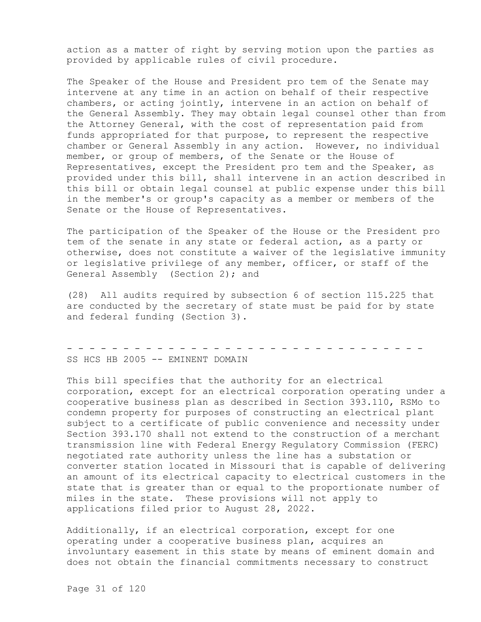action as a matter of right by serving motion upon the parties as provided by applicable rules of civil procedure.

The Speaker of the House and President pro tem of the Senate may intervene at any time in an action on behalf of their respective chambers, or acting jointly, intervene in an action on behalf of the General Assembly. They may obtain legal counsel other than from the Attorney General, with the cost of representation paid from funds appropriated for that purpose, to represent the respective chamber or General Assembly in any action. However, no individual member, or group of members, of the Senate or the House of Representatives, except the President pro tem and the Speaker, as provided under this bill, shall intervene in an action described in this bill or obtain legal counsel at public expense under this bill in the member's or group's capacity as a member or members of the Senate or the House of Representatives.

The participation of the Speaker of the House or the President pro tem of the senate in any state or federal action, as a party or otherwise, does not constitute a waiver of the legislative immunity or legislative privilege of any member, officer, or staff of the General Assembly (Section 2); and

(28) All audits required by subsection 6 of section 115.225 that are conducted by the secretary of state must be paid for by state and federal funding (Section 3).

- - - - - - - - - - - - - - - - - - - - - - - - - - - - - - - - SS HCS HB 2005 -- EMINENT DOMAIN

This bill specifies that the authority for an electrical corporation, except for an electrical corporation operating under a cooperative business plan as described in Section 393.110, RSMo to condemn property for purposes of constructing an electrical plant subject to a certificate of public convenience and necessity under Section 393.170 shall not extend to the construction of a merchant transmission line with Federal Energy Regulatory Commission (FERC) negotiated rate authority unless the line has a substation or converter station located in Missouri that is capable of delivering an amount of its electrical capacity to electrical customers in the state that is greater than or equal to the proportionate number of miles in the state. These provisions will not apply to applications filed prior to August 28, 2022.

Additionally, if an electrical corporation, except for one operating under a cooperative business plan, acquires an involuntary easement in this state by means of eminent domain and does not obtain the financial commitments necessary to construct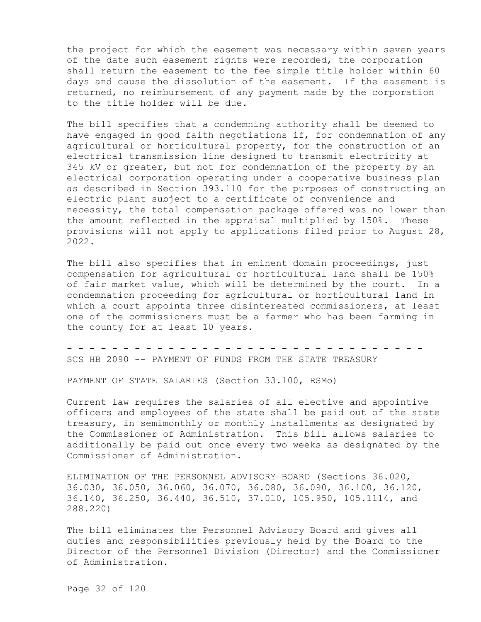the project for which the easement was necessary within seven years of the date such easement rights were recorded, the corporation shall return the easement to the fee simple title holder within 60 days and cause the dissolution of the easement. If the easement is returned, no reimbursement of any payment made by the corporation to the title holder will be due.

The bill specifies that a condemning authority shall be deemed to have engaged in good faith negotiations if, for condemnation of any agricultural or horticultural property, for the construction of an electrical transmission line designed to transmit electricity at 345 kV or greater, but not for condemnation of the property by an electrical corporation operating under a cooperative business plan as described in Section 393.110 for the purposes of constructing an electric plant subject to a certificate of convenience and necessity, the total compensation package offered was no lower than the amount reflected in the appraisal multiplied by 150%. These provisions will not apply to applications filed prior to August 28, 2022.

The bill also specifies that in eminent domain proceedings, just compensation for agricultural or horticultural land shall be 150% of fair market value, which will be determined by the court. In a condemnation proceeding for agricultural or horticultural land in which a court appoints three disinterested commissioners, at least one of the commissioners must be a farmer who has been farming in the county for at least 10 years.

- - - - - - - - - - - - - - - - - - - - - - - - - - - - - - - - SCS HB 2090 -- PAYMENT OF FUNDS FROM THE STATE TREASURY

PAYMENT OF STATE SALARIES (Section 33.100, RSMo)

Current law requires the salaries of all elective and appointive officers and employees of the state shall be paid out of the state treasury, in semimonthly or monthly installments as designated by the Commissioner of Administration. This bill allows salaries to additionally be paid out once every two weeks as designated by the Commissioner of Administration.

ELIMINATION OF THE PERSONNEL ADVISORY BOARD (Sections 36.020, 36.030, 36.050, 36.060, 36.070, 36.080, 36.090, 36.100, 36.120, 36.140, 36.250, 36.440, 36.510, 37.010, 105.950, 105.1114, and 288.220)

The bill eliminates the Personnel Advisory Board and gives all duties and responsibilities previously held by the Board to the Director of the Personnel Division (Director) and the Commissioner of Administration.

Page 32 of 120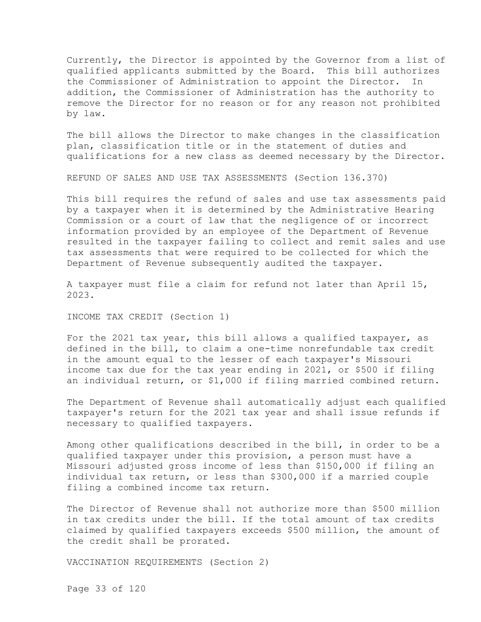Currently, the Director is appointed by the Governor from a list of qualified applicants submitted by the Board. This bill authorizes the Commissioner of Administration to appoint the Director. In addition, the Commissioner of Administration has the authority to remove the Director for no reason or for any reason not prohibited by law.

The bill allows the Director to make changes in the classification plan, classification title or in the statement of duties and qualifications for a new class as deemed necessary by the Director.

REFUND OF SALES AND USE TAX ASSESSMENTS (Section 136.370)

This bill requires the refund of sales and use tax assessments paid by a taxpayer when it is determined by the Administrative Hearing Commission or a court of law that the negligence of or incorrect information provided by an employee of the Department of Revenue resulted in the taxpayer failing to collect and remit sales and use tax assessments that were required to be collected for which the Department of Revenue subsequently audited the taxpayer.

A taxpayer must file a claim for refund not later than April 15, 2023.

INCOME TAX CREDIT (Section 1)

For the 2021 tax year, this bill allows a qualified taxpayer, as defined in the bill, to claim a one-time nonrefundable tax credit in the amount equal to the lesser of each taxpayer's Missouri income tax due for the tax year ending in 2021, or \$500 if filing an individual return, or \$1,000 if filing married combined return.

The Department of Revenue shall automatically adjust each qualified taxpayer's return for the 2021 tax year and shall issue refunds if necessary to qualified taxpayers.

Among other qualifications described in the bill, in order to be a qualified taxpayer under this provision, a person must have a Missouri adjusted gross income of less than \$150,000 if filing an individual tax return, or less than \$300,000 if a married couple filing a combined income tax return.

The Director of Revenue shall not authorize more than \$500 million in tax credits under the bill. If the total amount of tax credits claimed by qualified taxpayers exceeds \$500 million, the amount of the credit shall be prorated.

VACCINATION REQUIREMENTS (Section 2)

Page 33 of 120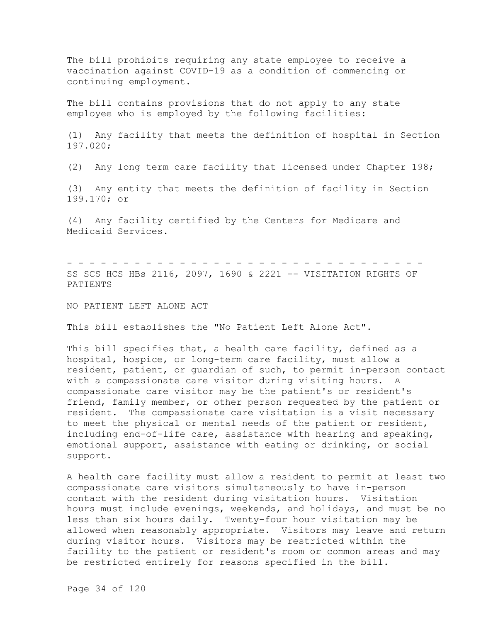The bill prohibits requiring any state employee to receive a vaccination against COVID-19 as a condition of commencing or continuing employment.

The bill contains provisions that do not apply to any state employee who is employed by the following facilities:

(1) Any facility that meets the definition of hospital in Section 197.020;

(2) Any long term care facility that licensed under Chapter 198;

(3) Any entity that meets the definition of facility in Section 199.170; or

(4) Any facility certified by the Centers for Medicare and Medicaid Services.

- - - - - - - - - - - - - - - - - - - - - - - - - - - - - - - - SS SCS HCS HBs 2116, 2097, 1690 & 2221 -- VISITATION RIGHTS OF PATIENTS

NO PATIENT LEFT ALONE ACT

This bill establishes the "No Patient Left Alone Act".

This bill specifies that, a health care facility, defined as a hospital, hospice, or long-term care facility, must allow a resident, patient, or guardian of such, to permit in-person contact with a compassionate care visitor during visiting hours. A compassionate care visitor may be the patient's or resident's friend, family member, or other person requested by the patient or resident. The compassionate care visitation is a visit necessary to meet the physical or mental needs of the patient or resident, including end-of-life care, assistance with hearing and speaking, emotional support, assistance with eating or drinking, or social support.

A health care facility must allow a resident to permit at least two compassionate care visitors simultaneously to have in-person contact with the resident during visitation hours. Visitation hours must include evenings, weekends, and holidays, and must be no less than six hours daily. Twenty-four hour visitation may be allowed when reasonably appropriate. Visitors may leave and return during visitor hours. Visitors may be restricted within the facility to the patient or resident's room or common areas and may be restricted entirely for reasons specified in the bill.

Page 34 of 120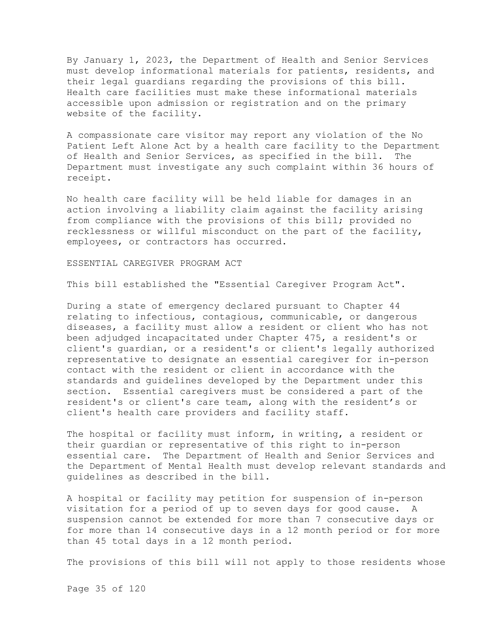By January 1, 2023, the Department of Health and Senior Services must develop informational materials for patients, residents, and their legal guardians regarding the provisions of this bill. Health care facilities must make these informational materials accessible upon admission or registration and on the primary website of the facility.

A compassionate care visitor may report any violation of the No Patient Left Alone Act by a health care facility to the Department of Health and Senior Services, as specified in the bill. The Department must investigate any such complaint within 36 hours of receipt.

No health care facility will be held liable for damages in an action involving a liability claim against the facility arising from compliance with the provisions of this bill; provided no recklessness or willful misconduct on the part of the facility, employees, or contractors has occurred.

ESSENTIAL CAREGIVER PROGRAM ACT

This bill established the "Essential Caregiver Program Act".

During a state of emergency declared pursuant to Chapter 44 relating to infectious, contagious, communicable, or dangerous diseases, a facility must allow a resident or client who has not been adjudged incapacitated under Chapter 475, a resident's or client's guardian, or a resident's or client's legally authorized representative to designate an essential caregiver for in-person contact with the resident or client in accordance with the standards and guidelines developed by the Department under this section. Essential caregivers must be considered a part of the resident's or client's care team, along with the resident's or client's health care providers and facility staff.

The hospital or facility must inform, in writing, a resident or their guardian or representative of this right to in-person essential care. The Department of Health and Senior Services and the Department of Mental Health must develop relevant standards and guidelines as described in the bill.

A hospital or facility may petition for suspension of in-person visitation for a period of up to seven days for good cause. A suspension cannot be extended for more than 7 consecutive days or for more than 14 consecutive days in a 12 month period or for more than 45 total days in a 12 month period.

The provisions of this bill will not apply to those residents whose

Page 35 of 120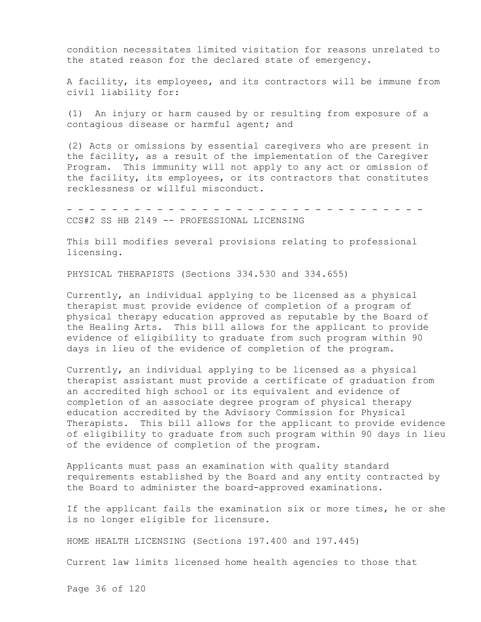condition necessitates limited visitation for reasons unrelated to the stated reason for the declared state of emergency.

A facility, its employees, and its contractors will be immune from civil liability for:

(1) An injury or harm caused by or resulting from exposure of a contagious disease or harmful agent; and

(2) Acts or omissions by essential caregivers who are present in the facility, as a result of the implementation of the Caregiver Program. This immunity will not apply to any act or omission of the facility, its employees, or its contractors that constitutes recklessness or willful misconduct.

- - - - - - - - - - - - - - - - - - - - - - - - - - - - - - - - CCS#2 SS HB 2149 -- PROFESSIONAL LICENSING

This bill modifies several provisions relating to professional licensing.

PHYSICAL THERAPISTS (Sections 334.530 and 334.655)

Currently, an individual applying to be licensed as a physical therapist must provide evidence of completion of a program of physical therapy education approved as reputable by the Board of the Healing Arts. This bill allows for the applicant to provide evidence of eligibility to graduate from such program within 90 days in lieu of the evidence of completion of the program.

Currently, an individual applying to be licensed as a physical therapist assistant must provide a certificate of graduation from an accredited high school or its equivalent and evidence of completion of an associate degree program of physical therapy education accredited by the Advisory Commission for Physical Therapists. This bill allows for the applicant to provide evidence of eligibility to graduate from such program within 90 days in lieu of the evidence of completion of the program.

Applicants must pass an examination with quality standard requirements established by the Board and any entity contracted by the Board to administer the board-approved examinations.

If the applicant fails the examination six or more times, he or she is no longer eligible for licensure.

HOME HEALTH LICENSING (Sections 197.400 and 197.445)

Current law limits licensed home health agencies to those that

Page 36 of 120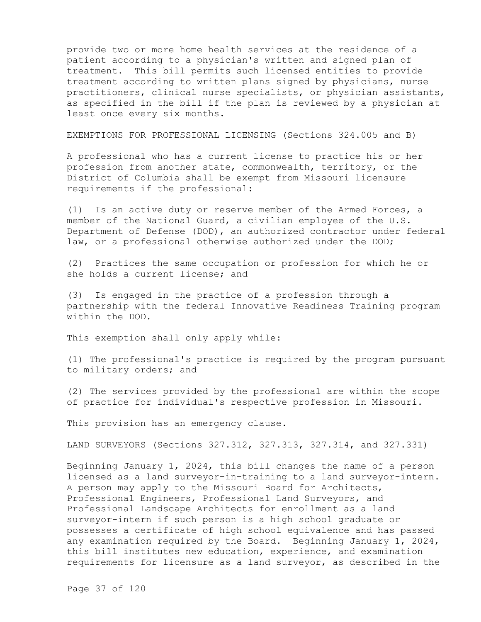provide two or more home health services at the residence of a patient according to a physician's written and signed plan of treatment. This bill permits such licensed entities to provide treatment according to written plans signed by physicians, nurse practitioners, clinical nurse specialists, or physician assistants, as specified in the bill if the plan is reviewed by a physician at least once every six months.

EXEMPTIONS FOR PROFESSIONAL LICENSING (Sections 324.005 and B)

A professional who has a current license to practice his or her profession from another state, commonwealth, territory, or the District of Columbia shall be exempt from Missouri licensure requirements if the professional:

(1) Is an active duty or reserve member of the Armed Forces, a member of the National Guard, a civilian employee of the U.S. Department of Defense (DOD), an authorized contractor under federal law, or a professional otherwise authorized under the DOD;

(2) Practices the same occupation or profession for which he or she holds a current license; and

(3) Is engaged in the practice of a profession through a partnership with the federal Innovative Readiness Training program within the DOD.

This exemption shall only apply while:

(1) The professional's practice is required by the program pursuant to military orders; and

(2) The services provided by the professional are within the scope of practice for individual's respective profession in Missouri.

This provision has an emergency clause.

LAND SURVEYORS (Sections 327.312, 327.313, 327.314, and 327.331)

Beginning January 1, 2024, this bill changes the name of a person licensed as a land surveyor-in-training to a land surveyor-intern. A person may apply to the Missouri Board for Architects, Professional Engineers, Professional Land Surveyors, and Professional Landscape Architects for enrollment as a land surveyor-intern if such person is a high school graduate or possesses a certificate of high school equivalence and has passed any examination required by the Board. Beginning January 1, 2024, this bill institutes new education, experience, and examination requirements for licensure as a land surveyor, as described in the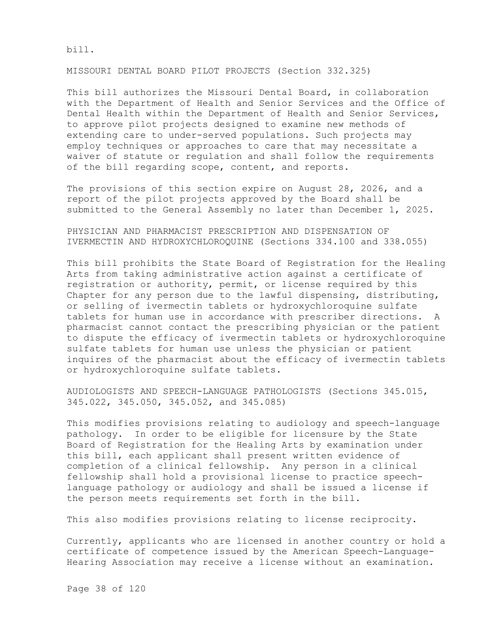bill.

MISSOURI DENTAL BOARD PILOT PROJECTS (Section 332.325)

This bill authorizes the Missouri Dental Board, in collaboration with the Department of Health and Senior Services and the Office of Dental Health within the Department of Health and Senior Services, to approve pilot projects designed to examine new methods of extending care to under-served populations. Such projects may employ techniques or approaches to care that may necessitate a waiver of statute or regulation and shall follow the requirements of the bill regarding scope, content, and reports.

The provisions of this section expire on August 28, 2026, and a report of the pilot projects approved by the Board shall be submitted to the General Assembly no later than December 1, 2025.

PHYSICIAN AND PHARMACIST PRESCRIPTION AND DISPENSATION OF IVERMECTIN AND HYDROXYCHLOROQUINE (Sections 334.100 and 338.055)

This bill prohibits the State Board of Registration for the Healing Arts from taking administrative action against a certificate of registration or authority, permit, or license required by this Chapter for any person due to the lawful dispensing, distributing, or selling of ivermectin tablets or hydroxychloroquine sulfate tablets for human use in accordance with prescriber directions. A pharmacist cannot contact the prescribing physician or the patient to dispute the efficacy of ivermectin tablets or hydroxychloroquine sulfate tablets for human use unless the physician or patient inquires of the pharmacist about the efficacy of ivermectin tablets or hydroxychloroquine sulfate tablets.

AUDIOLOGISTS AND SPEECH-LANGUAGE PATHOLOGISTS (Sections 345.015, 345.022, 345.050, 345.052, and 345.085)

This modifies provisions relating to audiology and speech-language pathology. In order to be eligible for licensure by the State Board of Registration for the Healing Arts by examination under this bill, each applicant shall present written evidence of completion of a clinical fellowship. Any person in a clinical fellowship shall hold a provisional license to practice speechlanguage pathology or audiology and shall be issued a license if the person meets requirements set forth in the bill.

This also modifies provisions relating to license reciprocity.

Currently, applicants who are licensed in another country or hold a certificate of competence issued by the American Speech-Language-Hearing Association may receive a license without an examination.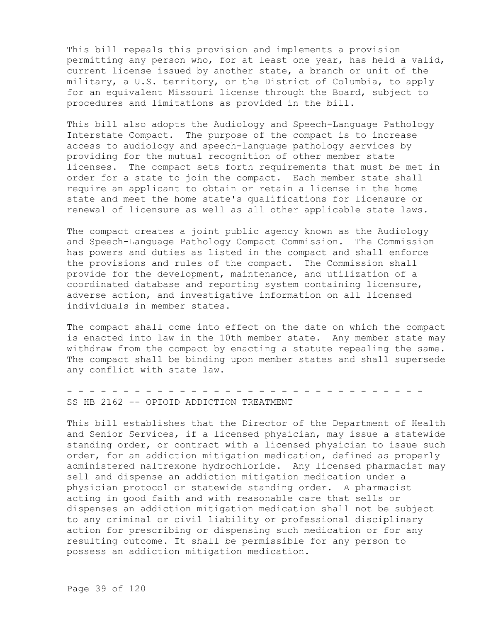This bill repeals this provision and implements a provision permitting any person who, for at least one year, has held a valid, current license issued by another state, a branch or unit of the military, a U.S. territory, or the District of Columbia, to apply for an equivalent Missouri license through the Board, subject to procedures and limitations as provided in the bill.

This bill also adopts the Audiology and Speech-Language Pathology Interstate Compact. The purpose of the compact is to increase access to audiology and speech-language pathology services by providing for the mutual recognition of other member state licenses. The compact sets forth requirements that must be met in order for a state to join the compact. Each member state shall require an applicant to obtain or retain a license in the home state and meet the home state's qualifications for licensure or renewal of licensure as well as all other applicable state laws.

The compact creates a joint public agency known as the Audiology and Speech-Language Pathology Compact Commission. The Commission has powers and duties as listed in the compact and shall enforce the provisions and rules of the compact. The Commission shall provide for the development, maintenance, and utilization of a coordinated database and reporting system containing licensure, adverse action, and investigative information on all licensed individuals in member states.

The compact shall come into effect on the date on which the compact is enacted into law in the 10th member state. Any member state may withdraw from the compact by enacting a statute repealing the same. The compact shall be binding upon member states and shall supersede any conflict with state law.

- - - - - - - - - - - - - - - - - - - - - - - - - - - - - - - - SS HB 2162 -- OPIOID ADDICTION TREATMENT

This bill establishes that the Director of the Department of Health and Senior Services, if a licensed physician, may issue a statewide standing order, or contract with a licensed physician to issue such order, for an addiction mitigation medication, defined as properly administered naltrexone hydrochloride. Any licensed pharmacist may sell and dispense an addiction mitigation medication under a physician protocol or statewide standing order. A pharmacist acting in good faith and with reasonable care that sells or dispenses an addiction mitigation medication shall not be subject to any criminal or civil liability or professional disciplinary action for prescribing or dispensing such medication or for any resulting outcome. It shall be permissible for any person to possess an addiction mitigation medication.

Page 39 of 120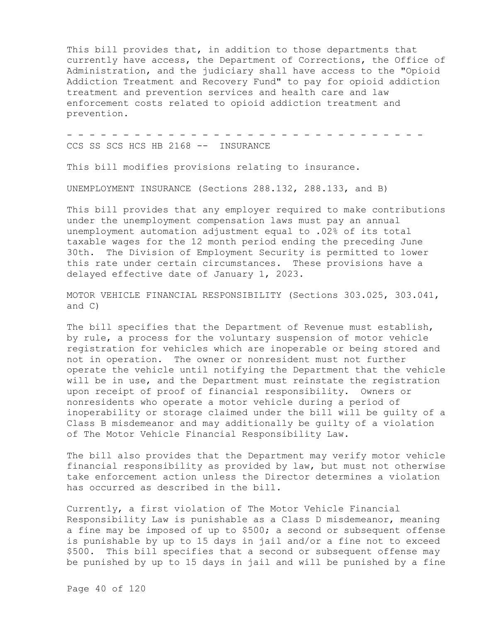This bill provides that, in addition to those departments that currently have access, the Department of Corrections, the Office of Administration, and the judiciary shall have access to the "Opioid Addiction Treatment and Recovery Fund" to pay for opioid addiction treatment and prevention services and health care and law enforcement costs related to opioid addiction treatment and prevention.

- - - - - - - - - - - - - - - - - - - - - - - - - - - - - - - - CCS SS SCS HCS HB 2168 -- INSURANCE

This bill modifies provisions relating to insurance.

UNEMPLOYMENT INSURANCE (Sections 288.132, 288.133, and B)

This bill provides that any employer required to make contributions under the unemployment compensation laws must pay an annual unemployment automation adjustment equal to .02% of its total taxable wages for the 12 month period ending the preceding June 30th. The Division of Employment Security is permitted to lower this rate under certain circumstances. These provisions have a delayed effective date of January 1, 2023.

MOTOR VEHICLE FINANCIAL RESPONSIBILITY (Sections 303.025, 303.041, and C)

The bill specifies that the Department of Revenue must establish, by rule, a process for the voluntary suspension of motor vehicle registration for vehicles which are inoperable or being stored and not in operation. The owner or nonresident must not further operate the vehicle until notifying the Department that the vehicle will be in use, and the Department must reinstate the registration upon receipt of proof of financial responsibility. Owners or nonresidents who operate a motor vehicle during a period of inoperability or storage claimed under the bill will be guilty of a Class B misdemeanor and may additionally be guilty of a violation of The Motor Vehicle Financial Responsibility Law.

The bill also provides that the Department may verify motor vehicle financial responsibility as provided by law, but must not otherwise take enforcement action unless the Director determines a violation has occurred as described in the bill.

Currently, a first violation of The Motor Vehicle Financial Responsibility Law is punishable as a Class D misdemeanor, meaning a fine may be imposed of up to \$500; a second or subsequent offense is punishable by up to 15 days in jail and/or a fine not to exceed \$500. This bill specifies that a second or subsequent offense may be punished by up to 15 days in jail and will be punished by a fine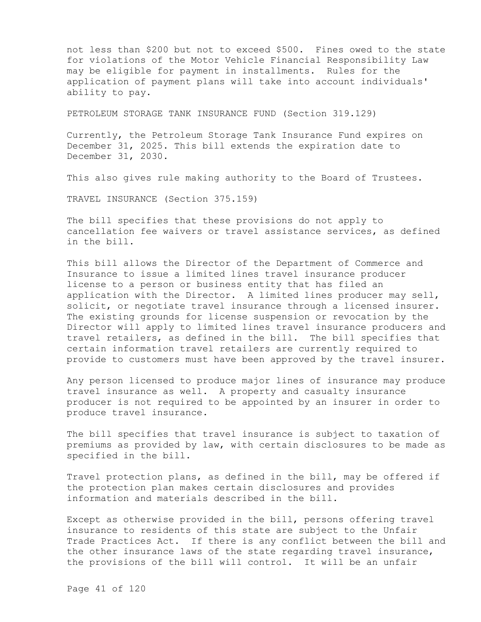not less than \$200 but not to exceed \$500. Fines owed to the state for violations of the Motor Vehicle Financial Responsibility Law may be eligible for payment in installments. Rules for the application of payment plans will take into account individuals' ability to pay.

PETROLEUM STORAGE TANK INSURANCE FUND (Section 319.129)

Currently, the Petroleum Storage Tank Insurance Fund expires on December 31, 2025. This bill extends the expiration date to December 31, 2030.

This also gives rule making authority to the Board of Trustees.

TRAVEL INSURANCE (Section 375.159)

The bill specifies that these provisions do not apply to cancellation fee waivers or travel assistance services, as defined in the bill.

This bill allows the Director of the Department of Commerce and Insurance to issue a limited lines travel insurance producer license to a person or business entity that has filed an application with the Director. A limited lines producer may sell, solicit, or negotiate travel insurance through a licensed insurer. The existing grounds for license suspension or revocation by the Director will apply to limited lines travel insurance producers and travel retailers, as defined in the bill. The bill specifies that certain information travel retailers are currently required to provide to customers must have been approved by the travel insurer.

Any person licensed to produce major lines of insurance may produce travel insurance as well. A property and casualty insurance producer is not required to be appointed by an insurer in order to produce travel insurance.

The bill specifies that travel insurance is subject to taxation of premiums as provided by law, with certain disclosures to be made as specified in the bill.

Travel protection plans, as defined in the bill, may be offered if the protection plan makes certain disclosures and provides information and materials described in the bill.

Except as otherwise provided in the bill, persons offering travel insurance to residents of this state are subject to the Unfair Trade Practices Act. If there is any conflict between the bill and the other insurance laws of the state regarding travel insurance, the provisions of the bill will control. It will be an unfair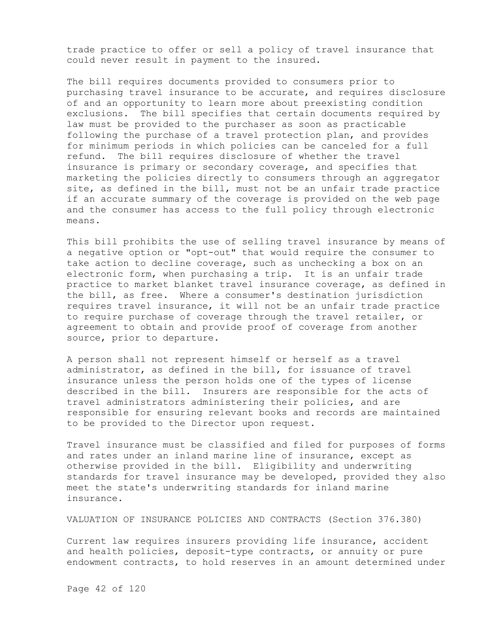trade practice to offer or sell a policy of travel insurance that could never result in payment to the insured.

The bill requires documents provided to consumers prior to purchasing travel insurance to be accurate, and requires disclosure of and an opportunity to learn more about preexisting condition exclusions. The bill specifies that certain documents required by law must be provided to the purchaser as soon as practicable following the purchase of a travel protection plan, and provides for minimum periods in which policies can be canceled for a full refund. The bill requires disclosure of whether the travel insurance is primary or secondary coverage, and specifies that marketing the policies directly to consumers through an aggregator site, as defined in the bill, must not be an unfair trade practice if an accurate summary of the coverage is provided on the web page and the consumer has access to the full policy through electronic means.

This bill prohibits the use of selling travel insurance by means of a negative option or "opt-out" that would require the consumer to take action to decline coverage, such as unchecking a box on an electronic form, when purchasing a trip. It is an unfair trade practice to market blanket travel insurance coverage, as defined in the bill, as free. Where a consumer's destination jurisdiction requires travel insurance, it will not be an unfair trade practice to require purchase of coverage through the travel retailer, or agreement to obtain and provide proof of coverage from another source, prior to departure.

A person shall not represent himself or herself as a travel administrator, as defined in the bill, for issuance of travel insurance unless the person holds one of the types of license described in the bill. Insurers are responsible for the acts of travel administrators administering their policies, and are responsible for ensuring relevant books and records are maintained to be provided to the Director upon request.

Travel insurance must be classified and filed for purposes of forms and rates under an inland marine line of insurance, except as otherwise provided in the bill. Eligibility and underwriting standards for travel insurance may be developed, provided they also meet the state's underwriting standards for inland marine insurance.

VALUATION OF INSURANCE POLICIES AND CONTRACTS (Section 376.380)

Current law requires insurers providing life insurance, accident and health policies, deposit-type contracts, or annuity or pure endowment contracts, to hold reserves in an amount determined under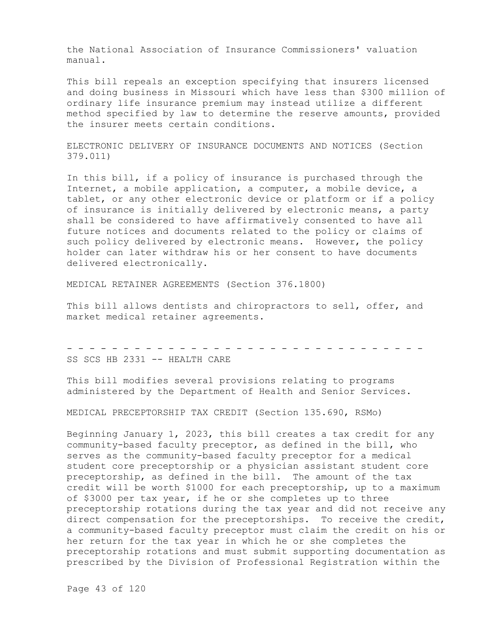the National Association of Insurance Commissioners' valuation manual.

This bill repeals an exception specifying that insurers licensed and doing business in Missouri which have less than \$300 million of ordinary life insurance premium may instead utilize a different method specified by law to determine the reserve amounts, provided the insurer meets certain conditions.

ELECTRONIC DELIVERY OF INSURANCE DOCUMENTS AND NOTICES (Section 379.011)

In this bill, if a policy of insurance is purchased through the Internet, a mobile application, a computer, a mobile device, a tablet, or any other electronic device or platform or if a policy of insurance is initially delivered by electronic means, a party shall be considered to have affirmatively consented to have all future notices and documents related to the policy or claims of such policy delivered by electronic means. However, the policy holder can later withdraw his or her consent to have documents delivered electronically.

MEDICAL RETAINER AGREEMENTS (Section 376.1800)

This bill allows dentists and chiropractors to sell, offer, and market medical retainer agreements.

- - - - - - - - - - - - - - - - - - - - - - - - - - - - - - - - SS SCS HB 2331 -- HEALTH CARE

This bill modifies several provisions relating to programs administered by the Department of Health and Senior Services.

MEDICAL PRECEPTORSHIP TAX CREDIT (Section 135.690, RSMo)

Beginning January 1, 2023, this bill creates a tax credit for any community-based faculty preceptor, as defined in the bill, who serves as the community-based faculty preceptor for a medical student core preceptorship or a physician assistant student core preceptorship, as defined in the bill. The amount of the tax credit will be worth \$1000 for each preceptorship, up to a maximum of \$3000 per tax year, if he or she completes up to three preceptorship rotations during the tax year and did not receive any direct compensation for the preceptorships. To receive the credit, a community-based faculty preceptor must claim the credit on his or her return for the tax year in which he or she completes the preceptorship rotations and must submit supporting documentation as prescribed by the Division of Professional Registration within the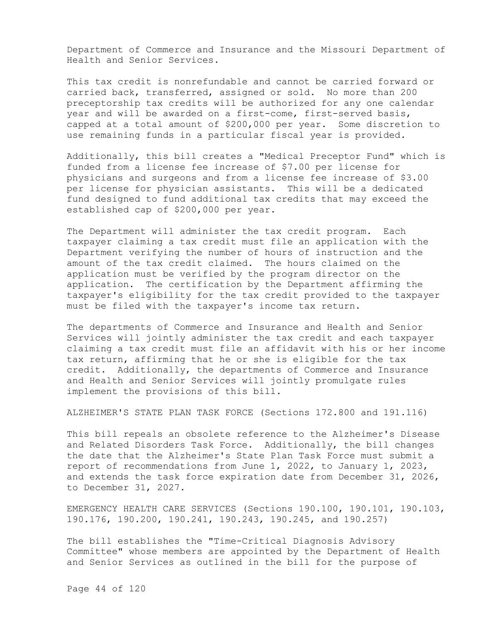Department of Commerce and Insurance and the Missouri Department of Health and Senior Services.

This tax credit is nonrefundable and cannot be carried forward or carried back, transferred, assigned or sold. No more than 200 preceptorship tax credits will be authorized for any one calendar year and will be awarded on a first-come, first-served basis, capped at a total amount of \$200,000 per year. Some discretion to use remaining funds in a particular fiscal year is provided.

Additionally, this bill creates a "Medical Preceptor Fund" which is funded from a license fee increase of \$7.00 per license for physicians and surgeons and from a license fee increase of \$3.00 per license for physician assistants. This will be a dedicated fund designed to fund additional tax credits that may exceed the established cap of \$200,000 per year.

The Department will administer the tax credit program. Each taxpayer claiming a tax credit must file an application with the Department verifying the number of hours of instruction and the amount of the tax credit claimed. The hours claimed on the application must be verified by the program director on the application. The certification by the Department affirming the taxpayer's eligibility for the tax credit provided to the taxpayer must be filed with the taxpayer's income tax return.

The departments of Commerce and Insurance and Health and Senior Services will jointly administer the tax credit and each taxpayer claiming a tax credit must file an affidavit with his or her income tax return, affirming that he or she is eligible for the tax credit. Additionally, the departments of Commerce and Insurance and Health and Senior Services will jointly promulgate rules implement the provisions of this bill.

ALZHEIMER'S STATE PLAN TASK FORCE (Sections 172.800 and 191.116)

This bill repeals an obsolete reference to the Alzheimer's Disease and Related Disorders Task Force. Additionally, the bill changes the date that the Alzheimer's State Plan Task Force must submit a report of recommendations from June 1, 2022, to January 1, 2023, and extends the task force expiration date from December 31, 2026, to December 31, 2027.

EMERGENCY HEALTH CARE SERVICES (Sections 190.100, 190.101, 190.103, 190.176, 190.200, 190.241, 190.243, 190.245, and 190.257)

The bill establishes the "Time-Critical Diagnosis Advisory Committee" whose members are appointed by the Department of Health and Senior Services as outlined in the bill for the purpose of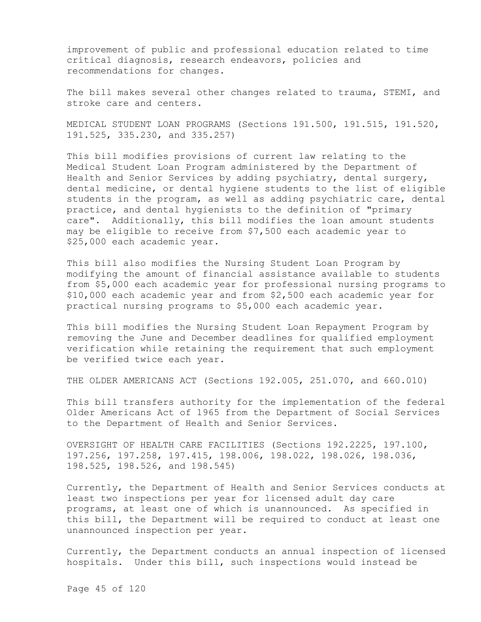improvement of public and professional education related to time critical diagnosis, research endeavors, policies and recommendations for changes.

The bill makes several other changes related to trauma, STEMI, and stroke care and centers.

MEDICAL STUDENT LOAN PROGRAMS (Sections 191.500, 191.515, 191.520, 191.525, 335.230, and 335.257)

This bill modifies provisions of current law relating to the Medical Student Loan Program administered by the Department of Health and Senior Services by adding psychiatry, dental surgery, dental medicine, or dental hygiene students to the list of eligible students in the program, as well as adding psychiatric care, dental practice, and dental hygienists to the definition of "primary care". Additionally, this bill modifies the loan amount students may be eligible to receive from \$7,500 each academic year to \$25,000 each academic year.

This bill also modifies the Nursing Student Loan Program by modifying the amount of financial assistance available to students from \$5,000 each academic year for professional nursing programs to \$10,000 each academic year and from \$2,500 each academic year for practical nursing programs to \$5,000 each academic year.

This bill modifies the Nursing Student Loan Repayment Program by removing the June and December deadlines for qualified employment verification while retaining the requirement that such employment be verified twice each year.

THE OLDER AMERICANS ACT (Sections 192.005, 251.070, and 660.010)

This bill transfers authority for the implementation of the federal Older Americans Act of 1965 from the Department of Social Services to the Department of Health and Senior Services.

OVERSIGHT OF HEALTH CARE FACILITIES (Sections 192.2225, 197.100, 197.256, 197.258, 197.415, 198.006, 198.022, 198.026, 198.036, 198.525, 198.526, and 198.545)

Currently, the Department of Health and Senior Services conducts at least two inspections per year for licensed adult day care programs, at least one of which is unannounced. As specified in this bill, the Department will be required to conduct at least one unannounced inspection per year.

Currently, the Department conducts an annual inspection of licensed hospitals. Under this bill, such inspections would instead be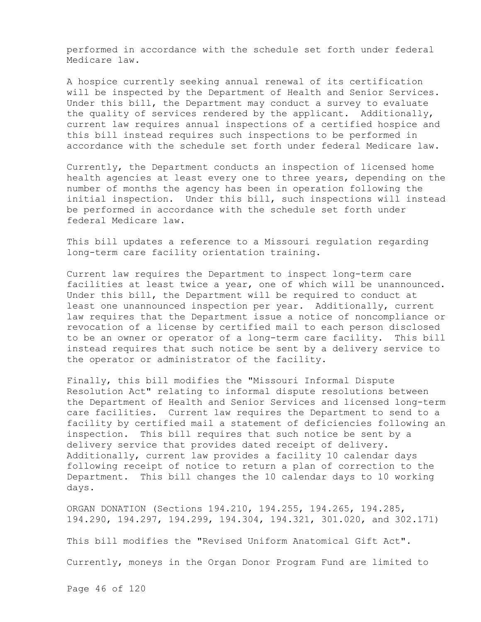performed in accordance with the schedule set forth under federal Medicare law.

A hospice currently seeking annual renewal of its certification will be inspected by the Department of Health and Senior Services. Under this bill, the Department may conduct a survey to evaluate the quality of services rendered by the applicant. Additionally, current law requires annual inspections of a certified hospice and this bill instead requires such inspections to be performed in accordance with the schedule set forth under federal Medicare law.

Currently, the Department conducts an inspection of licensed home health agencies at least every one to three years, depending on the number of months the agency has been in operation following the initial inspection. Under this bill, such inspections will instead be performed in accordance with the schedule set forth under federal Medicare law.

This bill updates a reference to a Missouri regulation regarding long-term care facility orientation training.

Current law requires the Department to inspect long-term care facilities at least twice a year, one of which will be unannounced. Under this bill, the Department will be required to conduct at least one unannounced inspection per year. Additionally, current law requires that the Department issue a notice of noncompliance or revocation of a license by certified mail to each person disclosed to be an owner or operator of a long-term care facility. This bill instead requires that such notice be sent by a delivery service to the operator or administrator of the facility.

Finally, this bill modifies the "Missouri Informal Dispute Resolution Act" relating to informal dispute resolutions between the Department of Health and Senior Services and licensed long-term care facilities. Current law requires the Department to send to a facility by certified mail a statement of deficiencies following an inspection. This bill requires that such notice be sent by a delivery service that provides dated receipt of delivery. Additionally, current law provides a facility 10 calendar days following receipt of notice to return a plan of correction to the Department. This bill changes the 10 calendar days to 10 working days.

ORGAN DONATION (Sections 194.210, 194.255, 194.265, 194.285, 194.290, 194.297, 194.299, 194.304, 194.321, 301.020, and 302.171)

This bill modifies the "Revised Uniform Anatomical Gift Act".

Currently, moneys in the Organ Donor Program Fund are limited to

Page 46 of 120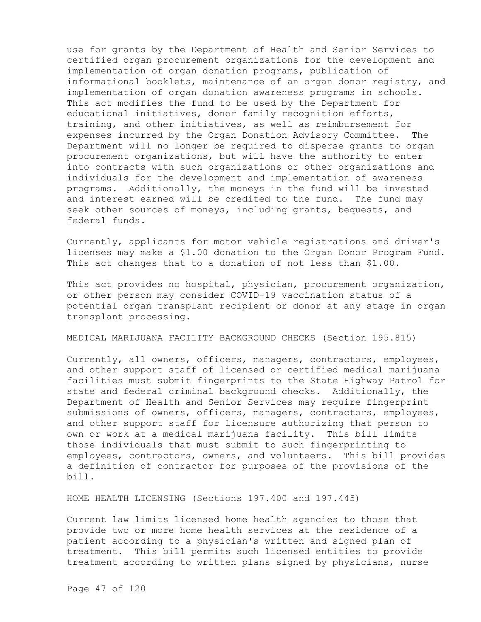use for grants by the Department of Health and Senior Services to certified organ procurement organizations for the development and implementation of organ donation programs, publication of informational booklets, maintenance of an organ donor registry, and implementation of organ donation awareness programs in schools. This act modifies the fund to be used by the Department for educational initiatives, donor family recognition efforts, training, and other initiatives, as well as reimbursement for expenses incurred by the Organ Donation Advisory Committee. The Department will no longer be required to disperse grants to organ procurement organizations, but will have the authority to enter into contracts with such organizations or other organizations and individuals for the development and implementation of awareness programs. Additionally, the moneys in the fund will be invested and interest earned will be credited to the fund. The fund may seek other sources of moneys, including grants, bequests, and federal funds.

Currently, applicants for motor vehicle registrations and driver's licenses may make a \$1.00 donation to the Organ Donor Program Fund. This act changes that to a donation of not less than \$1.00.

This act provides no hospital, physician, procurement organization, or other person may consider COVID-19 vaccination status of a potential organ transplant recipient or donor at any stage in organ transplant processing.

MEDICAL MARIJUANA FACILITY BACKGROUND CHECKS (Section 195.815)

Currently, all owners, officers, managers, contractors, employees, and other support staff of licensed or certified medical marijuana facilities must submit fingerprints to the State Highway Patrol for state and federal criminal background checks. Additionally, the Department of Health and Senior Services may require fingerprint submissions of owners, officers, managers, contractors, employees, and other support staff for licensure authorizing that person to own or work at a medical marijuana facility. This bill limits those individuals that must submit to such fingerprinting to employees, contractors, owners, and volunteers. This bill provides a definition of contractor for purposes of the provisions of the bill.

HOME HEALTH LICENSING (Sections 197.400 and 197.445)

Current law limits licensed home health agencies to those that provide two or more home health services at the residence of a patient according to a physician's written and signed plan of treatment. This bill permits such licensed entities to provide treatment according to written plans signed by physicians, nurse

Page 47 of 120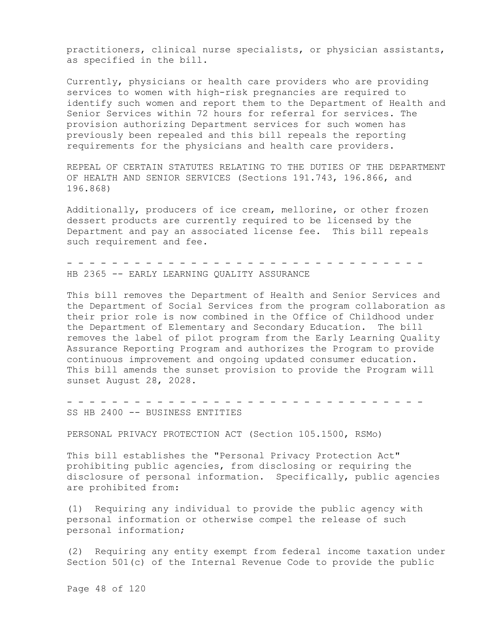practitioners, clinical nurse specialists, or physician assistants, as specified in the bill.

Currently, physicians or health care providers who are providing services to women with high-risk pregnancies are required to identify such women and report them to the Department of Health and Senior Services within 72 hours for referral for services. The provision authorizing Department services for such women has previously been repealed and this bill repeals the reporting requirements for the physicians and health care providers.

REPEAL OF CERTAIN STATUTES RELATING TO THE DUTIES OF THE DEPARTMENT OF HEALTH AND SENIOR SERVICES (Sections 191.743, 196.866, and 196.868)

Additionally, producers of ice cream, mellorine, or other frozen dessert products are currently required to be licensed by the Department and pay an associated license fee. This bill repeals such requirement and fee.

- - - - - - - - - - - - - - - - - - - - - - - - - - - - - - - - HB 2365 -- EARLY LEARNING OUALITY ASSURANCE

This bill removes the Department of Health and Senior Services and the Department of Social Services from the program collaboration as their prior role is now combined in the Office of Childhood under the Department of Elementary and Secondary Education. The bill removes the label of pilot program from the Early Learning Quality Assurance Reporting Program and authorizes the Program to provide continuous improvement and ongoing updated consumer education. This bill amends the sunset provision to provide the Program will sunset August 28, 2028.

- - - - - - - - - - - - - - - - - - - - - - - - - - - - - - - -

SS HB 2400 -- BUSINESS ENTITIES

PERSONAL PRIVACY PROTECTION ACT (Section 105.1500, RSMo)

This bill establishes the "Personal Privacy Protection Act" prohibiting public agencies, from disclosing or requiring the disclosure of personal information. Specifically, public agencies are prohibited from:

(1) Requiring any individual to provide the public agency with personal information or otherwise compel the release of such personal information;

(2) Requiring any entity exempt from federal income taxation under Section 501(c) of the Internal Revenue Code to provide the public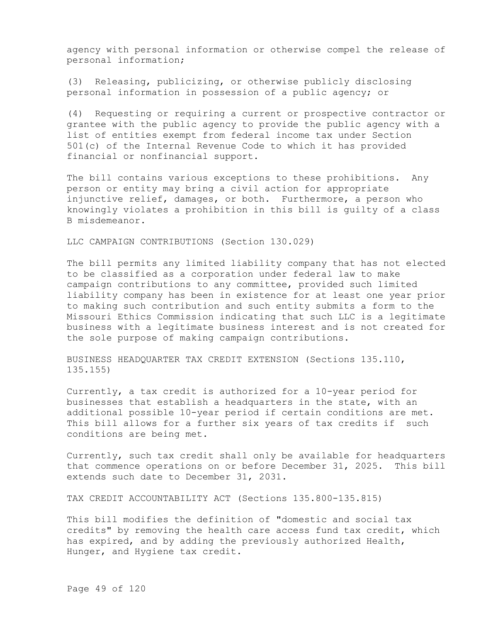agency with personal information or otherwise compel the release of personal information;

(3) Releasing, publicizing, or otherwise publicly disclosing personal information in possession of a public agency; or

(4) Requesting or requiring a current or prospective contractor or grantee with the public agency to provide the public agency with a list of entities exempt from federal income tax under Section 501(c) of the Internal Revenue Code to which it has provided financial or nonfinancial support.

The bill contains various exceptions to these prohibitions. Any person or entity may bring a civil action for appropriate injunctive relief, damages, or both. Furthermore, a person who knowingly violates a prohibition in this bill is guilty of a class B misdemeanor.

LLC CAMPAIGN CONTRIBUTIONS (Section 130.029)

The bill permits any limited liability company that has not elected to be classified as a corporation under federal law to make campaign contributions to any committee, provided such limited liability company has been in existence for at least one year prior to making such contribution and such entity submits a form to the Missouri Ethics Commission indicating that such LLC is a legitimate business with a legitimate business interest and is not created for the sole purpose of making campaign contributions.

BUSINESS HEADQUARTER TAX CREDIT EXTENSION (Sections 135.110, 135.155)

Currently, a tax credit is authorized for a 10-year period for businesses that establish a headquarters in the state, with an additional possible 10-year period if certain conditions are met. This bill allows for a further six years of tax credits if such conditions are being met.

Currently, such tax credit shall only be available for headquarters that commence operations on or before December 31, 2025. This bill extends such date to December 31, 2031.

TAX CREDIT ACCOUNTABILITY ACT (Sections 135.800-135.815)

This bill modifies the definition of "domestic and social tax credits" by removing the health care access fund tax credit, which has expired, and by adding the previously authorized Health, Hunger, and Hygiene tax credit.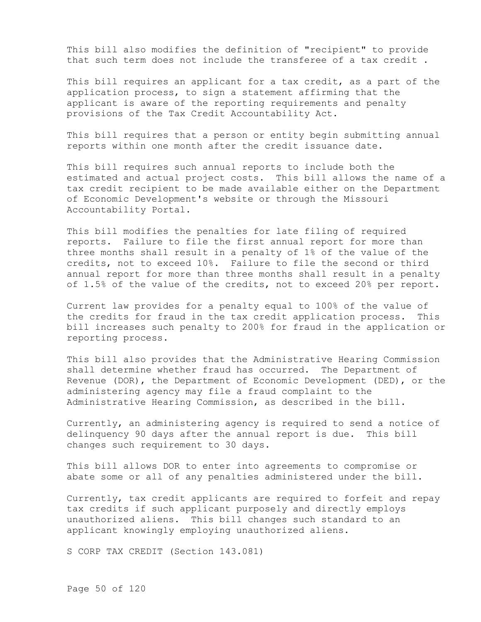This bill also modifies the definition of "recipient" to provide that such term does not include the transferee of a tax credit .

This bill requires an applicant for a tax credit, as a part of the application process, to sign a statement affirming that the applicant is aware of the reporting requirements and penalty provisions of the Tax Credit Accountability Act.

This bill requires that a person or entity begin submitting annual reports within one month after the credit issuance date.

This bill requires such annual reports to include both the estimated and actual project costs. This bill allows the name of a tax credit recipient to be made available either on the Department of Economic Development's website or through the Missouri Accountability Portal.

This bill modifies the penalties for late filing of required reports. Failure to file the first annual report for more than three months shall result in a penalty of 1% of the value of the credits, not to exceed 10%. Failure to file the second or third annual report for more than three months shall result in a penalty of 1.5% of the value of the credits, not to exceed 20% per report.

Current law provides for a penalty equal to 100% of the value of the credits for fraud in the tax credit application process. This bill increases such penalty to 200% for fraud in the application or reporting process.

This bill also provides that the Administrative Hearing Commission shall determine whether fraud has occurred. The Department of Revenue (DOR), the Department of Economic Development (DED), or the administering agency may file a fraud complaint to the Administrative Hearing Commission, as described in the bill.

Currently, an administering agency is required to send a notice of delinquency 90 days after the annual report is due. This bill changes such requirement to 30 days.

This bill allows DOR to enter into agreements to compromise or abate some or all of any penalties administered under the bill.

Currently, tax credit applicants are required to forfeit and repay tax credits if such applicant purposely and directly employs unauthorized aliens. This bill changes such standard to an applicant knowingly employing unauthorized aliens.

S CORP TAX CREDIT (Section 143.081)

Page 50 of 120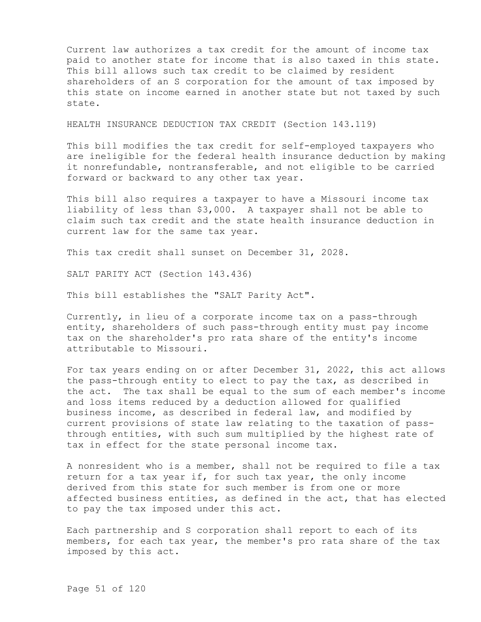Current law authorizes a tax credit for the amount of income tax paid to another state for income that is also taxed in this state. This bill allows such tax credit to be claimed by resident shareholders of an S corporation for the amount of tax imposed by this state on income earned in another state but not taxed by such state.

HEALTH INSURANCE DEDUCTION TAX CREDIT (Section 143.119)

This bill modifies the tax credit for self-employed taxpayers who are ineligible for the federal health insurance deduction by making it nonrefundable, nontransferable, and not eligible to be carried forward or backward to any other tax year.

This bill also requires a taxpayer to have a Missouri income tax liability of less than \$3,000. A taxpayer shall not be able to claim such tax credit and the state health insurance deduction in current law for the same tax year.

This tax credit shall sunset on December 31, 2028.

SALT PARITY ACT (Section 143.436)

This bill establishes the "SALT Parity Act".

Currently, in lieu of a corporate income tax on a pass-through entity, shareholders of such pass-through entity must pay income tax on the shareholder's pro rata share of the entity's income attributable to Missouri.

For tax years ending on or after December 31, 2022, this act allows the pass-through entity to elect to pay the tax, as described in the act. The tax shall be equal to the sum of each member's income and loss items reduced by a deduction allowed for qualified business income, as described in federal law, and modified by current provisions of state law relating to the taxation of passthrough entities, with such sum multiplied by the highest rate of tax in effect for the state personal income tax.

A nonresident who is a member, shall not be required to file a tax return for a tax year if, for such tax year, the only income derived from this state for such member is from one or more affected business entities, as defined in the act, that has elected to pay the tax imposed under this act.

Each partnership and S corporation shall report to each of its members, for each tax year, the member's pro rata share of the tax imposed by this act.

Page 51 of 120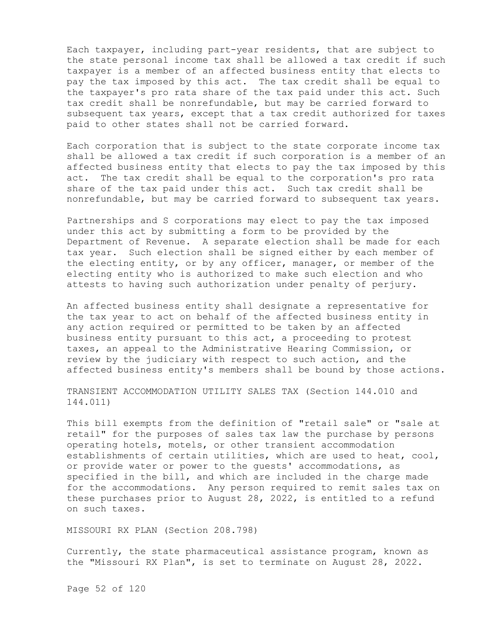Each taxpayer, including part-year residents, that are subject to the state personal income tax shall be allowed a tax credit if such taxpayer is a member of an affected business entity that elects to pay the tax imposed by this act. The tax credit shall be equal to the taxpayer's pro rata share of the tax paid under this act. Such tax credit shall be nonrefundable, but may be carried forward to subsequent tax years, except that a tax credit authorized for taxes paid to other states shall not be carried forward.

Each corporation that is subject to the state corporate income tax shall be allowed a tax credit if such corporation is a member of an affected business entity that elects to pay the tax imposed by this act. The tax credit shall be equal to the corporation's pro rata share of the tax paid under this act. Such tax credit shall be nonrefundable, but may be carried forward to subsequent tax years.

Partnerships and S corporations may elect to pay the tax imposed under this act by submitting a form to be provided by the Department of Revenue. A separate election shall be made for each tax year. Such election shall be signed either by each member of the electing entity, or by any officer, manager, or member of the electing entity who is authorized to make such election and who attests to having such authorization under penalty of perjury.

An affected business entity shall designate a representative for the tax year to act on behalf of the affected business entity in any action required or permitted to be taken by an affected business entity pursuant to this act, a proceeding to protest taxes, an appeal to the Administrative Hearing Commission, or review by the judiciary with respect to such action, and the affected business entity's members shall be bound by those actions.

TRANSIENT ACCOMMODATION UTILITY SALES TAX (Section 144.010 and 144.011)

This bill exempts from the definition of "retail sale" or "sale at retail" for the purposes of sales tax law the purchase by persons operating hotels, motels, or other transient accommodation establishments of certain utilities, which are used to heat, cool, or provide water or power to the guests' accommodations, as specified in the bill, and which are included in the charge made for the accommodations. Any person required to remit sales tax on these purchases prior to August 28, 2022, is entitled to a refund on such taxes.

MISSOURI RX PLAN (Section 208.798)

Currently, the state pharmaceutical assistance program, known as the "Missouri RX Plan", is set to terminate on August 28, 2022.

Page 52 of 120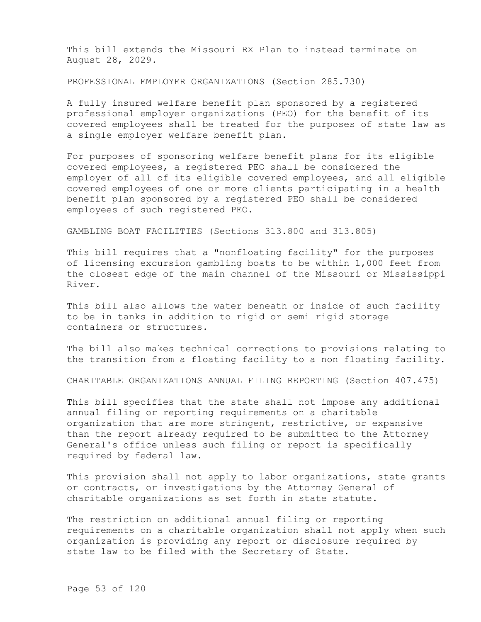This bill extends the Missouri RX Plan to instead terminate on August 28, 2029.

PROFESSIONAL EMPLOYER ORGANIZATIONS (Section 285.730)

A fully insured welfare benefit plan sponsored by a registered professional employer organizations (PEO) for the benefit of its covered employees shall be treated for the purposes of state law as a single employer welfare benefit plan.

For purposes of sponsoring welfare benefit plans for its eligible covered employees, a registered PEO shall be considered the employer of all of its eligible covered employees, and all eligible covered employees of one or more clients participating in a health benefit plan sponsored by a registered PEO shall be considered employees of such registered PEO.

GAMBLING BOAT FACILITIES (Sections 313.800 and 313.805)

This bill requires that a "nonfloating facility" for the purposes of licensing excursion gambling boats to be within 1,000 feet from the closest edge of the main channel of the Missouri or Mississippi River.

This bill also allows the water beneath or inside of such facility to be in tanks in addition to rigid or semi rigid storage containers or structures.

The bill also makes technical corrections to provisions relating to the transition from a floating facility to a non floating facility.

CHARITABLE ORGANIZATIONS ANNUAL FILING REPORTING (Section 407.475)

This bill specifies that the state shall not impose any additional annual filing or reporting requirements on a charitable organization that are more stringent, restrictive, or expansive than the report already required to be submitted to the Attorney General's office unless such filing or report is specifically required by federal law.

This provision shall not apply to labor organizations, state grants or contracts, or investigations by the Attorney General of charitable organizations as set forth in state statute.

The restriction on additional annual filing or reporting requirements on a charitable organization shall not apply when such organization is providing any report or disclosure required by state law to be filed with the Secretary of State.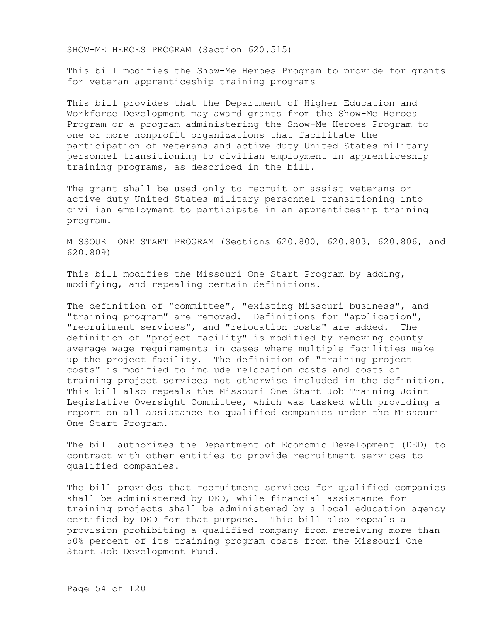SHOW-ME HEROES PROGRAM (Section 620.515)

This bill modifies the Show-Me Heroes Program to provide for grants for veteran apprenticeship training programs

This bill provides that the Department of Higher Education and Workforce Development may award grants from the Show-Me Heroes Program or a program administering the Show-Me Heroes Program to one or more nonprofit organizations that facilitate the participation of veterans and active duty United States military personnel transitioning to civilian employment in apprenticeship training programs, as described in the bill.

The grant shall be used only to recruit or assist veterans or active duty United States military personnel transitioning into civilian employment to participate in an apprenticeship training program.

MISSOURI ONE START PROGRAM (Sections 620.800, 620.803, 620.806, and 620.809)

This bill modifies the Missouri One Start Program by adding, modifying, and repealing certain definitions.

The definition of "committee", "existing Missouri business", and "training program" are removed. Definitions for "application", "recruitment services", and "relocation costs" are added. The definition of "project facility" is modified by removing county average wage requirements in cases where multiple facilities make up the project facility. The definition of "training project costs" is modified to include relocation costs and costs of training project services not otherwise included in the definition. This bill also repeals the Missouri One Start Job Training Joint Legislative Oversight Committee, which was tasked with providing a report on all assistance to qualified companies under the Missouri One Start Program.

The bill authorizes the Department of Economic Development (DED) to contract with other entities to provide recruitment services to qualified companies.

The bill provides that recruitment services for qualified companies shall be administered by DED, while financial assistance for training projects shall be administered by a local education agency certified by DED for that purpose. This bill also repeals a provision prohibiting a qualified company from receiving more than 50% percent of its training program costs from the Missouri One Start Job Development Fund.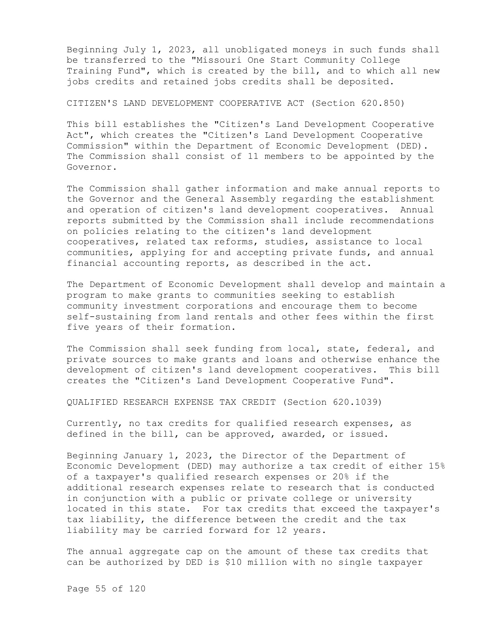Beginning July 1, 2023, all unobligated moneys in such funds shall be transferred to the "Missouri One Start Community College Training Fund", which is created by the bill, and to which all new jobs credits and retained jobs credits shall be deposited.

## CITIZEN'S LAND DEVELOPMENT COOPERATIVE ACT (Section 620.850)

This bill establishes the "Citizen's Land Development Cooperative Act", which creates the "Citizen's Land Development Cooperative Commission" within the Department of Economic Development (DED). The Commission shall consist of 11 members to be appointed by the Governor.

The Commission shall gather information and make annual reports to the Governor and the General Assembly regarding the establishment and operation of citizen's land development cooperatives. Annual reports submitted by the Commission shall include recommendations on policies relating to the citizen's land development cooperatives, related tax reforms, studies, assistance to local communities, applying for and accepting private funds, and annual financial accounting reports, as described in the act.

The Department of Economic Development shall develop and maintain a program to make grants to communities seeking to establish community investment corporations and encourage them to become self-sustaining from land rentals and other fees within the first five years of their formation.

The Commission shall seek funding from local, state, federal, and private sources to make grants and loans and otherwise enhance the development of citizen's land development cooperatives. This bill creates the "Citizen's Land Development Cooperative Fund".

QUALIFIED RESEARCH EXPENSE TAX CREDIT (Section 620.1039)

Currently, no tax credits for qualified research expenses, as defined in the bill, can be approved, awarded, or issued.

Beginning January 1, 2023, the Director of the Department of Economic Development (DED) may authorize a tax credit of either 15% of a taxpayer's qualified research expenses or 20% if the additional research expenses relate to research that is conducted in conjunction with a public or private college or university located in this state. For tax credits that exceed the taxpayer's tax liability, the difference between the credit and the tax liability may be carried forward for 12 years.

The annual aggregate cap on the amount of these tax credits that can be authorized by DED is \$10 million with no single taxpayer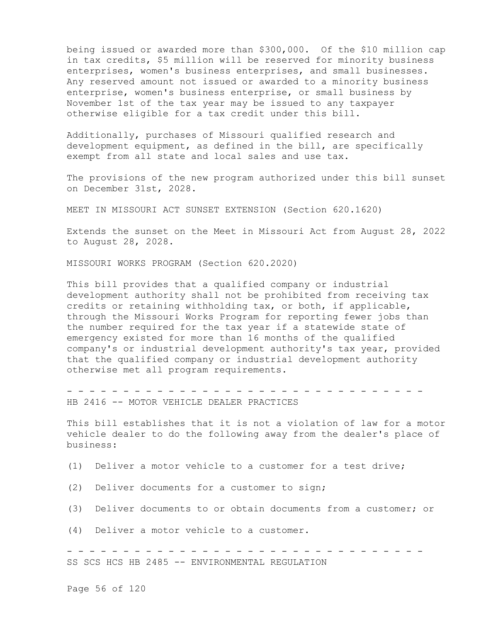being issued or awarded more than \$300,000. Of the \$10 million cap in tax credits, \$5 million will be reserved for minority business enterprises, women's business enterprises, and small businesses. Any reserved amount not issued or awarded to a minority business enterprise, women's business enterprise, or small business by November 1st of the tax year may be issued to any taxpayer otherwise eligible for a tax credit under this bill.

Additionally, purchases of Missouri qualified research and development equipment, as defined in the bill, are specifically exempt from all state and local sales and use tax.

The provisions of the new program authorized under this bill sunset on December 31st, 2028.

MEET IN MISSOURI ACT SUNSET EXTENSION (Section 620.1620)

Extends the sunset on the Meet in Missouri Act from August 28, 2022 to August 28, 2028.

MISSOURI WORKS PROGRAM (Section 620.2020)

This bill provides that a qualified company or industrial development authority shall not be prohibited from receiving tax credits or retaining withholding tax, or both, if applicable, through the Missouri Works Program for reporting fewer jobs than the number required for the tax year if a statewide state of emergency existed for more than 16 months of the qualified company's or industrial development authority's tax year, provided that the qualified company or industrial development authority otherwise met all program requirements.

- - - - - - - - - - - - - - - - - - - - - - - - - - - - - - - - HB 2416 -- MOTOR VEHICLE DEALER PRACTICES

This bill establishes that it is not a violation of law for a motor vehicle dealer to do the following away from the dealer's place of business:

(1) Deliver a motor vehicle to a customer for a test drive;

(2) Deliver documents for a customer to sign;

(3) Deliver documents to or obtain documents from a customer; or

(4) Deliver a motor vehicle to a customer.

- - - - - - - - - - - - - - - - - - - - - - - - - - - - - - - - SS SCS HCS HB 2485 -- ENVIRONMENTAL REGULATION

Page 56 of 120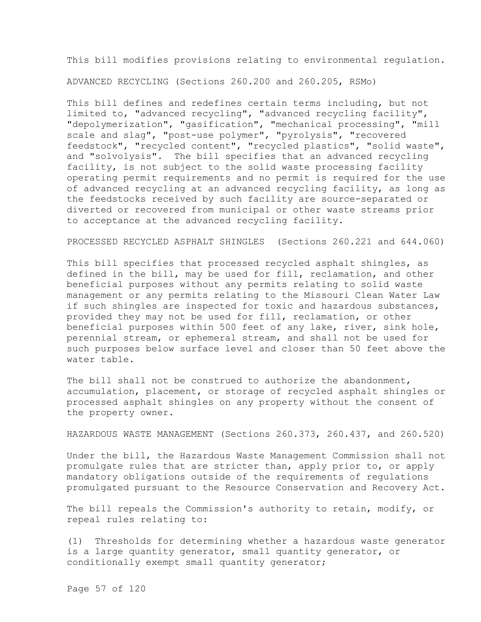This bill modifies provisions relating to environmental regulation.

ADVANCED RECYCLING (Sections 260.200 and 260.205, RSMo)

This bill defines and redefines certain terms including, but not limited to, "advanced recycling", "advanced recycling facility", "depolymerization", "gasification", "mechanical processing", "mill scale and slag", "post-use polymer", "pyrolysis", "recovered feedstock", "recycled content", "recycled plastics", "solid waste", and "solvolysis". The bill specifies that an advanced recycling facility, is not subject to the solid waste processing facility operating permit requirements and no permit is required for the use of advanced recycling at an advanced recycling facility, as long as the feedstocks received by such facility are source-separated or diverted or recovered from municipal or other waste streams prior to acceptance at the advanced recycling facility.

PROCESSED RECYCLED ASPHALT SHINGLES (Sections 260.221 and 644.060)

This bill specifies that processed recycled asphalt shingles, as defined in the bill, may be used for fill, reclamation, and other beneficial purposes without any permits relating to solid waste management or any permits relating to the Missouri Clean Water Law if such shingles are inspected for toxic and hazardous substances, provided they may not be used for fill, reclamation, or other beneficial purposes within 500 feet of any lake, river, sink hole, perennial stream, or ephemeral stream, and shall not be used for such purposes below surface level and closer than 50 feet above the water table.

The bill shall not be construed to authorize the abandonment, accumulation, placement, or storage of recycled asphalt shingles or processed asphalt shingles on any property without the consent of the property owner.

HAZARDOUS WASTE MANAGEMENT (Sections 260.373, 260.437, and 260.520)

Under the bill, the Hazardous Waste Management Commission shall not promulgate rules that are stricter than, apply prior to, or apply mandatory obligations outside of the requirements of regulations promulgated pursuant to the Resource Conservation and Recovery Act.

The bill repeals the Commission's authority to retain, modify, or repeal rules relating to:

(1) Thresholds for determining whether a hazardous waste generator is a large quantity generator, small quantity generator, or conditionally exempt small quantity generator;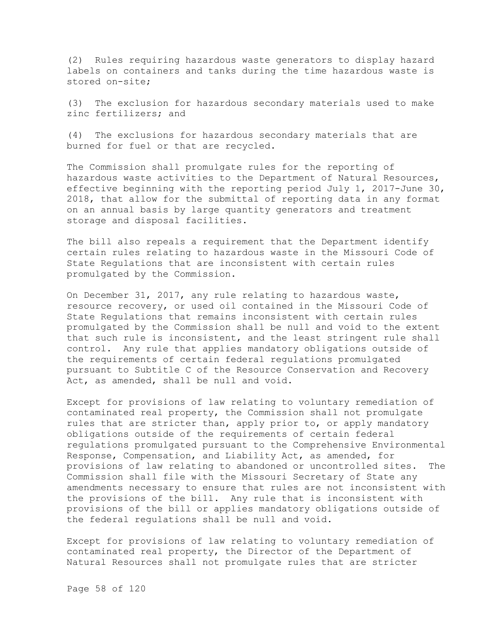(2) Rules requiring hazardous waste generators to display hazard labels on containers and tanks during the time hazardous waste is stored on-site;

(3) The exclusion for hazardous secondary materials used to make zinc fertilizers; and

(4) The exclusions for hazardous secondary materials that are burned for fuel or that are recycled.

The Commission shall promulgate rules for the reporting of hazardous waste activities to the Department of Natural Resources, effective beginning with the reporting period July 1, 2017-June 30, 2018, that allow for the submittal of reporting data in any format on an annual basis by large quantity generators and treatment storage and disposal facilities.

The bill also repeals a requirement that the Department identify certain rules relating to hazardous waste in the Missouri Code of State Regulations that are inconsistent with certain rules promulgated by the Commission.

On December 31, 2017, any rule relating to hazardous waste, resource recovery, or used oil contained in the Missouri Code of State Regulations that remains inconsistent with certain rules promulgated by the Commission shall be null and void to the extent that such rule is inconsistent, and the least stringent rule shall control. Any rule that applies mandatory obligations outside of the requirements of certain federal regulations promulgated pursuant to Subtitle C of the Resource Conservation and Recovery Act, as amended, shall be null and void.

Except for provisions of law relating to voluntary remediation of contaminated real property, the Commission shall not promulgate rules that are stricter than, apply prior to, or apply mandatory obligations outside of the requirements of certain federal regulations promulgated pursuant to the Comprehensive Environmental Response, Compensation, and Liability Act, as amended, for provisions of law relating to abandoned or uncontrolled sites. The Commission shall file with the Missouri Secretary of State any amendments necessary to ensure that rules are not inconsistent with the provisions of the bill. Any rule that is inconsistent with provisions of the bill or applies mandatory obligations outside of the federal regulations shall be null and void.

Except for provisions of law relating to voluntary remediation of contaminated real property, the Director of the Department of Natural Resources shall not promulgate rules that are stricter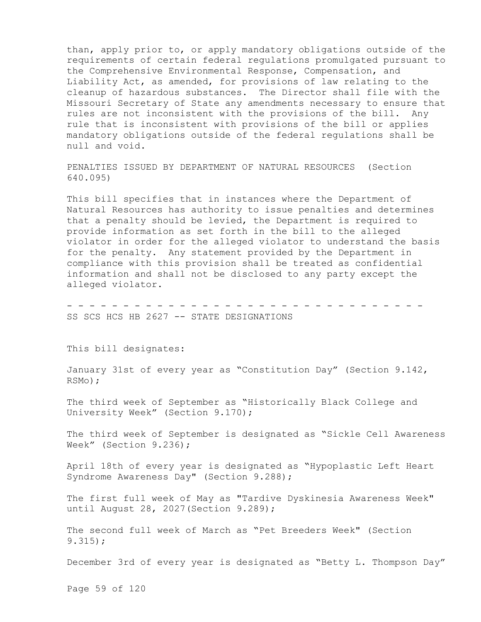than, apply prior to, or apply mandatory obligations outside of the requirements of certain federal regulations promulgated pursuant to the Comprehensive Environmental Response, Compensation, and Liability Act, as amended, for provisions of law relating to the cleanup of hazardous substances. The Director shall file with the Missouri Secretary of State any amendments necessary to ensure that rules are not inconsistent with the provisions of the bill. Any rule that is inconsistent with provisions of the bill or applies mandatory obligations outside of the federal regulations shall be null and void.

PENALTIES ISSUED BY DEPARTMENT OF NATURAL RESOURCES (Section 640.095)

This bill specifies that in instances where the Department of Natural Resources has authority to issue penalties and determines that a penalty should be levied, the Department is required to provide information as set forth in the bill to the alleged violator in order for the alleged violator to understand the basis for the penalty. Any statement provided by the Department in compliance with this provision shall be treated as confidential information and shall not be disclosed to any party except the alleged violator.

- - - - - - - - - - - - - - - - - - - - - - - - - - - - - - - - SS SCS HCS HB 2627 -- STATE DESIGNATIONS

This bill designates:

January 31st of every year as "Constitution Day" (Section 9.142, RSMo);

The third week of September as "Historically Black College and University Week" (Section 9.170);

The third week of September is designated as "Sickle Cell Awareness Week" (Section 9.236);

April 18th of every year is designated as "Hypoplastic Left Heart Syndrome Awareness Day" (Section 9.288);

The first full week of May as "Tardive Dyskinesia Awareness Week" until August 28, 2027(Section 9.289);

The second full week of March as "Pet Breeders Week" (Section 9.315);

December 3rd of every year is designated as "Betty L. Thompson Day"

Page 59 of 120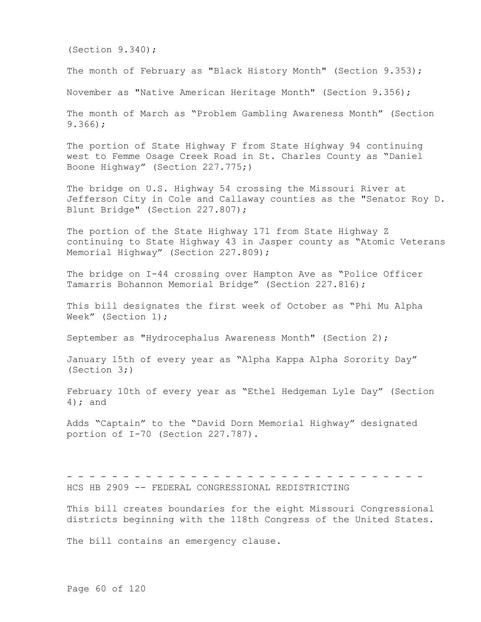(Section 9.340);

The month of February as "Black History Month" (Section 9.353);

November as "Native American Heritage Month" (Section 9.356);

The month of March as "Problem Gambling Awareness Month" (Section 9.366);

The portion of State Highway F from State Highway 94 continuing west to Femme Osage Creek Road in St. Charles County as "Daniel Boone Highway" (Section 227.775;)

The bridge on U.S. Highway 54 crossing the Missouri River at Jefferson City in Cole and Callaway counties as the "Senator Roy D. Blunt Bridge" (Section 227.807);

The portion of the State Highway 171 from State Highway Z continuing to State Highway 43 in Jasper county as "Atomic Veterans Memorial Highway" (Section 227.809);

The bridge on I-44 crossing over Hampton Ave as "Police Officer Tamarris Bohannon Memorial Bridge" (Section 227.816);

This bill designates the first week of October as "Phi Mu Alpha Week" (Section 1);

September as "Hydrocephalus Awareness Month" (Section 2);

January 15th of every year as "Alpha Kappa Alpha Sorority Day" (Section 3;)

February 10th of every year as "Ethel Hedgeman Lyle Day" (Section 4); and

Adds "Captain" to the "David Dorn Memorial Highway" designated portion of I-70 (Section 227.787).

- - - - - - - - - - - - - - - - - - - - - - - - - - - - - - - - HCS HB 2909 -- FEDERAL CONGRESSIONAL REDISTRICTING

This bill creates boundaries for the eight Missouri Congressional districts beginning with the 118th Congress of the United States.

The bill contains an emergency clause.

Page 60 of 120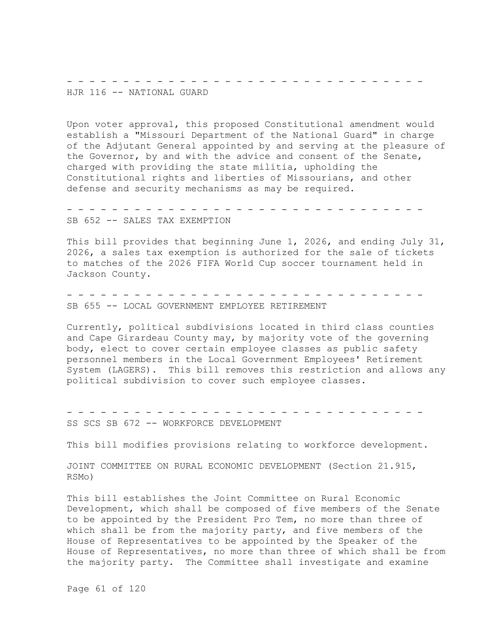- - - - - - - - - - - - - - - - - - - -HJR 116 -- NATIONAL GUARD

Upon voter approval, this proposed Constitutional amendment would establish a "Missouri Department of the National Guard" in charge of the Adjutant General appointed by and serving at the pleasure of the Governor, by and with the advice and consent of the Senate, charged with providing the state militia, upholding the Constitutional rights and liberties of Missourians, and other defense and security mechanisms as may be required.

- - - - - - - - - - - - - - - - - - - - - - - - - - - - - - - - SB 652 -- SALES TAX EXEMPTION

This bill provides that beginning June 1, 2026, and ending July 31, 2026, a sales tax exemption is authorized for the sale of tickets to matches of the 2026 FIFA World Cup soccer tournament held in Jackson County.

- - - - - - - - - - - - - - - - - - - - - - - - - - - - - - - - SB 655 -- LOCAL GOVERNMENT EMPLOYEE RETIREMENT

Currently, political subdivisions located in third class counties and Cape Girardeau County may, by majority vote of the governing body, elect to cover certain employee classes as public safety personnel members in the Local Government Employees' Retirement System (LAGERS). This bill removes this restriction and allows any political subdivision to cover such employee classes.

- - - - - - - - - - - - - - - - - - - - - - - - - - - - - - - - SS SCS SB 672 -- WORKFORCE DEVELOPMENT

This bill modifies provisions relating to workforce development.

JOINT COMMITTEE ON RURAL ECONOMIC DEVELOPMENT (Section 21.915, RSMo)

This bill establishes the Joint Committee on Rural Economic Development, which shall be composed of five members of the Senate to be appointed by the President Pro Tem, no more than three of which shall be from the majority party, and five members of the House of Representatives to be appointed by the Speaker of the House of Representatives, no more than three of which shall be from the majority party. The Committee shall investigate and examine

Page 61 of 120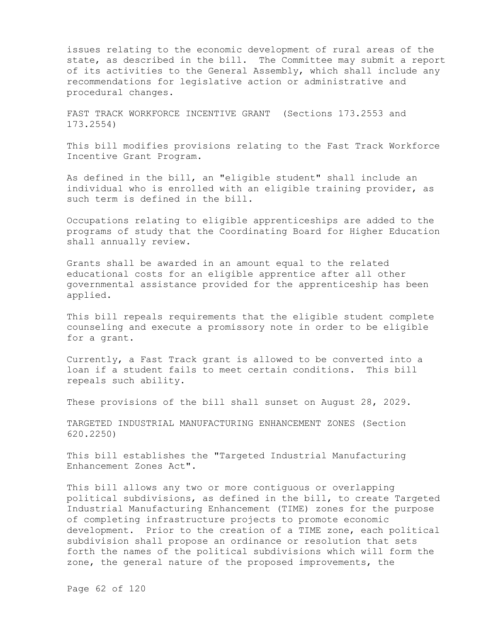issues relating to the economic development of rural areas of the state, as described in the bill. The Committee may submit a report of its activities to the General Assembly, which shall include any recommendations for legislative action or administrative and procedural changes.

FAST TRACK WORKFORCE INCENTIVE GRANT (Sections 173.2553 and 173.2554)

This bill modifies provisions relating to the Fast Track Workforce Incentive Grant Program.

As defined in the bill, an "eligible student" shall include an individual who is enrolled with an eligible training provider, as such term is defined in the bill.

Occupations relating to eligible apprenticeships are added to the programs of study that the Coordinating Board for Higher Education shall annually review.

Grants shall be awarded in an amount equal to the related educational costs for an eligible apprentice after all other governmental assistance provided for the apprenticeship has been applied.

This bill repeals requirements that the eligible student complete counseling and execute a promissory note in order to be eligible for a grant.

Currently, a Fast Track grant is allowed to be converted into a loan if a student fails to meet certain conditions. This bill repeals such ability.

These provisions of the bill shall sunset on August 28, 2029.

TARGETED INDUSTRIAL MANUFACTURING ENHANCEMENT ZONES (Section 620.2250)

This bill establishes the "Targeted Industrial Manufacturing Enhancement Zones Act".

This bill allows any two or more contiguous or overlapping political subdivisions, as defined in the bill, to create Targeted Industrial Manufacturing Enhancement (TIME) zones for the purpose of completing infrastructure projects to promote economic development. Prior to the creation of a TIME zone, each political subdivision shall propose an ordinance or resolution that sets forth the names of the political subdivisions which will form the zone, the general nature of the proposed improvements, the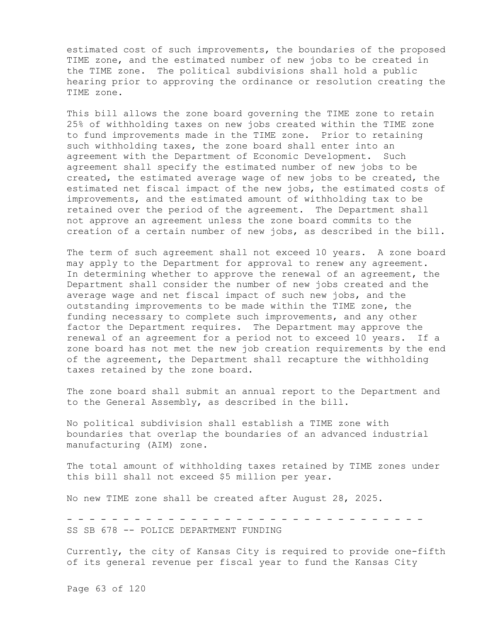estimated cost of such improvements, the boundaries of the proposed TIME zone, and the estimated number of new jobs to be created in the TIME zone. The political subdivisions shall hold a public hearing prior to approving the ordinance or resolution creating the TIME zone.

This bill allows the zone board governing the TIME zone to retain 25% of withholding taxes on new jobs created within the TIME zone to fund improvements made in the TIME zone. Prior to retaining such withholding taxes, the zone board shall enter into an agreement with the Department of Economic Development. Such agreement shall specify the estimated number of new jobs to be created, the estimated average wage of new jobs to be created, the estimated net fiscal impact of the new jobs, the estimated costs of improvements, and the estimated amount of withholding tax to be retained over the period of the agreement. The Department shall not approve an agreement unless the zone board commits to the creation of a certain number of new jobs, as described in the bill.

The term of such agreement shall not exceed 10 years. A zone board may apply to the Department for approval to renew any agreement. In determining whether to approve the renewal of an agreement, the Department shall consider the number of new jobs created and the average wage and net fiscal impact of such new jobs, and the outstanding improvements to be made within the TIME zone, the funding necessary to complete such improvements, and any other factor the Department requires. The Department may approve the renewal of an agreement for a period not to exceed 10 years. If a zone board has not met the new job creation requirements by the end of the agreement, the Department shall recapture the withholding taxes retained by the zone board.

The zone board shall submit an annual report to the Department and to the General Assembly, as described in the bill.

No political subdivision shall establish a TIME zone with boundaries that overlap the boundaries of an advanced industrial manufacturing (AIM) zone.

The total amount of withholding taxes retained by TIME zones under this bill shall not exceed \$5 million per year.

No new TIME zone shall be created after August 28, 2025.

- - - - - - - - - - - - - - - - - - - - - - - - - - - - - - - - SS SB 678 -- POLICE DEPARTMENT FUNDING

Currently, the city of Kansas City is required to provide one-fifth of its general revenue per fiscal year to fund the Kansas City

Page 63 of 120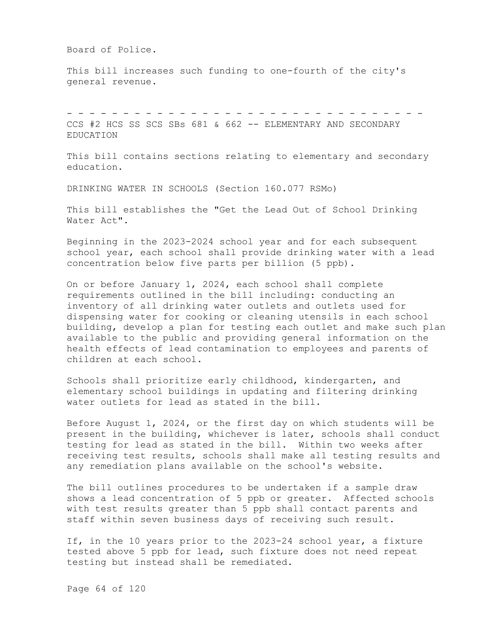Board of Police.

This bill increases such funding to one-fourth of the city's general revenue.

- - - - - - - - - - - - - - - - - - - - - - - - - - - - - - - - CCS #2 HCS SS SCS SBs 681 & 662 -- ELEMENTARY AND SECONDARY EDUCATION

This bill contains sections relating to elementary and secondary education.

DRINKING WATER IN SCHOOLS (Section 160.077 RSMo)

This bill establishes the "Get the Lead Out of School Drinking Water Act".

Beginning in the 2023-2024 school year and for each subsequent school year, each school shall provide drinking water with a lead concentration below five parts per billion (5 ppb).

On or before January 1, 2024, each school shall complete requirements outlined in the bill including: conducting an inventory of all drinking water outlets and outlets used for dispensing water for cooking or cleaning utensils in each school building, develop a plan for testing each outlet and make such plan available to the public and providing general information on the health effects of lead contamination to employees and parents of children at each school.

Schools shall prioritize early childhood, kindergarten, and elementary school buildings in updating and filtering drinking water outlets for lead as stated in the bill.

Before August 1, 2024, or the first day on which students will be present in the building, whichever is later, schools shall conduct testing for lead as stated in the bill. Within two weeks after receiving test results, schools shall make all testing results and any remediation plans available on the school's website.

The bill outlines procedures to be undertaken if a sample draw shows a lead concentration of 5 ppb or greater. Affected schools with test results greater than 5 ppb shall contact parents and staff within seven business days of receiving such result.

If, in the 10 years prior to the 2023-24 school year, a fixture tested above 5 ppb for lead, such fixture does not need repeat testing but instead shall be remediated.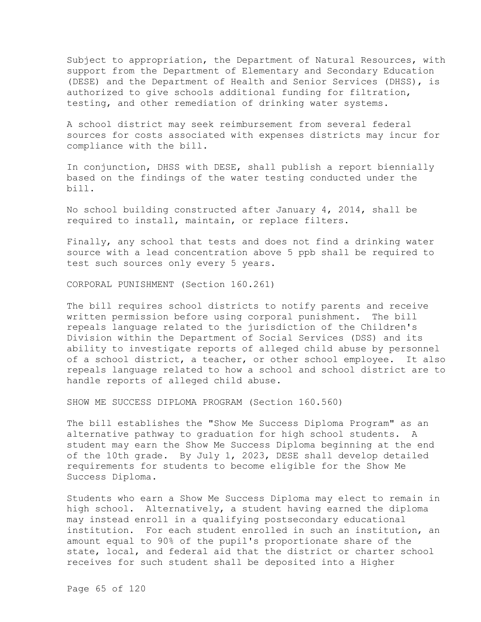Subject to appropriation, the Department of Natural Resources, with support from the Department of Elementary and Secondary Education (DESE) and the Department of Health and Senior Services (DHSS), is authorized to give schools additional funding for filtration, testing, and other remediation of drinking water systems.

A school district may seek reimbursement from several federal sources for costs associated with expenses districts may incur for compliance with the bill.

In conjunction, DHSS with DESE, shall publish a report biennially based on the findings of the water testing conducted under the bill.

No school building constructed after January 4, 2014, shall be required to install, maintain, or replace filters.

Finally, any school that tests and does not find a drinking water source with a lead concentration above 5 ppb shall be required to test such sources only every 5 years.

CORPORAL PUNISHMENT (Section 160.261)

The bill requires school districts to notify parents and receive written permission before using corporal punishment. The bill repeals language related to the jurisdiction of the Children's Division within the Department of Social Services (DSS) and its ability to investigate reports of alleged child abuse by personnel of a school district, a teacher, or other school employee. It also repeals language related to how a school and school district are to handle reports of alleged child abuse.

SHOW ME SUCCESS DIPLOMA PROGRAM (Section 160.560)

The bill establishes the "Show Me Success Diploma Program" as an alternative pathway to graduation for high school students. A student may earn the Show Me Success Diploma beginning at the end of the 10th grade. By July 1, 2023, DESE shall develop detailed requirements for students to become eligible for the Show Me Success Diploma.

Students who earn a Show Me Success Diploma may elect to remain in high school. Alternatively, a student having earned the diploma may instead enroll in a qualifying postsecondary educational institution. For each student enrolled in such an institution, an amount equal to 90% of the pupil's proportionate share of the state, local, and federal aid that the district or charter school receives for such student shall be deposited into a Higher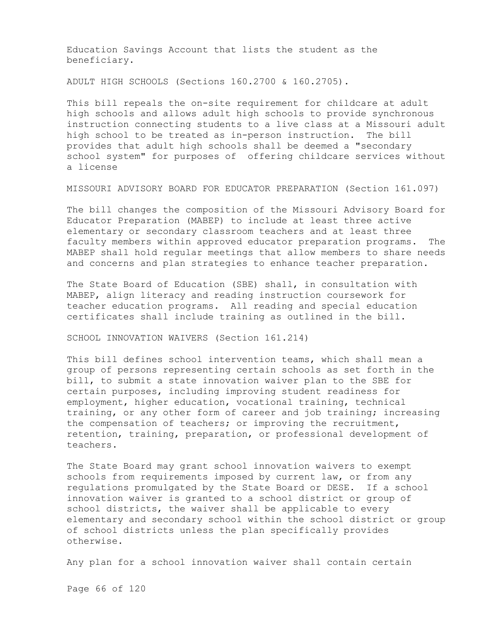Education Savings Account that lists the student as the beneficiary.

ADULT HIGH SCHOOLS (Sections 160.2700 & 160.2705).

This bill repeals the on-site requirement for childcare at adult high schools and allows adult high schools to provide synchronous instruction connecting students to a live class at a Missouri adult high school to be treated as in-person instruction. The bill provides that adult high schools shall be deemed a "secondary school system" for purposes of offering childcare services without a license

MISSOURI ADVISORY BOARD FOR EDUCATOR PREPARATION (Section 161.097)

The bill changes the composition of the Missouri Advisory Board for Educator Preparation (MABEP) to include at least three active elementary or secondary classroom teachers and at least three faculty members within approved educator preparation programs. The MABEP shall hold regular meetings that allow members to share needs and concerns and plan strategies to enhance teacher preparation.

The State Board of Education (SBE) shall, in consultation with MABEP, align literacy and reading instruction coursework for teacher education programs. All reading and special education certificates shall include training as outlined in the bill.

SCHOOL INNOVATION WAIVERS (Section 161.214)

This bill defines school intervention teams, which shall mean a group of persons representing certain schools as set forth in the bill, to submit a state innovation waiver plan to the SBE for certain purposes, including improving student readiness for employment, higher education, vocational training, technical training, or any other form of career and job training; increasing the compensation of teachers; or improving the recruitment, retention, training, preparation, or professional development of teachers.

The State Board may grant school innovation waivers to exempt schools from requirements imposed by current law, or from any regulations promulgated by the State Board or DESE. If a school innovation waiver is granted to a school district or group of school districts, the waiver shall be applicable to every elementary and secondary school within the school district or group of school districts unless the plan specifically provides otherwise.

Any plan for a school innovation waiver shall contain certain

Page 66 of 120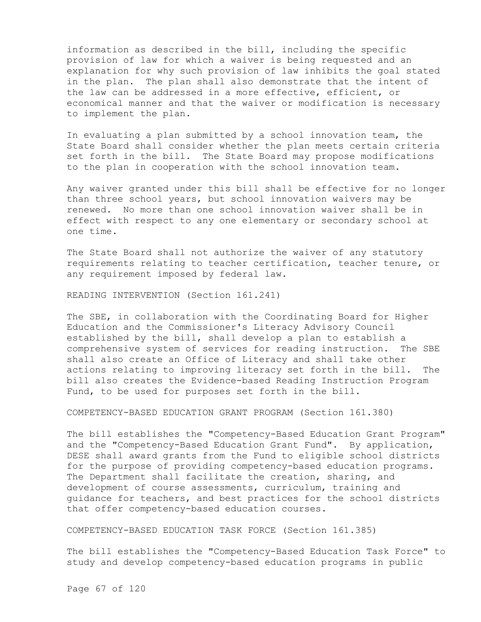information as described in the bill, including the specific provision of law for which a waiver is being requested and an explanation for why such provision of law inhibits the goal stated in the plan. The plan shall also demonstrate that the intent of the law can be addressed in a more effective, efficient, or economical manner and that the waiver or modification is necessary to implement the plan.

In evaluating a plan submitted by a school innovation team, the State Board shall consider whether the plan meets certain criteria set forth in the bill. The State Board may propose modifications to the plan in cooperation with the school innovation team.

Any waiver granted under this bill shall be effective for no longer than three school years, but school innovation waivers may be renewed. No more than one school innovation waiver shall be in effect with respect to any one elementary or secondary school at one time.

The State Board shall not authorize the waiver of any statutory requirements relating to teacher certification, teacher tenure, or any requirement imposed by federal law.

READING INTERVENTION (Section 161.241)

The SBE, in collaboration with the Coordinating Board for Higher Education and the Commissioner's Literacy Advisory Council established by the bill, shall develop a plan to establish a comprehensive system of services for reading instruction. The SBE shall also create an Office of Literacy and shall take other actions relating to improving literacy set forth in the bill. The bill also creates the Evidence-based Reading Instruction Program Fund, to be used for purposes set forth in the bill.

COMPETENCY-BASED EDUCATION GRANT PROGRAM (Section 161.380)

The bill establishes the "Competency-Based Education Grant Program" and the "Competency-Based Education Grant Fund". By application, DESE shall award grants from the Fund to eligible school districts for the purpose of providing competency-based education programs. The Department shall facilitate the creation, sharing, and development of course assessments, curriculum, training and guidance for teachers, and best practices for the school districts that offer competency-based education courses.

COMPETENCY-BASED EDUCATION TASK FORCE (Section 161.385)

The bill establishes the "Competency-Based Education Task Force" to study and develop competency-based education programs in public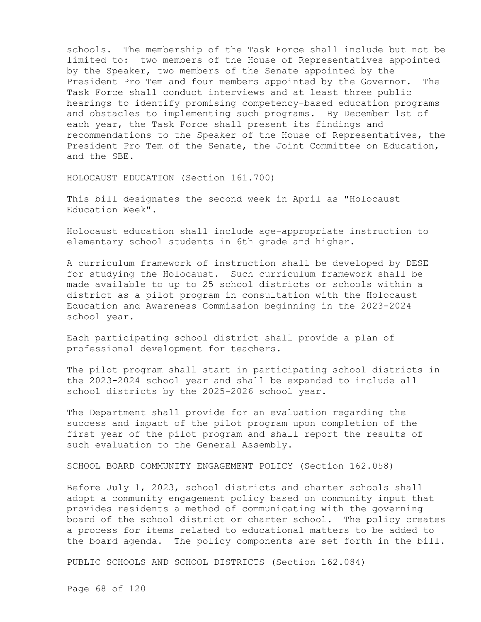schools. The membership of the Task Force shall include but not be limited to: two members of the House of Representatives appointed by the Speaker, two members of the Senate appointed by the President Pro Tem and four members appointed by the Governor. The Task Force shall conduct interviews and at least three public hearings to identify promising competency-based education programs and obstacles to implementing such programs. By December 1st of each year, the Task Force shall present its findings and recommendations to the Speaker of the House of Representatives, the President Pro Tem of the Senate, the Joint Committee on Education, and the SBE.

HOLOCAUST EDUCATION (Section 161.700)

This bill designates the second week in April as "Holocaust Education Week".

Holocaust education shall include age-appropriate instruction to elementary school students in 6th grade and higher.

A curriculum framework of instruction shall be developed by DESE for studying the Holocaust. Such curriculum framework shall be made available to up to 25 school districts or schools within a district as a pilot program in consultation with the Holocaust Education and Awareness Commission beginning in the 2023-2024 school year.

Each participating school district shall provide a plan of professional development for teachers.

The pilot program shall start in participating school districts in the 2023-2024 school year and shall be expanded to include all school districts by the 2025-2026 school year.

The Department shall provide for an evaluation regarding the success and impact of the pilot program upon completion of the first year of the pilot program and shall report the results of such evaluation to the General Assembly.

SCHOOL BOARD COMMUNITY ENGAGEMENT POLICY (Section 162.058)

Before July 1, 2023, school districts and charter schools shall adopt a community engagement policy based on community input that provides residents a method of communicating with the governing board of the school district or charter school. The policy creates a process for items related to educational matters to be added to the board agenda. The policy components are set forth in the bill.

PUBLIC SCHOOLS AND SCHOOL DISTRICTS (Section 162.084)

Page 68 of 120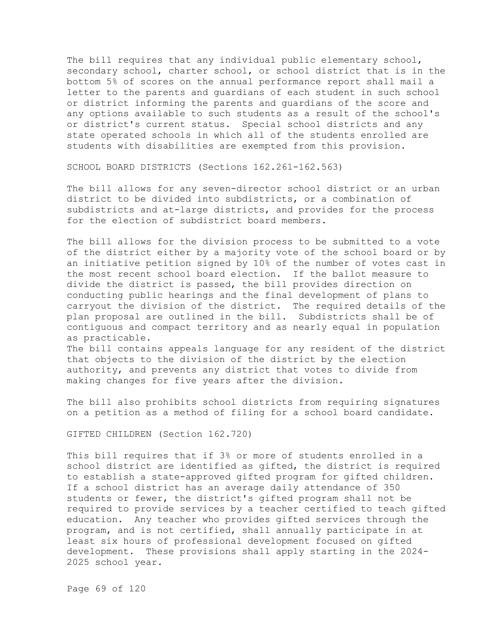The bill requires that any individual public elementary school, secondary school, charter school, or school district that is in the bottom 5% of scores on the annual performance report shall mail a letter to the parents and guardians of each student in such school or district informing the parents and guardians of the score and any options available to such students as a result of the school's or district's current status. Special school districts and any state operated schools in which all of the students enrolled are students with disabilities are exempted from this provision.

SCHOOL BOARD DISTRICTS (Sections 162.261-162.563)

The bill allows for any seven-director school district or an urban district to be divided into subdistricts, or a combination of subdistricts and at-large districts, and provides for the process for the election of subdistrict board members.

The bill allows for the division process to be submitted to a vote of the district either by a majority vote of the school board or by an initiative petition signed by 10% of the number of votes cast in the most recent school board election. If the ballot measure to divide the district is passed, the bill provides direction on conducting public hearings and the final development of plans to carryout the division of the district. The required details of the plan proposal are outlined in the bill. Subdistricts shall be of contiguous and compact territory and as nearly equal in population as practicable.

The bill contains appeals language for any resident of the district that objects to the division of the district by the election authority, and prevents any district that votes to divide from making changes for five years after the division.

The bill also prohibits school districts from requiring signatures on a petition as a method of filing for a school board candidate.

GIFTED CHILDREN (Section 162.720)

This bill requires that if 3% or more of students enrolled in a school district are identified as gifted, the district is required to establish a state-approved gifted program for gifted children. If a school district has an average daily attendance of 350 students or fewer, the district's gifted program shall not be required to provide services by a teacher certified to teach gifted education. Any teacher who provides gifted services through the program, and is not certified, shall annually participate in at least six hours of professional development focused on gifted development. These provisions shall apply starting in the 2024- 2025 school year.

Page 69 of 120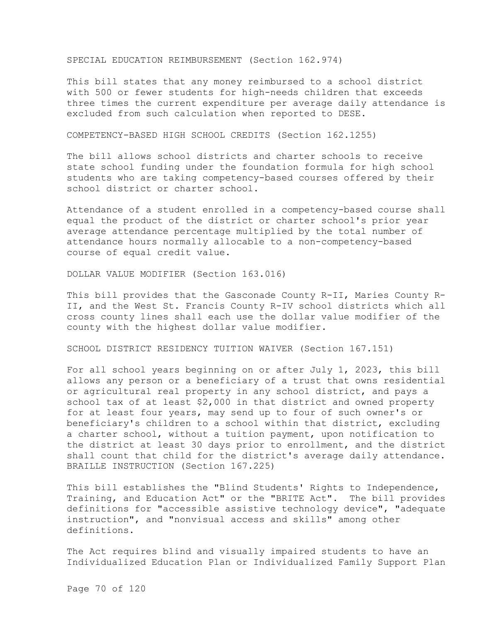SPECIAL EDUCATION REIMBURSEMENT (Section 162.974)

This bill states that any money reimbursed to a school district with 500 or fewer students for high-needs children that exceeds three times the current expenditure per average daily attendance is excluded from such calculation when reported to DESE.

COMPETENCY-BASED HIGH SCHOOL CREDITS (Section 162.1255)

The bill allows school districts and charter schools to receive state school funding under the foundation formula for high school students who are taking competency-based courses offered by their school district or charter school.

Attendance of a student enrolled in a competency-based course shall equal the product of the district or charter school's prior year average attendance percentage multiplied by the total number of attendance hours normally allocable to a non-competency-based course of equal credit value.

DOLLAR VALUE MODIFIER (Section 163.016)

This bill provides that the Gasconade County R-II, Maries County R-II, and the West St. Francis County R-IV school districts which all cross county lines shall each use the dollar value modifier of the county with the highest dollar value modifier.

SCHOOL DISTRICT RESIDENCY TUITION WAIVER (Section 167.151)

For all school years beginning on or after July 1, 2023, this bill allows any person or a beneficiary of a trust that owns residential or agricultural real property in any school district, and pays a school tax of at least \$2,000 in that district and owned property for at least four years, may send up to four of such owner's or beneficiary's children to a school within that district, excluding a charter school, without a tuition payment, upon notification to the district at least 30 days prior to enrollment, and the district shall count that child for the district's average daily attendance. BRAILLE INSTRUCTION (Section 167.225)

This bill establishes the "Blind Students' Rights to Independence, Training, and Education Act" or the "BRITE Act". The bill provides definitions for "accessible assistive technology device", "adequate instruction", and "nonvisual access and skills" among other definitions.

The Act requires blind and visually impaired students to have an Individualized Education Plan or Individualized Family Support Plan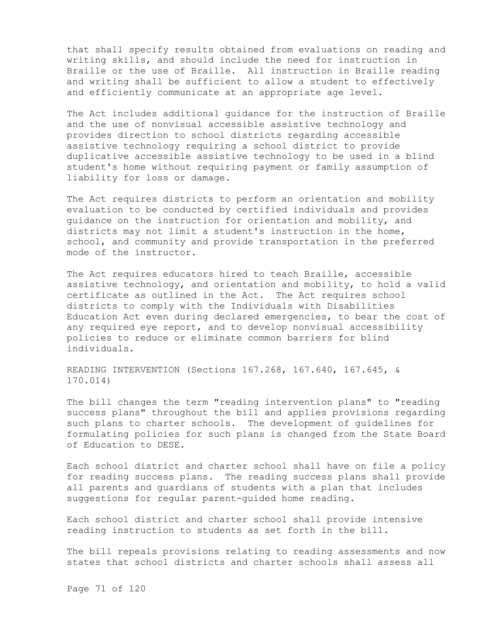that shall specify results obtained from evaluations on reading and writing skills, and should include the need for instruction in Braille or the use of Braille. All instruction in Braille reading and writing shall be sufficient to allow a student to effectively and efficiently communicate at an appropriate age level.

The Act includes additional guidance for the instruction of Braille and the use of nonvisual accessible assistive technology and provides direction to school districts regarding accessible assistive technology requiring a school district to provide duplicative accessible assistive technology to be used in a blind student's home without requiring payment or family assumption of liability for loss or damage.

The Act requires districts to perform an orientation and mobility evaluation to be conducted by certified individuals and provides guidance on the instruction for orientation and mobility, and districts may not limit a student's instruction in the home, school, and community and provide transportation in the preferred mode of the instructor.

The Act requires educators hired to teach Braille, accessible assistive technology, and orientation and mobility, to hold a valid certificate as outlined in the Act. The Act requires school districts to comply with the Individuals with Disabilities Education Act even during declared emergencies, to bear the cost of any required eye report, and to develop nonvisual accessibility policies to reduce or eliminate common barriers for blind individuals.

READING INTERVENTION (Sections 167.268, 167.640, 167.645, & 170.014)

The bill changes the term "reading intervention plans" to "reading success plans" throughout the bill and applies provisions regarding such plans to charter schools. The development of guidelines for formulating policies for such plans is changed from the State Board of Education to DESE.

Each school district and charter school shall have on file a policy for reading success plans. The reading success plans shall provide all parents and guardians of students with a plan that includes suggestions for regular parent-guided home reading.

Each school district and charter school shall provide intensive reading instruction to students as set forth in the bill.

The bill repeals provisions relating to reading assessments and now states that school districts and charter schools shall assess all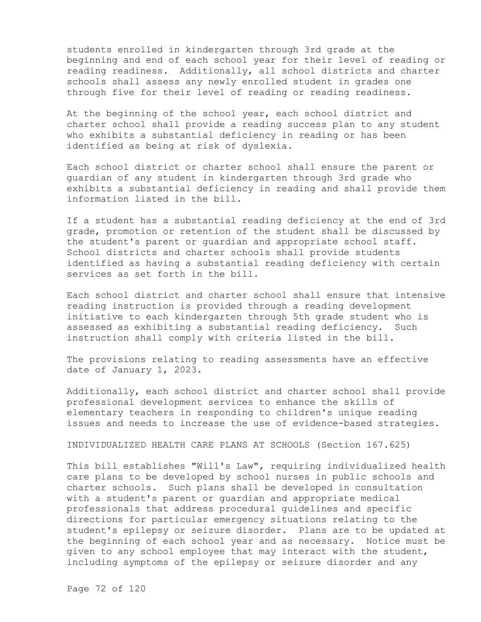students enrolled in kindergarten through 3rd grade at the beginning and end of each school year for their level of reading or reading readiness. Additionally, all school districts and charter schools shall assess any newly enrolled student in grades one through five for their level of reading or reading readiness.

At the beginning of the school year, each school district and charter school shall provide a reading success plan to any student who exhibits a substantial deficiency in reading or has been identified as being at risk of dyslexia.

Each school district or charter school shall ensure the parent or guardian of any student in kindergarten through 3rd grade who exhibits a substantial deficiency in reading and shall provide them information listed in the bill.

If a student has a substantial reading deficiency at the end of 3rd grade, promotion or retention of the student shall be discussed by the student's parent or guardian and appropriate school staff. School districts and charter schools shall provide students identified as having a substantial reading deficiency with certain services as set forth in the bill.

Each school district and charter school shall ensure that intensive reading instruction is provided through a reading development initiative to each kindergarten through 5th grade student who is assessed as exhibiting a substantial reading deficiency. Such instruction shall comply with criteria listed in the bill.

The provisions relating to reading assessments have an effective date of January 1, 2023.

Additionally, each school district and charter school shall provide professional development services to enhance the skills of elementary teachers in responding to children's unique reading issues and needs to increase the use of evidence-based strategies.

INDIVIDUALIZED HEALTH CARE PLANS AT SCHOOLS (Section 167.625)

This bill establishes "Will's Law", requiring individualized health care plans to be developed by school nurses in public schools and charter schools. Such plans shall be developed in consultation with a student's parent or guardian and appropriate medical professionals that address procedural guidelines and specific directions for particular emergency situations relating to the student's epilepsy or seizure disorder. Plans are to be updated at the beginning of each school year and as necessary. Notice must be given to any school employee that may interact with the student, including symptoms of the epilepsy or seizure disorder and any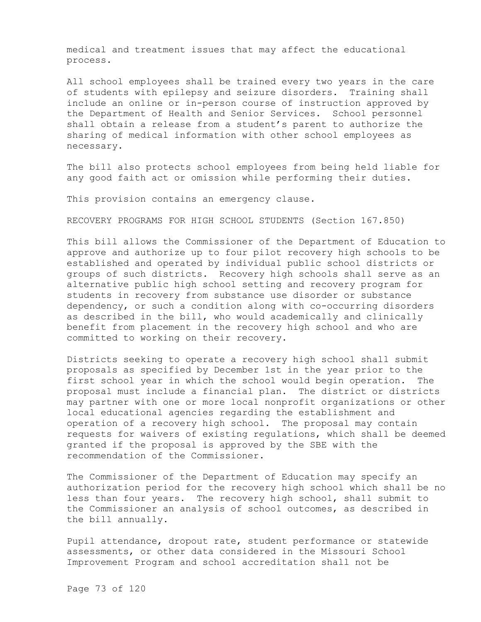medical and treatment issues that may affect the educational process.

All school employees shall be trained every two years in the care of students with epilepsy and seizure disorders. Training shall include an online or in-person course of instruction approved by the Department of Health and Senior Services. School personnel shall obtain a release from a student's parent to authorize the sharing of medical information with other school employees as necessary.

The bill also protects school employees from being held liable for any good faith act or omission while performing their duties.

This provision contains an emergency clause.

RECOVERY PROGRAMS FOR HIGH SCHOOL STUDENTS (Section 167.850)

This bill allows the Commissioner of the Department of Education to approve and authorize up to four pilot recovery high schools to be established and operated by individual public school districts or groups of such districts. Recovery high schools shall serve as an alternative public high school setting and recovery program for students in recovery from substance use disorder or substance dependency, or such a condition along with co-occurring disorders as described in the bill, who would academically and clinically benefit from placement in the recovery high school and who are committed to working on their recovery.

Districts seeking to operate a recovery high school shall submit proposals as specified by December 1st in the year prior to the first school year in which the school would begin operation. The proposal must include a financial plan. The district or districts may partner with one or more local nonprofit organizations or other local educational agencies regarding the establishment and operation of a recovery high school. The proposal may contain requests for waivers of existing regulations, which shall be deemed granted if the proposal is approved by the SBE with the recommendation of the Commissioner.

The Commissioner of the Department of Education may specify an authorization period for the recovery high school which shall be no less than four years. The recovery high school, shall submit to the Commissioner an analysis of school outcomes, as described in the bill annually.

Pupil attendance, dropout rate, student performance or statewide assessments, or other data considered in the Missouri School Improvement Program and school accreditation shall not be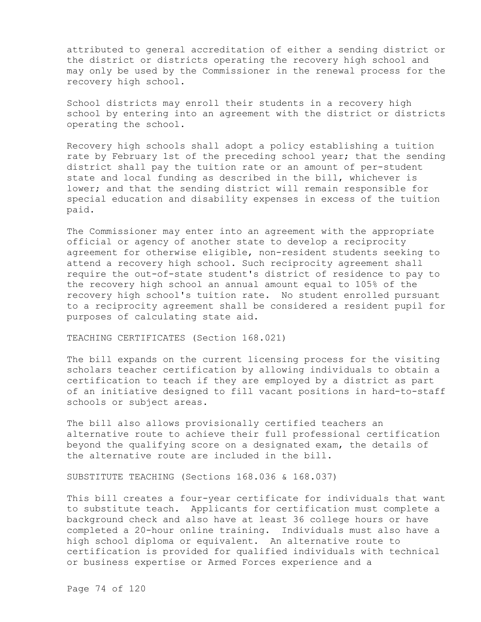attributed to general accreditation of either a sending district or the district or districts operating the recovery high school and may only be used by the Commissioner in the renewal process for the recovery high school.

School districts may enroll their students in a recovery high school by entering into an agreement with the district or districts operating the school.

Recovery high schools shall adopt a policy establishing a tuition rate by February 1st of the preceding school year; that the sending district shall pay the tuition rate or an amount of per-student state and local funding as described in the bill, whichever is lower; and that the sending district will remain responsible for special education and disability expenses in excess of the tuition paid.

The Commissioner may enter into an agreement with the appropriate official or agency of another state to develop a reciprocity agreement for otherwise eligible, non-resident students seeking to attend a recovery high school. Such reciprocity agreement shall require the out-of-state student's district of residence to pay to the recovery high school an annual amount equal to 105% of the recovery high school's tuition rate. No student enrolled pursuant to a reciprocity agreement shall be considered a resident pupil for purposes of calculating state aid.

TEACHING CERTIFICATES (Section 168.021)

The bill expands on the current licensing process for the visiting scholars teacher certification by allowing individuals to obtain a certification to teach if they are employed by a district as part of an initiative designed to fill vacant positions in hard-to-staff schools or subject areas.

The bill also allows provisionally certified teachers an alternative route to achieve their full professional certification beyond the qualifying score on a designated exam, the details of the alternative route are included in the bill.

SUBSTITUTE TEACHING (Sections 168.036 & 168.037)

This bill creates a four-year certificate for individuals that want to substitute teach. Applicants for certification must complete a background check and also have at least 36 college hours or have completed a 20-hour online training. Individuals must also have a high school diploma or equivalent. An alternative route to certification is provided for qualified individuals with technical or business expertise or Armed Forces experience and a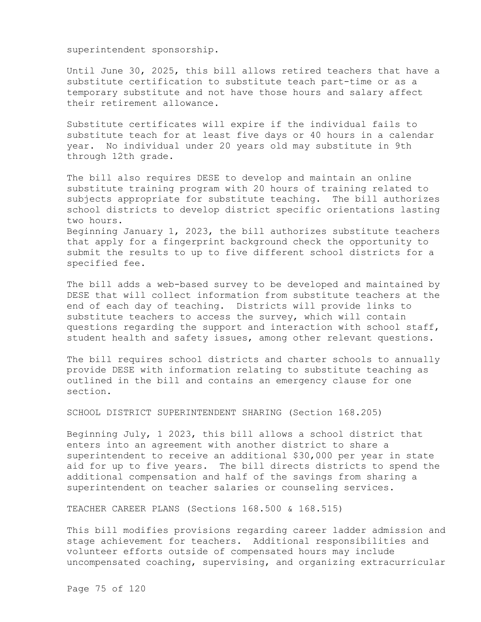superintendent sponsorship.

Until June 30, 2025, this bill allows retired teachers that have a substitute certification to substitute teach part-time or as a temporary substitute and not have those hours and salary affect their retirement allowance.

Substitute certificates will expire if the individual fails to substitute teach for at least five days or 40 hours in a calendar year. No individual under 20 years old may substitute in 9th through 12th grade.

The bill also requires DESE to develop and maintain an online substitute training program with 20 hours of training related to subjects appropriate for substitute teaching. The bill authorizes school districts to develop district specific orientations lasting two hours.

Beginning January 1, 2023, the bill authorizes substitute teachers that apply for a fingerprint background check the opportunity to submit the results to up to five different school districts for a specified fee.

The bill adds a web-based survey to be developed and maintained by DESE that will collect information from substitute teachers at the end of each day of teaching. Districts will provide links to substitute teachers to access the survey, which will contain questions regarding the support and interaction with school staff, student health and safety issues, among other relevant questions.

The bill requires school districts and charter schools to annually provide DESE with information relating to substitute teaching as outlined in the bill and contains an emergency clause for one section.

SCHOOL DISTRICT SUPERINTENDENT SHARING (Section 168.205)

Beginning July, 1 2023, this bill allows a school district that enters into an agreement with another district to share a superintendent to receive an additional \$30,000 per year in state aid for up to five years. The bill directs districts to spend the additional compensation and half of the savings from sharing a superintendent on teacher salaries or counseling services.

TEACHER CAREER PLANS (Sections 168.500 & 168.515)

This bill modifies provisions regarding career ladder admission and stage achievement for teachers. Additional responsibilities and volunteer efforts outside of compensated hours may include uncompensated coaching, supervising, and organizing extracurricular

Page 75 of 120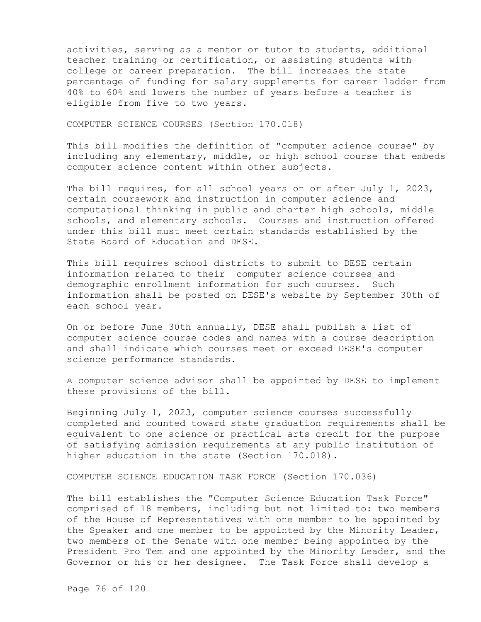activities, serving as a mentor or tutor to students, additional teacher training or certification, or assisting students with college or career preparation. The bill increases the state percentage of funding for salary supplements for career ladder from 40% to 60% and lowers the number of years before a teacher is eligible from five to two years.

COMPUTER SCIENCE COURSES (Section 170.018)

This bill modifies the definition of "computer science course" by including any elementary, middle, or high school course that embeds computer science content within other subjects.

The bill requires, for all school years on or after July 1, 2023, certain coursework and instruction in computer science and computational thinking in public and charter high schools, middle schools, and elementary schools. Courses and instruction offered under this bill must meet certain standards established by the State Board of Education and DESE.

This bill requires school districts to submit to DESE certain information related to their computer science courses and demographic enrollment information for such courses. Such information shall be posted on DESE's website by September 30th of each school year.

On or before June 30th annually, DESE shall publish a list of computer science course codes and names with a course description and shall indicate which courses meet or exceed DESE's computer science performance standards.

A computer science advisor shall be appointed by DESE to implement these provisions of the bill.

Beginning July 1, 2023, computer science courses successfully completed and counted toward state graduation requirements shall be equivalent to one science or practical arts credit for the purpose of satisfying admission requirements at any public institution of higher education in the state (Section 170.018).

COMPUTER SCIENCE EDUCATION TASK FORCE (Section 170.036)

The bill establishes the "Computer Science Education Task Force" comprised of 18 members, including but not limited to: two members of the House of Representatives with one member to be appointed by the Speaker and one member to be appointed by the Minority Leader, two members of the Senate with one member being appointed by the President Pro Tem and one appointed by the Minority Leader, and the Governor or his or her designee. The Task Force shall develop a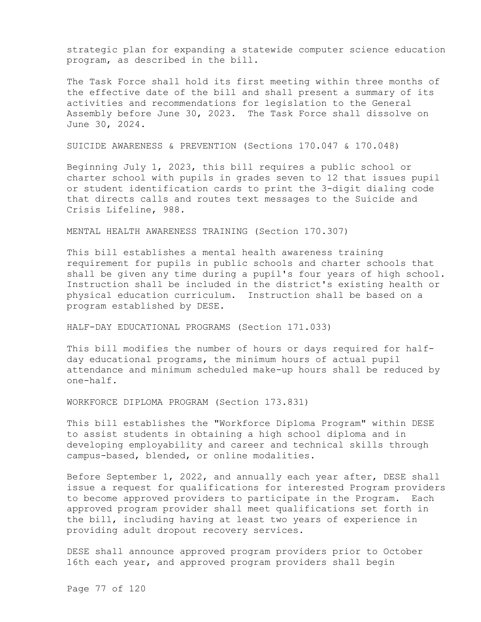strategic plan for expanding a statewide computer science education program, as described in the bill.

The Task Force shall hold its first meeting within three months of the effective date of the bill and shall present a summary of its activities and recommendations for legislation to the General Assembly before June 30, 2023. The Task Force shall dissolve on June 30, 2024.

SUICIDE AWARENESS & PREVENTION (Sections 170.047 & 170.048)

Beginning July 1, 2023, this bill requires a public school or charter school with pupils in grades seven to 12 that issues pupil or student identification cards to print the 3-digit dialing code that directs calls and routes text messages to the Suicide and Crisis Lifeline, 988.

MENTAL HEALTH AWARENESS TRAINING (Section 170.307)

This bill establishes a mental health awareness training requirement for pupils in public schools and charter schools that shall be given any time during a pupil's four years of high school. Instruction shall be included in the district's existing health or physical education curriculum. Instruction shall be based on a program established by DESE.

HALF-DAY EDUCATIONAL PROGRAMS (Section 171.033)

This bill modifies the number of hours or days required for halfday educational programs, the minimum hours of actual pupil attendance and minimum scheduled make-up hours shall be reduced by one-half.

WORKFORCE DIPLOMA PROGRAM (Section 173.831)

This bill establishes the "Workforce Diploma Program" within DESE to assist students in obtaining a high school diploma and in developing employability and career and technical skills through campus-based, blended, or online modalities.

Before September 1, 2022, and annually each year after, DESE shall issue a request for qualifications for interested Program providers to become approved providers to participate in the Program. Each approved program provider shall meet qualifications set forth in the bill, including having at least two years of experience in providing adult dropout recovery services.

DESE shall announce approved program providers prior to October 16th each year, and approved program providers shall begin

Page 77 of 120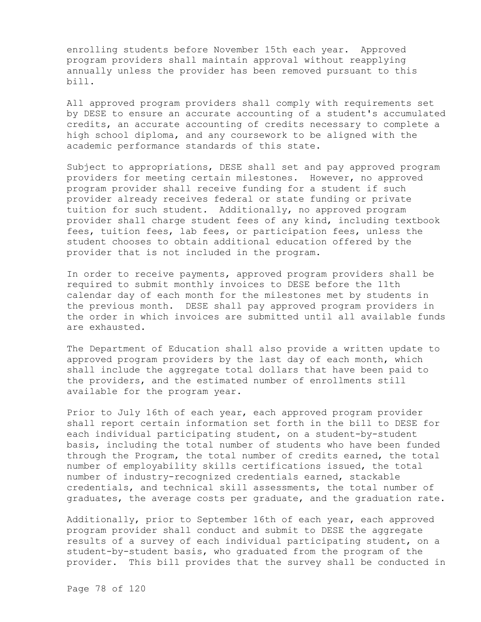enrolling students before November 15th each year. Approved program providers shall maintain approval without reapplying annually unless the provider has been removed pursuant to this bill.

All approved program providers shall comply with requirements set by DESE to ensure an accurate accounting of a student's accumulated credits, an accurate accounting of credits necessary to complete a high school diploma, and any coursework to be aligned with the academic performance standards of this state.

Subject to appropriations, DESE shall set and pay approved program providers for meeting certain milestones. However, no approved program provider shall receive funding for a student if such provider already receives federal or state funding or private tuition for such student. Additionally, no approved program provider shall charge student fees of any kind, including textbook fees, tuition fees, lab fees, or participation fees, unless the student chooses to obtain additional education offered by the provider that is not included in the program.

In order to receive payments, approved program providers shall be required to submit monthly invoices to DESE before the 11th calendar day of each month for the milestones met by students in the previous month. DESE shall pay approved program providers in the order in which invoices are submitted until all available funds are exhausted.

The Department of Education shall also provide a written update to approved program providers by the last day of each month, which shall include the aggregate total dollars that have been paid to the providers, and the estimated number of enrollments still available for the program year.

Prior to July 16th of each year, each approved program provider shall report certain information set forth in the bill to DESE for each individual participating student, on a student-by-student basis, including the total number of students who have been funded through the Program, the total number of credits earned, the total number of employability skills certifications issued, the total number of industry-recognized credentials earned, stackable credentials, and technical skill assessments, the total number of graduates, the average costs per graduate, and the graduation rate.

Additionally, prior to September 16th of each year, each approved program provider shall conduct and submit to DESE the aggregate results of a survey of each individual participating student, on a student-by-student basis, who graduated from the program of the provider. This bill provides that the survey shall be conducted in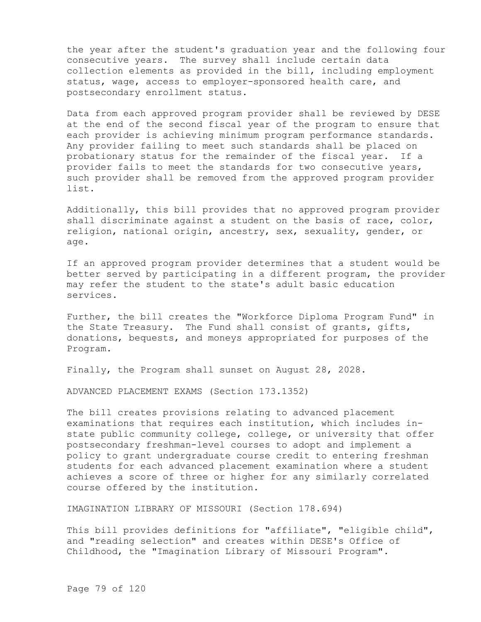the year after the student's graduation year and the following four consecutive years. The survey shall include certain data collection elements as provided in the bill, including employment status, wage, access to employer-sponsored health care, and postsecondary enrollment status.

Data from each approved program provider shall be reviewed by DESE at the end of the second fiscal year of the program to ensure that each provider is achieving minimum program performance standards. Any provider failing to meet such standards shall be placed on probationary status for the remainder of the fiscal year. If a provider fails to meet the standards for two consecutive years, such provider shall be removed from the approved program provider list.

Additionally, this bill provides that no approved program provider shall discriminate against a student on the basis of race, color, religion, national origin, ancestry, sex, sexuality, gender, or age.

If an approved program provider determines that a student would be better served by participating in a different program, the provider may refer the student to the state's adult basic education services.

Further, the bill creates the "Workforce Diploma Program Fund" in the State Treasury. The Fund shall consist of grants, gifts, donations, bequests, and moneys appropriated for purposes of the Program.

Finally, the Program shall sunset on August 28, 2028.

ADVANCED PLACEMENT EXAMS (Section 173.1352)

The bill creates provisions relating to advanced placement examinations that requires each institution, which includes instate public community college, college, or university that offer postsecondary freshman-level courses to adopt and implement a policy to grant undergraduate course credit to entering freshman students for each advanced placement examination where a student achieves a score of three or higher for any similarly correlated course offered by the institution.

IMAGINATION LIBRARY OF MISSOURI (Section 178.694)

This bill provides definitions for "affiliate", "eligible child", and "reading selection" and creates within DESE's Office of Childhood, the "Imagination Library of Missouri Program".

Page 79 of 120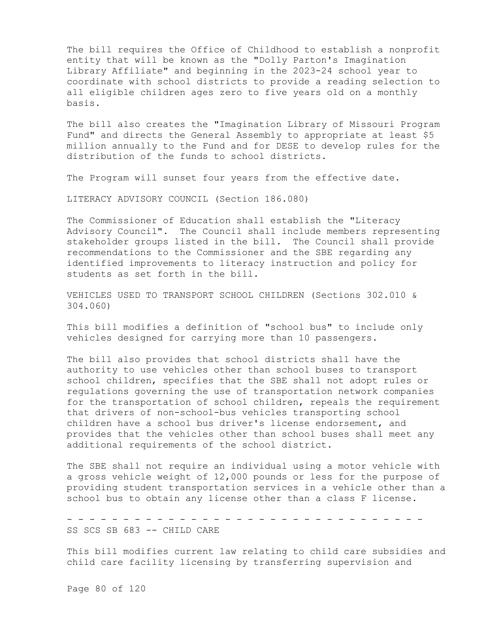The bill requires the Office of Childhood to establish a nonprofit entity that will be known as the "Dolly Parton's Imagination Library Affiliate" and beginning in the 2023-24 school year to coordinate with school districts to provide a reading selection to all eligible children ages zero to five years old on a monthly basis.

The bill also creates the "Imagination Library of Missouri Program Fund" and directs the General Assembly to appropriate at least \$5 million annually to the Fund and for DESE to develop rules for the distribution of the funds to school districts.

The Program will sunset four years from the effective date.

LITERACY ADVISORY COUNCIL (Section 186.080)

The Commissioner of Education shall establish the "Literacy Advisory Council". The Council shall include members representing stakeholder groups listed in the bill. The Council shall provide recommendations to the Commissioner and the SBE regarding any identified improvements to literacy instruction and policy for students as set forth in the bill.

VEHICLES USED TO TRANSPORT SCHOOL CHILDREN (Sections 302.010 & 304.060)

This bill modifies a definition of "school bus" to include only vehicles designed for carrying more than 10 passengers.

The bill also provides that school districts shall have the authority to use vehicles other than school buses to transport school children, specifies that the SBE shall not adopt rules or regulations governing the use of transportation network companies for the transportation of school children, repeals the requirement that drivers of non-school-bus vehicles transporting school children have a school bus driver's license endorsement, and provides that the vehicles other than school buses shall meet any additional requirements of the school district.

The SBE shall not require an individual using a motor vehicle with a gross vehicle weight of 12,000 pounds or less for the purpose of providing student transportation services in a vehicle other than a school bus to obtain any license other than a class F license.

- - - - - - - - - - - - - - - - - - - - - - - - - - - - - - - - SS SCS SB 683 -- CHILD CARE

This bill modifies current law relating to child care subsidies and child care facility licensing by transferring supervision and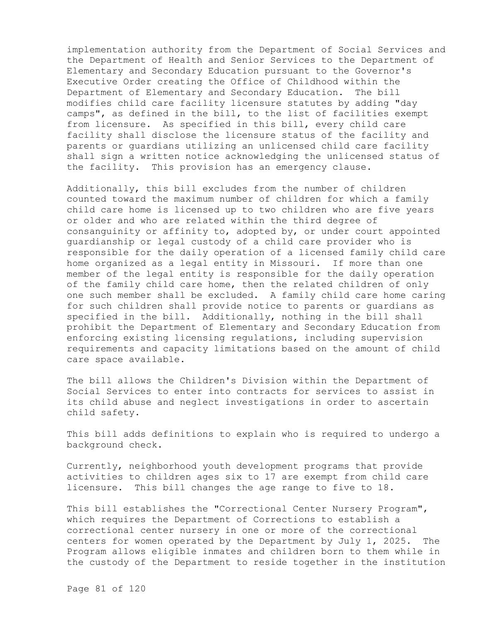implementation authority from the Department of Social Services and the Department of Health and Senior Services to the Department of Elementary and Secondary Education pursuant to the Governor's Executive Order creating the Office of Childhood within the Department of Elementary and Secondary Education. The bill modifies child care facility licensure statutes by adding "day camps", as defined in the bill, to the list of facilities exempt from licensure. As specified in this bill, every child care facility shall disclose the licensure status of the facility and parents or guardians utilizing an unlicensed child care facility shall sign a written notice acknowledging the unlicensed status of the facility. This provision has an emergency clause.

Additionally, this bill excludes from the number of children counted toward the maximum number of children for which a family child care home is licensed up to two children who are five years or older and who are related within the third degree of consanguinity or affinity to, adopted by, or under court appointed guardianship or legal custody of a child care provider who is responsible for the daily operation of a licensed family child care home organized as a legal entity in Missouri. If more than one member of the legal entity is responsible for the daily operation of the family child care home, then the related children of only one such member shall be excluded. A family child care home caring for such children shall provide notice to parents or guardians as specified in the bill. Additionally, nothing in the bill shall prohibit the Department of Elementary and Secondary Education from enforcing existing licensing regulations, including supervision requirements and capacity limitations based on the amount of child care space available.

The bill allows the Children's Division within the Department of Social Services to enter into contracts for services to assist in its child abuse and neglect investigations in order to ascertain child safety.

This bill adds definitions to explain who is required to undergo a background check.

Currently, neighborhood youth development programs that provide activities to children ages six to 17 are exempt from child care licensure. This bill changes the age range to five to 18.

This bill establishes the "Correctional Center Nursery Program", which requires the Department of Corrections to establish a correctional center nursery in one or more of the correctional centers for women operated by the Department by July 1, 2025. The Program allows eligible inmates and children born to them while in the custody of the Department to reside together in the institution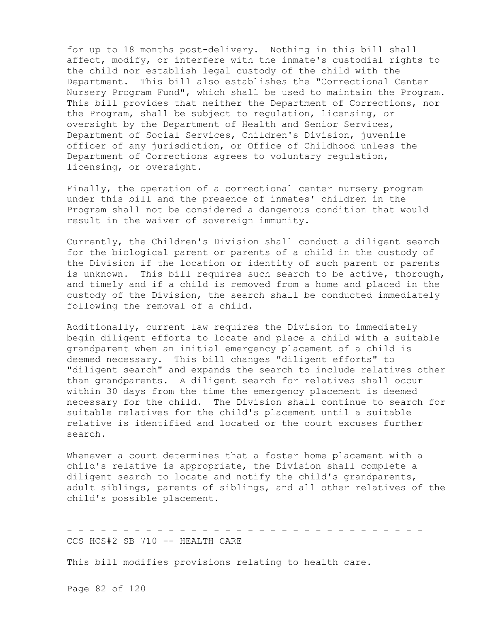for up to 18 months post-delivery. Nothing in this bill shall affect, modify, or interfere with the inmate's custodial rights to the child nor establish legal custody of the child with the Department. This bill also establishes the "Correctional Center Nursery Program Fund", which shall be used to maintain the Program. This bill provides that neither the Department of Corrections, nor the Program, shall be subject to regulation, licensing, or oversight by the Department of Health and Senior Services, Department of Social Services, Children's Division, juvenile officer of any jurisdiction, or Office of Childhood unless the Department of Corrections agrees to voluntary regulation, licensing, or oversight.

Finally, the operation of a correctional center nursery program under this bill and the presence of inmates' children in the Program shall not be considered a dangerous condition that would result in the waiver of sovereign immunity.

Currently, the Children's Division shall conduct a diligent search for the biological parent or parents of a child in the custody of the Division if the location or identity of such parent or parents is unknown. This bill requires such search to be active, thorough, and timely and if a child is removed from a home and placed in the custody of the Division, the search shall be conducted immediately following the removal of a child.

Additionally, current law requires the Division to immediately begin diligent efforts to locate and place a child with a suitable grandparent when an initial emergency placement of a child is deemed necessary. This bill changes "diligent efforts" to "diligent search" and expands the search to include relatives other than grandparents. A diligent search for relatives shall occur within 30 days from the time the emergency placement is deemed necessary for the child. The Division shall continue to search for suitable relatives for the child's placement until a suitable relative is identified and located or the court excuses further search.

Whenever a court determines that a foster home placement with a child's relative is appropriate, the Division shall complete a diligent search to locate and notify the child's grandparents, adult siblings, parents of siblings, and all other relatives of the child's possible placement.

- - - - - - - - - - - - - - - - - - - - - - - - - - - - - - - - CCS HCS#2 SB 710 -- HEALTH CARE

This bill modifies provisions relating to health care.

Page 82 of 120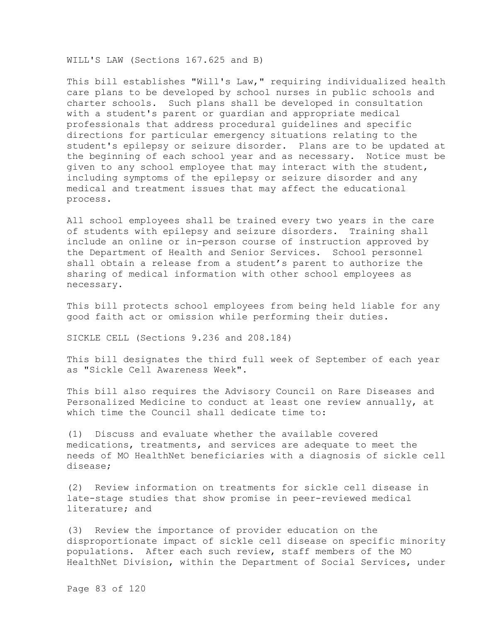WILL'S LAW (Sections 167.625 and B)

This bill establishes "Will's Law," requiring individualized health care plans to be developed by school nurses in public schools and charter schools. Such plans shall be developed in consultation with a student's parent or guardian and appropriate medical professionals that address procedural guidelines and specific directions for particular emergency situations relating to the student's epilepsy or seizure disorder. Plans are to be updated at the beginning of each school year and as necessary. Notice must be given to any school employee that may interact with the student, including symptoms of the epilepsy or seizure disorder and any medical and treatment issues that may affect the educational process.

All school employees shall be trained every two years in the care of students with epilepsy and seizure disorders. Training shall include an online or in-person course of instruction approved by the Department of Health and Senior Services. School personnel shall obtain a release from a student's parent to authorize the sharing of medical information with other school employees as necessary.

This bill protects school employees from being held liable for any good faith act or omission while performing their duties.

SICKLE CELL (Sections 9.236 and 208.184)

This bill designates the third full week of September of each year as "Sickle Cell Awareness Week".

This bill also requires the Advisory Council on Rare Diseases and Personalized Medicine to conduct at least one review annually, at which time the Council shall dedicate time to:

(1) Discuss and evaluate whether the available covered medications, treatments, and services are adequate to meet the needs of MO HealthNet beneficiaries with a diagnosis of sickle cell disease;

(2) Review information on treatments for sickle cell disease in late-stage studies that show promise in peer-reviewed medical literature; and

(3) Review the importance of provider education on the disproportionate impact of sickle cell disease on specific minority populations. After each such review, staff members of the MO HealthNet Division, within the Department of Social Services, under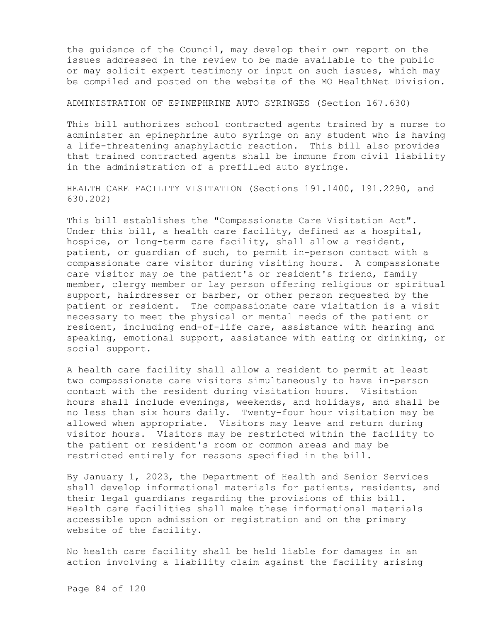the guidance of the Council, may develop their own report on the issues addressed in the review to be made available to the public or may solicit expert testimony or input on such issues, which may be compiled and posted on the website of the MO HealthNet Division.

## ADMINISTRATION OF EPINEPHRINE AUTO SYRINGES (Section 167.630)

This bill authorizes school contracted agents trained by a nurse to administer an epinephrine auto syringe on any student who is having a life-threatening anaphylactic reaction. This bill also provides that trained contracted agents shall be immune from civil liability in the administration of a prefilled auto syringe.

HEALTH CARE FACILITY VISITATION (Sections 191.1400, 191.2290, and 630.202)

This bill establishes the "Compassionate Care Visitation Act". Under this bill, a health care facility, defined as a hospital, hospice, or long-term care facility, shall allow a resident, patient, or guardian of such, to permit in-person contact with a compassionate care visitor during visiting hours. A compassionate care visitor may be the patient's or resident's friend, family member, clergy member or lay person offering religious or spiritual support, hairdresser or barber, or other person requested by the patient or resident. The compassionate care visitation is a visit necessary to meet the physical or mental needs of the patient or resident, including end-of-life care, assistance with hearing and speaking, emotional support, assistance with eating or drinking, or social support.

A health care facility shall allow a resident to permit at least two compassionate care visitors simultaneously to have in-person contact with the resident during visitation hours. Visitation hours shall include evenings, weekends, and holidays, and shall be no less than six hours daily. Twenty-four hour visitation may be allowed when appropriate. Visitors may leave and return during visitor hours. Visitors may be restricted within the facility to the patient or resident's room or common areas and may be restricted entirely for reasons specified in the bill.

By January 1, 2023, the Department of Health and Senior Services shall develop informational materials for patients, residents, and their legal guardians regarding the provisions of this bill. Health care facilities shall make these informational materials accessible upon admission or registration and on the primary website of the facility.

No health care facility shall be held liable for damages in an action involving a liability claim against the facility arising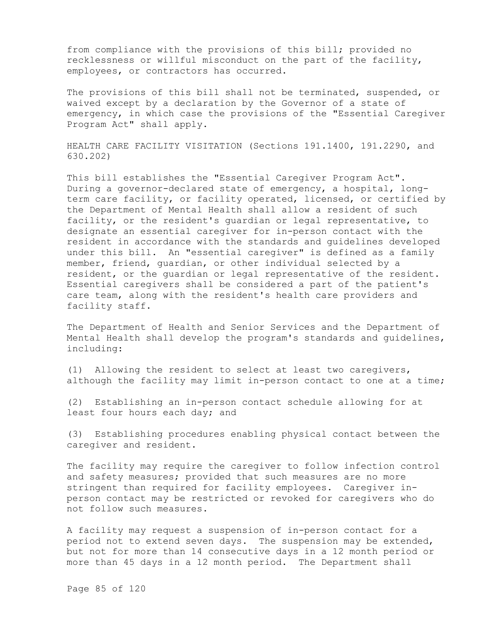from compliance with the provisions of this bill; provided no recklessness or willful misconduct on the part of the facility, employees, or contractors has occurred.

The provisions of this bill shall not be terminated, suspended, or waived except by a declaration by the Governor of a state of emergency, in which case the provisions of the "Essential Caregiver Program Act" shall apply.

HEALTH CARE FACILITY VISITATION (Sections 191.1400, 191.2290, and 630.202)

This bill establishes the "Essential Caregiver Program Act". During a governor-declared state of emergency, a hospital, longterm care facility, or facility operated, licensed, or certified by the Department of Mental Health shall allow a resident of such facility, or the resident's guardian or legal representative, to designate an essential caregiver for in-person contact with the resident in accordance with the standards and guidelines developed under this bill. An "essential caregiver" is defined as a family member, friend, guardian, or other individual selected by a resident, or the guardian or legal representative of the resident. Essential caregivers shall be considered a part of the patient's care team, along with the resident's health care providers and facility staff.

The Department of Health and Senior Services and the Department of Mental Health shall develop the program's standards and guidelines, including:

(1) Allowing the resident to select at least two caregivers, although the facility may limit in-person contact to one at a time;

(2) Establishing an in-person contact schedule allowing for at least four hours each day; and

(3) Establishing procedures enabling physical contact between the caregiver and resident.

The facility may require the caregiver to follow infection control and safety measures; provided that such measures are no more stringent than required for facility employees. Caregiver inperson contact may be restricted or revoked for caregivers who do not follow such measures.

A facility may request a suspension of in-person contact for a period not to extend seven days. The suspension may be extended, but not for more than 14 consecutive days in a 12 month period or more than 45 days in a 12 month period. The Department shall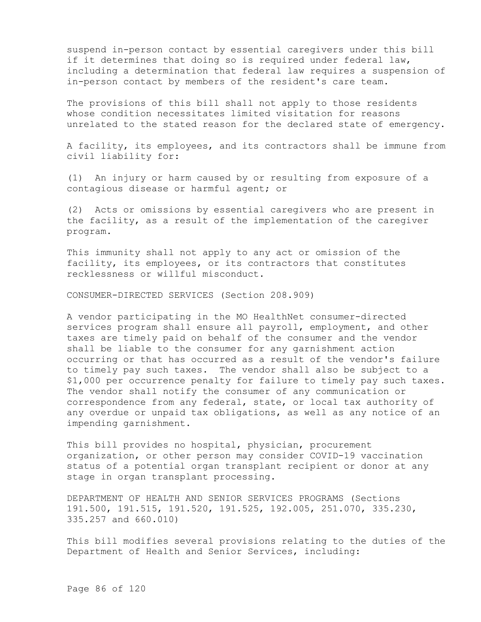suspend in-person contact by essential caregivers under this bill if it determines that doing so is required under federal law, including a determination that federal law requires a suspension of in-person contact by members of the resident's care team.

The provisions of this bill shall not apply to those residents whose condition necessitates limited visitation for reasons unrelated to the stated reason for the declared state of emergency.

A facility, its employees, and its contractors shall be immune from civil liability for:

(1) An injury or harm caused by or resulting from exposure of a contagious disease or harmful agent; or

(2) Acts or omissions by essential caregivers who are present in the facility, as a result of the implementation of the caregiver program.

This immunity shall not apply to any act or omission of the facility, its employees, or its contractors that constitutes recklessness or willful misconduct.

CONSUMER-DIRECTED SERVICES (Section 208.909)

A vendor participating in the MO HealthNet consumer-directed services program shall ensure all payroll, employment, and other taxes are timely paid on behalf of the consumer and the vendor shall be liable to the consumer for any garnishment action occurring or that has occurred as a result of the vendor's failure to timely pay such taxes. The vendor shall also be subject to a \$1,000 per occurrence penalty for failure to timely pay such taxes. The vendor shall notify the consumer of any communication or correspondence from any federal, state, or local tax authority of any overdue or unpaid tax obligations, as well as any notice of an impending garnishment.

This bill provides no hospital, physician, procurement organization, or other person may consider COVID-19 vaccination status of a potential organ transplant recipient or donor at any stage in organ transplant processing.

DEPARTMENT OF HEALTH AND SENIOR SERVICES PROGRAMS (Sections 191.500, 191.515, 191.520, 191.525, 192.005, 251.070, 335.230, 335.257 and 660.010)

This bill modifies several provisions relating to the duties of the Department of Health and Senior Services, including: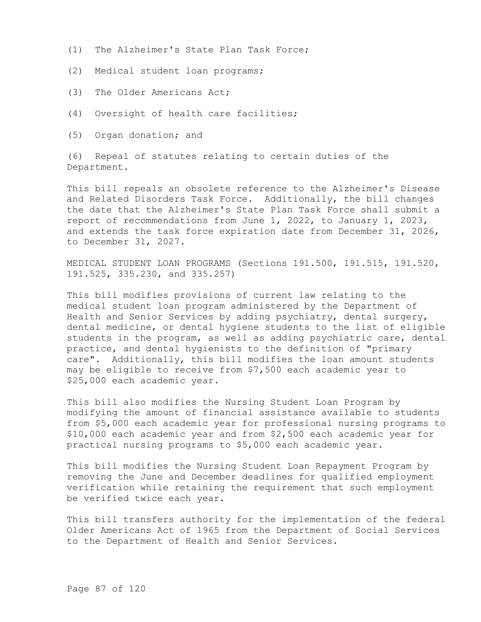- (1) The Alzheimer's State Plan Task Force;
- (2) Medical student loan programs;
- (3) The Older Americans Act;
- (4) Oversight of health care facilities;
- (5) Organ donation; and

(6) Repeal of statutes relating to certain duties of the Department.

This bill repeals an obsolete reference to the Alzheimer's Disease and Related Disorders Task Force. Additionally, the bill changes the date that the Alzheimer's State Plan Task Force shall submit a report of recommendations from June 1, 2022, to January 1, 2023, and extends the task force expiration date from December 31, 2026, to December 31, 2027.

MEDICAL STUDENT LOAN PROGRAMS (Sections 191.500, 191.515, 191.520, 191.525, 335.230, and 335.257)

This bill modifies provisions of current law relating to the medical student loan program administered by the Department of Health and Senior Services by adding psychiatry, dental surgery, dental medicine, or dental hygiene students to the list of eligible students in the program, as well as adding psychiatric care, dental practice, and dental hygienists to the definition of "primary care". Additionally, this bill modifies the loan amount students may be eligible to receive from \$7,500 each academic year to \$25,000 each academic year.

This bill also modifies the Nursing Student Loan Program by modifying the amount of financial assistance available to students from \$5,000 each academic year for professional nursing programs to \$10,000 each academic year and from \$2,500 each academic year for practical nursing programs to \$5,000 each academic year.

This bill modifies the Nursing Student Loan Repayment Program by removing the June and December deadlines for qualified employment verification while retaining the requirement that such employment be verified twice each year.

This bill transfers authority for the implementation of the federal Older Americans Act of 1965 from the Department of Social Services to the Department of Health and Senior Services.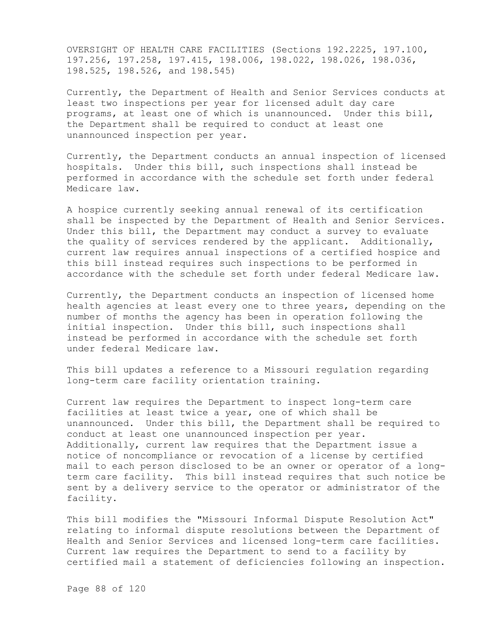OVERSIGHT OF HEALTH CARE FACILITIES (Sections 192.2225, 197.100, 197.256, 197.258, 197.415, 198.006, 198.022, 198.026, 198.036, 198.525, 198.526, and 198.545)

Currently, the Department of Health and Senior Services conducts at least two inspections per year for licensed adult day care programs, at least one of which is unannounced. Under this bill, the Department shall be required to conduct at least one unannounced inspection per year.

Currently, the Department conducts an annual inspection of licensed hospitals. Under this bill, such inspections shall instead be performed in accordance with the schedule set forth under federal Medicare law.

A hospice currently seeking annual renewal of its certification shall be inspected by the Department of Health and Senior Services. Under this bill, the Department may conduct a survey to evaluate the quality of services rendered by the applicant. Additionally, current law requires annual inspections of a certified hospice and this bill instead requires such inspections to be performed in accordance with the schedule set forth under federal Medicare law.

Currently, the Department conducts an inspection of licensed home health agencies at least every one to three years, depending on the number of months the agency has been in operation following the initial inspection. Under this bill, such inspections shall instead be performed in accordance with the schedule set forth under federal Medicare law.

This bill updates a reference to a Missouri regulation regarding long-term care facility orientation training.

Current law requires the Department to inspect long-term care facilities at least twice a year, one of which shall be unannounced. Under this bill, the Department shall be required to conduct at least one unannounced inspection per year. Additionally, current law requires that the Department issue a notice of noncompliance or revocation of a license by certified mail to each person disclosed to be an owner or operator of a longterm care facility. This bill instead requires that such notice be sent by a delivery service to the operator or administrator of the facility.

This bill modifies the "Missouri Informal Dispute Resolution Act" relating to informal dispute resolutions between the Department of Health and Senior Services and licensed long-term care facilities. Current law requires the Department to send to a facility by certified mail a statement of deficiencies following an inspection.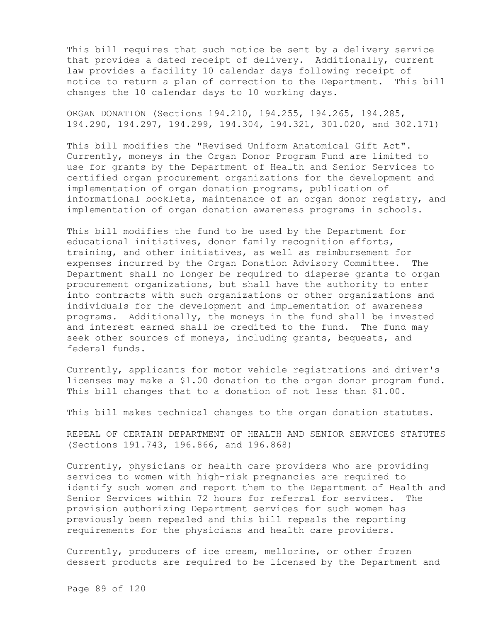This bill requires that such notice be sent by a delivery service that provides a dated receipt of delivery. Additionally, current law provides a facility 10 calendar days following receipt of notice to return a plan of correction to the Department. This bill changes the 10 calendar days to 10 working days.

ORGAN DONATION (Sections 194.210, 194.255, 194.265, 194.285, 194.290, 194.297, 194.299, 194.304, 194.321, 301.020, and 302.171)

This bill modifies the "Revised Uniform Anatomical Gift Act". Currently, moneys in the Organ Donor Program Fund are limited to use for grants by the Department of Health and Senior Services to certified organ procurement organizations for the development and implementation of organ donation programs, publication of informational booklets, maintenance of an organ donor registry, and implementation of organ donation awareness programs in schools.

This bill modifies the fund to be used by the Department for educational initiatives, donor family recognition efforts, training, and other initiatives, as well as reimbursement for expenses incurred by the Organ Donation Advisory Committee. The Department shall no longer be required to disperse grants to organ procurement organizations, but shall have the authority to enter into contracts with such organizations or other organizations and individuals for the development and implementation of awareness programs. Additionally, the moneys in the fund shall be invested and interest earned shall be credited to the fund. The fund may seek other sources of moneys, including grants, bequests, and federal funds.

Currently, applicants for motor vehicle registrations and driver's licenses may make a \$1.00 donation to the organ donor program fund. This bill changes that to a donation of not less than \$1.00.

This bill makes technical changes to the organ donation statutes.

REPEAL OF CERTAIN DEPARTMENT OF HEALTH AND SENIOR SERVICES STATUTES (Sections 191.743, 196.866, and 196.868)

Currently, physicians or health care providers who are providing services to women with high-risk pregnancies are required to identify such women and report them to the Department of Health and Senior Services within 72 hours for referral for services. The provision authorizing Department services for such women has previously been repealed and this bill repeals the reporting requirements for the physicians and health care providers.

Currently, producers of ice cream, mellorine, or other frozen dessert products are required to be licensed by the Department and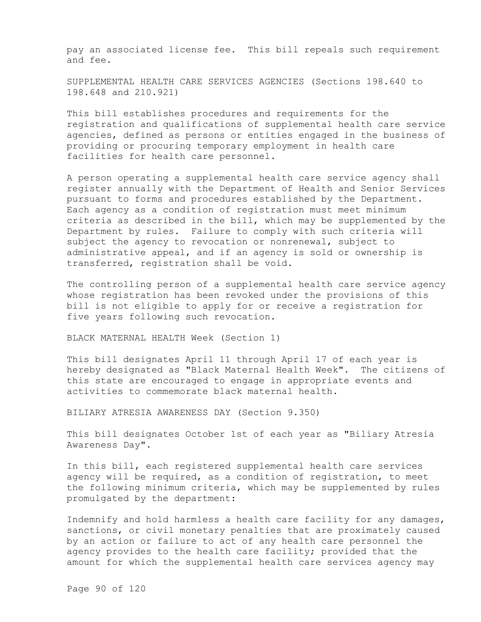pay an associated license fee. This bill repeals such requirement and fee.

SUPPLEMENTAL HEALTH CARE SERVICES AGENCIES (Sections 198.640 to 198.648 and 210.921)

This bill establishes procedures and requirements for the registration and qualifications of supplemental health care service agencies, defined as persons or entities engaged in the business of providing or procuring temporary employment in health care facilities for health care personnel.

A person operating a supplemental health care service agency shall register annually with the Department of Health and Senior Services pursuant to forms and procedures established by the Department. Each agency as a condition of registration must meet minimum criteria as described in the bill, which may be supplemented by the Department by rules. Failure to comply with such criteria will subject the agency to revocation or nonrenewal, subject to administrative appeal, and if an agency is sold or ownership is transferred, registration shall be void.

The controlling person of a supplemental health care service agency whose registration has been revoked under the provisions of this bill is not eligible to apply for or receive a registration for five years following such revocation.

BLACK MATERNAL HEALTH Week (Section 1)

This bill designates April 11 through April 17 of each year is hereby designated as "Black Maternal Health Week". The citizens of this state are encouraged to engage in appropriate events and activities to commemorate black maternal health.

BILIARY ATRESIA AWARENESS DAY (Section 9.350)

This bill designates October 1st of each year as "Biliary Atresia Awareness Day".

In this bill, each registered supplemental health care services agency will be required, as a condition of registration, to meet the following minimum criteria, which may be supplemented by rules promulgated by the department:

Indemnify and hold harmless a health care facility for any damages, sanctions, or civil monetary penalties that are proximately caused by an action or failure to act of any health care personnel the agency provides to the health care facility; provided that the amount for which the supplemental health care services agency may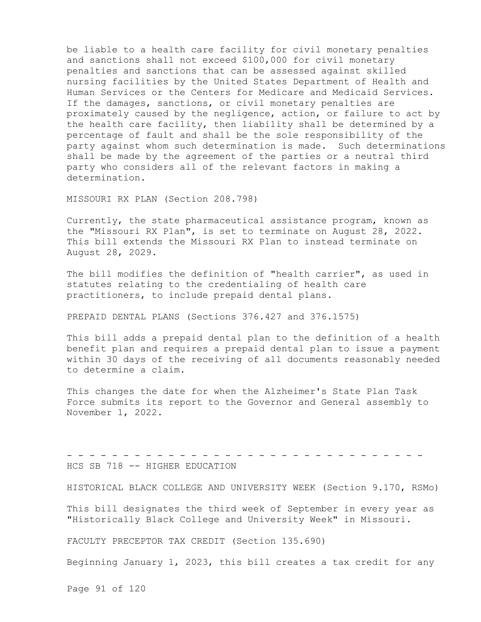be liable to a health care facility for civil monetary penalties and sanctions shall not exceed \$100,000 for civil monetary penalties and sanctions that can be assessed against skilled nursing facilities by the United States Department of Health and Human Services or the Centers for Medicare and Medicaid Services. If the damages, sanctions, or civil monetary penalties are proximately caused by the negligence, action, or failure to act by the health care facility, then liability shall be determined by a percentage of fault and shall be the sole responsibility of the party against whom such determination is made. Such determinations shall be made by the agreement of the parties or a neutral third party who considers all of the relevant factors in making a determination.

MISSOURI RX PLAN (Section 208.798)

Currently, the state pharmaceutical assistance program, known as the "Missouri RX Plan", is set to terminate on August 28, 2022. This bill extends the Missouri RX Plan to instead terminate on August 28, 2029.

The bill modifies the definition of "health carrier", as used in statutes relating to the credentialing of health care practitioners, to include prepaid dental plans.

PREPAID DENTAL PLANS (Sections 376.427 and 376.1575)

This bill adds a prepaid dental plan to the definition of a health benefit plan and requires a prepaid dental plan to issue a payment within 30 days of the receiving of all documents reasonably needed to determine a claim.

This changes the date for when the Alzheimer's State Plan Task Force submits its report to the Governor and General assembly to November 1, 2022.

- - - - - - - - - - - - - - - - - - - - - - - - - - - - - - - - HCS SB 718 -- HIGHER EDUCATION

HISTORICAL BLACK COLLEGE AND UNIVERSITY WEEK (Section 9.170, RSMo)

This bill designates the third week of September in every year as "Historically Black College and University Week" in Missouri.

FACULTY PRECEPTOR TAX CREDIT (Section 135.690)

Beginning January 1, 2023, this bill creates a tax credit for any

Page 91 of 120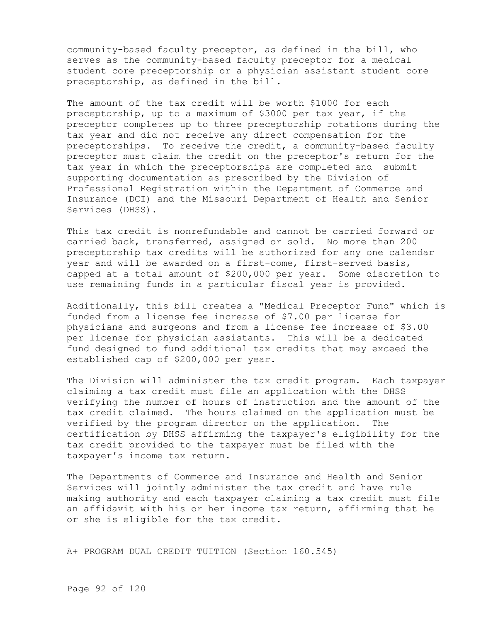community-based faculty preceptor, as defined in the bill, who serves as the community-based faculty preceptor for a medical student core preceptorship or a physician assistant student core preceptorship, as defined in the bill.

The amount of the tax credit will be worth \$1000 for each preceptorship, up to a maximum of \$3000 per tax year, if the preceptor completes up to three preceptorship rotations during the tax year and did not receive any direct compensation for the preceptorships. To receive the credit, a community-based faculty preceptor must claim the credit on the preceptor's return for the tax year in which the preceptorships are completed and submit supporting documentation as prescribed by the Division of Professional Registration within the Department of Commerce and Insurance (DCI) and the Missouri Department of Health and Senior Services (DHSS).

This tax credit is nonrefundable and cannot be carried forward or carried back, transferred, assigned or sold. No more than 200 preceptorship tax credits will be authorized for any one calendar year and will be awarded on a first-come, first-served basis, capped at a total amount of \$200,000 per year. Some discretion to use remaining funds in a particular fiscal year is provided.

Additionally, this bill creates a "Medical Preceptor Fund" which is funded from a license fee increase of \$7.00 per license for physicians and surgeons and from a license fee increase of \$3.00 per license for physician assistants. This will be a dedicated fund designed to fund additional tax credits that may exceed the established cap of \$200,000 per year.

The Division will administer the tax credit program. Each taxpayer claiming a tax credit must file an application with the DHSS verifying the number of hours of instruction and the amount of the tax credit claimed. The hours claimed on the application must be verified by the program director on the application. The certification by DHSS affirming the taxpayer's eligibility for the tax credit provided to the taxpayer must be filed with the taxpayer's income tax return.

The Departments of Commerce and Insurance and Health and Senior Services will jointly administer the tax credit and have rule making authority and each taxpayer claiming a tax credit must file an affidavit with his or her income tax return, affirming that he or she is eligible for the tax credit.

A+ PROGRAM DUAL CREDIT TUITION (Section 160.545)

Page 92 of 120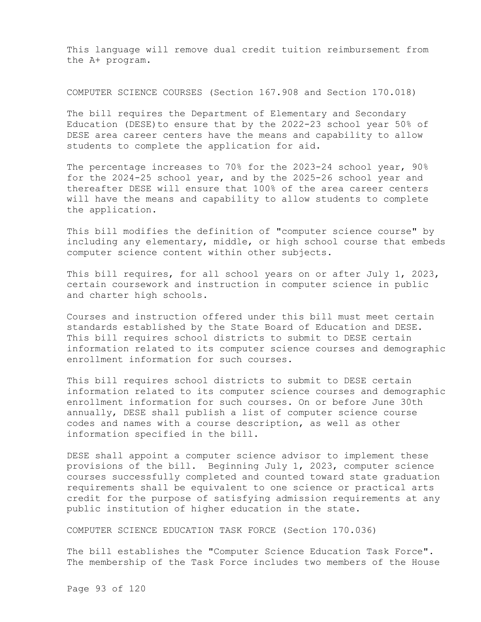This language will remove dual credit tuition reimbursement from the A+ program.

COMPUTER SCIENCE COURSES (Section 167.908 and Section 170.018)

The bill requires the Department of Elementary and Secondary Education (DESE)to ensure that by the 2022-23 school year 50% of DESE area career centers have the means and capability to allow students to complete the application for aid.

The percentage increases to 70% for the 2023-24 school year, 90% for the 2024-25 school year, and by the 2025-26 school year and thereafter DESE will ensure that 100% of the area career centers will have the means and capability to allow students to complete the application.

This bill modifies the definition of "computer science course" by including any elementary, middle, or high school course that embeds computer science content within other subjects.

This bill requires, for all school years on or after July 1, 2023, certain coursework and instruction in computer science in public and charter high schools.

Courses and instruction offered under this bill must meet certain standards established by the State Board of Education and DESE. This bill requires school districts to submit to DESE certain information related to its computer science courses and demographic enrollment information for such courses.

This bill requires school districts to submit to DESE certain information related to its computer science courses and demographic enrollment information for such courses. On or before June 30th annually, DESE shall publish a list of computer science course codes and names with a course description, as well as other information specified in the bill.

DESE shall appoint a computer science advisor to implement these provisions of the bill. Beginning July 1, 2023, computer science courses successfully completed and counted toward state graduation requirements shall be equivalent to one science or practical arts credit for the purpose of satisfying admission requirements at any public institution of higher education in the state.

COMPUTER SCIENCE EDUCATION TASK FORCE (Section 170.036)

The bill establishes the "Computer Science Education Task Force". The membership of the Task Force includes two members of the House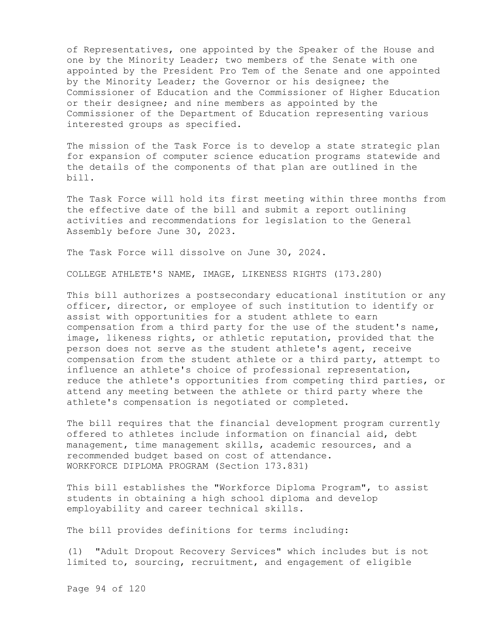of Representatives, one appointed by the Speaker of the House and one by the Minority Leader; two members of the Senate with one appointed by the President Pro Tem of the Senate and one appointed by the Minority Leader; the Governor or his designee; the Commissioner of Education and the Commissioner of Higher Education or their designee; and nine members as appointed by the Commissioner of the Department of Education representing various interested groups as specified.

The mission of the Task Force is to develop a state strategic plan for expansion of computer science education programs statewide and the details of the components of that plan are outlined in the bill.

The Task Force will hold its first meeting within three months from the effective date of the bill and submit a report outlining activities and recommendations for legislation to the General Assembly before June 30, 2023.

The Task Force will dissolve on June 30, 2024.

COLLEGE ATHLETE'S NAME, IMAGE, LIKENESS RIGHTS (173.280)

This bill authorizes a postsecondary educational institution or any officer, director, or employee of such institution to identify or assist with opportunities for a student athlete to earn compensation from a third party for the use of the student's name, image, likeness rights, or athletic reputation, provided that the person does not serve as the student athlete's agent, receive compensation from the student athlete or a third party, attempt to influence an athlete's choice of professional representation, reduce the athlete's opportunities from competing third parties, or attend any meeting between the athlete or third party where the athlete's compensation is negotiated or completed.

The bill requires that the financial development program currently offered to athletes include information on financial aid, debt management, time management skills, academic resources, and a recommended budget based on cost of attendance. WORKFORCE DIPLOMA PROGRAM (Section 173.831)

This bill establishes the "Workforce Diploma Program", to assist students in obtaining a high school diploma and develop employability and career technical skills.

The bill provides definitions for terms including:

(1) "Adult Dropout Recovery Services" which includes but is not limited to, sourcing, recruitment, and engagement of eligible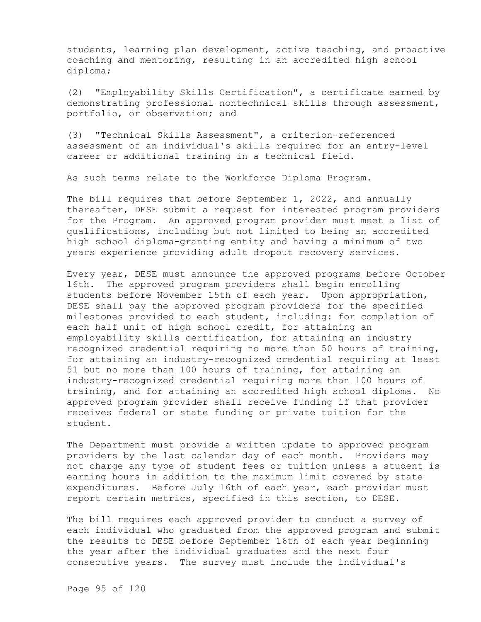students, learning plan development, active teaching, and proactive coaching and mentoring, resulting in an accredited high school diploma;

(2) "Employability Skills Certification", a certificate earned by demonstrating professional nontechnical skills through assessment, portfolio, or observation; and

(3) "Technical Skills Assessment", a criterion-referenced assessment of an individual's skills required for an entry-level career or additional training in a technical field.

As such terms relate to the Workforce Diploma Program.

The bill requires that before September 1, 2022, and annually thereafter, DESE submit a request for interested program providers for the Program. An approved program provider must meet a list of qualifications, including but not limited to being an accredited high school diploma-granting entity and having a minimum of two years experience providing adult dropout recovery services.

Every year, DESE must announce the approved programs before October 16th. The approved program providers shall begin enrolling students before November 15th of each year. Upon appropriation, DESE shall pay the approved program providers for the specified milestones provided to each student, including: for completion of each half unit of high school credit, for attaining an employability skills certification, for attaining an industry recognized credential requiring no more than 50 hours of training, for attaining an industry-recognized credential requiring at least 51 but no more than 100 hours of training, for attaining an industry-recognized credential requiring more than 100 hours of training, and for attaining an accredited high school diploma. No approved program provider shall receive funding if that provider receives federal or state funding or private tuition for the student.

The Department must provide a written update to approved program providers by the last calendar day of each month. Providers may not charge any type of student fees or tuition unless a student is earning hours in addition to the maximum limit covered by state expenditures. Before July 16th of each year, each provider must report certain metrics, specified in this section, to DESE.

The bill requires each approved provider to conduct a survey of each individual who graduated from the approved program and submit the results to DESE before September 16th of each year beginning the year after the individual graduates and the next four consecutive years. The survey must include the individual's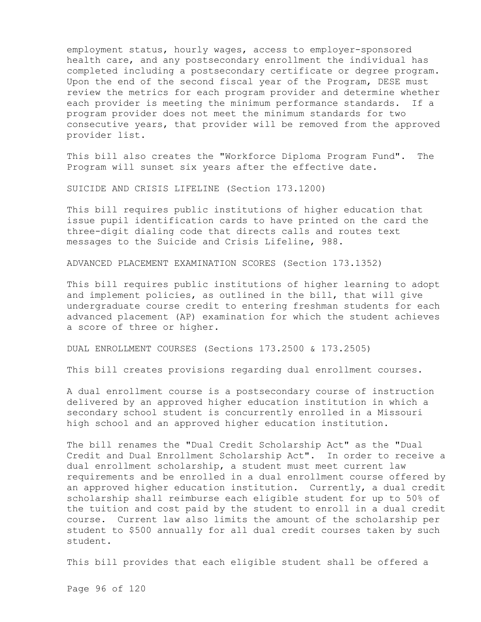employment status, hourly wages, access to employer-sponsored health care, and any postsecondary enrollment the individual has completed including a postsecondary certificate or degree program. Upon the end of the second fiscal year of the Program, DESE must review the metrics for each program provider and determine whether each provider is meeting the minimum performance standards. If a program provider does not meet the minimum standards for two consecutive years, that provider will be removed from the approved provider list.

This bill also creates the "Workforce Diploma Program Fund". The Program will sunset six years after the effective date.

SUICIDE AND CRISIS LIFELINE (Section 173.1200)

This bill requires public institutions of higher education that issue pupil identification cards to have printed on the card the three-digit dialing code that directs calls and routes text messages to the Suicide and Crisis Lifeline, 988.

ADVANCED PLACEMENT EXAMINATION SCORES (Section 173.1352)

This bill requires public institutions of higher learning to adopt and implement policies, as outlined in the bill, that will give undergraduate course credit to entering freshman students for each advanced placement (AP) examination for which the student achieves a score of three or higher.

DUAL ENROLLMENT COURSES (Sections 173.2500 & 173.2505)

This bill creates provisions regarding dual enrollment courses.

A dual enrollment course is a postsecondary course of instruction delivered by an approved higher education institution in which a secondary school student is concurrently enrolled in a Missouri high school and an approved higher education institution.

The bill renames the "Dual Credit Scholarship Act" as the "Dual Credit and Dual Enrollment Scholarship Act". In order to receive a dual enrollment scholarship, a student must meet current law requirements and be enrolled in a dual enrollment course offered by an approved higher education institution. Currently, a dual credit scholarship shall reimburse each eligible student for up to 50% of the tuition and cost paid by the student to enroll in a dual credit course. Current law also limits the amount of the scholarship per student to \$500 annually for all dual credit courses taken by such student.

This bill provides that each eligible student shall be offered a

Page 96 of 120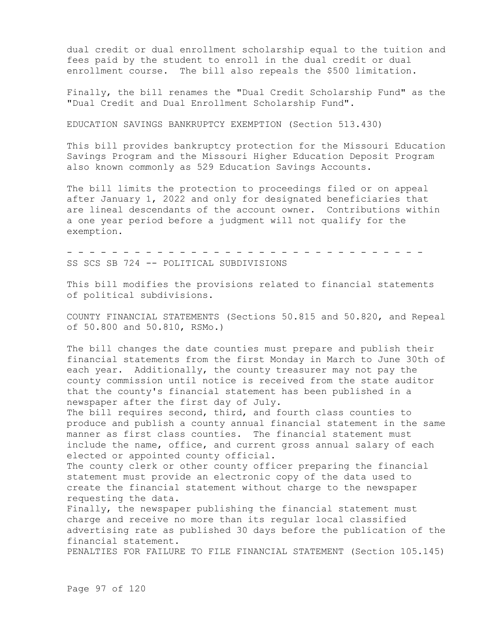dual credit or dual enrollment scholarship equal to the tuition and fees paid by the student to enroll in the dual credit or dual enrollment course. The bill also repeals the \$500 limitation.

Finally, the bill renames the "Dual Credit Scholarship Fund" as the "Dual Credit and Dual Enrollment Scholarship Fund".

EDUCATION SAVINGS BANKRUPTCY EXEMPTION (Section 513.430)

This bill provides bankruptcy protection for the Missouri Education Savings Program and the Missouri Higher Education Deposit Program also known commonly as 529 Education Savings Accounts.

The bill limits the protection to proceedings filed or on appeal after January 1, 2022 and only for designated beneficiaries that are lineal descendants of the account owner. Contributions within a one year period before a judgment will not qualify for the exemption.

- - - - - - - - - - - - - - - - - - - - - - - - - - - - - - - -

SS SCS SB 724 -- POLITICAL SUBDIVISIONS

This bill modifies the provisions related to financial statements of political subdivisions.

COUNTY FINANCIAL STATEMENTS (Sections 50.815 and 50.820, and Repeal of 50.800 and 50.810, RSMo.)

The bill changes the date counties must prepare and publish their financial statements from the first Monday in March to June 30th of each year. Additionally, the county treasurer may not pay the county commission until notice is received from the state auditor that the county's financial statement has been published in a newspaper after the first day of July.

The bill requires second, third, and fourth class counties to produce and publish a county annual financial statement in the same manner as first class counties. The financial statement must include the name, office, and current gross annual salary of each elected or appointed county official.

The county clerk or other county officer preparing the financial statement must provide an electronic copy of the data used to create the financial statement without charge to the newspaper requesting the data.

Finally, the newspaper publishing the financial statement must charge and receive no more than its regular local classified advertising rate as published 30 days before the publication of the financial statement.

PENALTIES FOR FAILURE TO FILE FINANCIAL STATEMENT (Section 105.145)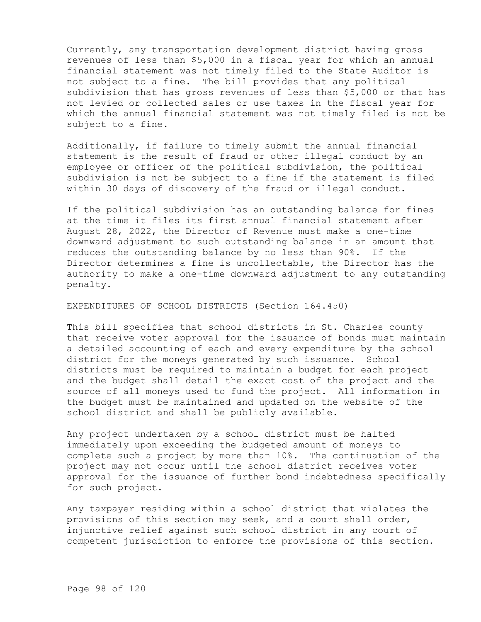Currently, any transportation development district having gross revenues of less than \$5,000 in a fiscal year for which an annual financial statement was not timely filed to the State Auditor is not subject to a fine. The bill provides that any political subdivision that has gross revenues of less than \$5,000 or that has not levied or collected sales or use taxes in the fiscal year for which the annual financial statement was not timely filed is not be subject to a fine.

Additionally, if failure to timely submit the annual financial statement is the result of fraud or other illegal conduct by an employee or officer of the political subdivision, the political subdivision is not be subject to a fine if the statement is filed within 30 days of discovery of the fraud or illegal conduct.

If the political subdivision has an outstanding balance for fines at the time it files its first annual financial statement after August 28, 2022, the Director of Revenue must make a one-time downward adjustment to such outstanding balance in an amount that reduces the outstanding balance by no less than 90%. If the Director determines a fine is uncollectable, the Director has the authority to make a one-time downward adjustment to any outstanding penalty.

EXPENDITURES OF SCHOOL DISTRICTS (Section 164.450)

This bill specifies that school districts in St. Charles county that receive voter approval for the issuance of bonds must maintain a detailed accounting of each and every expenditure by the school district for the moneys generated by such issuance. School districts must be required to maintain a budget for each project and the budget shall detail the exact cost of the project and the source of all moneys used to fund the project. All information in the budget must be maintained and updated on the website of the school district and shall be publicly available.

Any project undertaken by a school district must be halted immediately upon exceeding the budgeted amount of moneys to complete such a project by more than 10%. The continuation of the project may not occur until the school district receives voter approval for the issuance of further bond indebtedness specifically for such project.

Any taxpayer residing within a school district that violates the provisions of this section may seek, and a court shall order, injunctive relief against such school district in any court of competent jurisdiction to enforce the provisions of this section.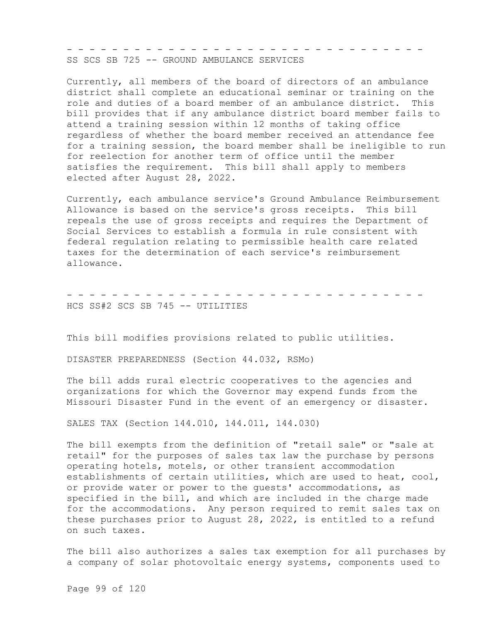- - - - - - - - - - - - - - - - - - - - - - - - - - - - - - - - SS SCS SB 725 -- GROUND AMBULANCE SERVICES

Currently, all members of the board of directors of an ambulance district shall complete an educational seminar or training on the role and duties of a board member of an ambulance district. This bill provides that if any ambulance district board member fails to attend a training session within 12 months of taking office regardless of whether the board member received an attendance fee for a training session, the board member shall be ineligible to run for reelection for another term of office until the member satisfies the requirement. This bill shall apply to members elected after August 28, 2022.

Currently, each ambulance service's Ground Ambulance Reimbursement Allowance is based on the service's gross receipts. This bill repeals the use of gross receipts and requires the Department of Social Services to establish a formula in rule consistent with federal regulation relating to permissible health care related taxes for the determination of each service's reimbursement allowance.

- - - - - - - - - - - - - - - - - - - - - - - - - - - - - - - - HCS SS#2 SCS SB 745 -- UTILITIES

This bill modifies provisions related to public utilities.

DISASTER PREPAREDNESS (Section 44.032, RSMo)

The bill adds rural electric cooperatives to the agencies and organizations for which the Governor may expend funds from the Missouri Disaster Fund in the event of an emergency or disaster.

SALES TAX (Section 144.010, 144.011, 144.030)

The bill exempts from the definition of "retail sale" or "sale at retail" for the purposes of sales tax law the purchase by persons operating hotels, motels, or other transient accommodation establishments of certain utilities, which are used to heat, cool, or provide water or power to the guests' accommodations, as specified in the bill, and which are included in the charge made for the accommodations. Any person required to remit sales tax on these purchases prior to August 28, 2022, is entitled to a refund on such taxes.

The bill also authorizes a sales tax exemption for all purchases by a company of solar photovoltaic energy systems, components used to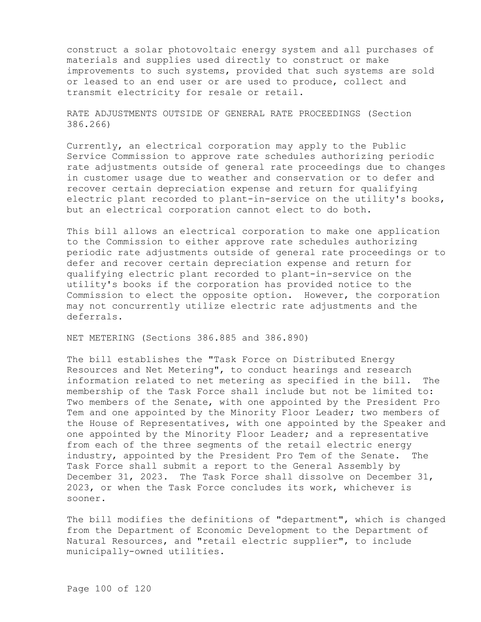construct a solar photovoltaic energy system and all purchases of materials and supplies used directly to construct or make improvements to such systems, provided that such systems are sold or leased to an end user or are used to produce, collect and transmit electricity for resale or retail.

RATE ADJUSTMENTS OUTSIDE OF GENERAL RATE PROCEEDINGS (Section 386.266)

Currently, an electrical corporation may apply to the Public Service Commission to approve rate schedules authorizing periodic rate adjustments outside of general rate proceedings due to changes in customer usage due to weather and conservation or to defer and recover certain depreciation expense and return for qualifying electric plant recorded to plant-in-service on the utility's books, but an electrical corporation cannot elect to do both.

This bill allows an electrical corporation to make one application to the Commission to either approve rate schedules authorizing periodic rate adjustments outside of general rate proceedings or to defer and recover certain depreciation expense and return for qualifying electric plant recorded to plant-in-service on the utility's books if the corporation has provided notice to the Commission to elect the opposite option. However, the corporation may not concurrently utilize electric rate adjustments and the deferrals.

NET METERING (Sections 386.885 and 386.890)

The bill establishes the "Task Force on Distributed Energy Resources and Net Metering", to conduct hearings and research information related to net metering as specified in the bill. The membership of the Task Force shall include but not be limited to: Two members of the Senate, with one appointed by the President Pro Tem and one appointed by the Minority Floor Leader; two members of the House of Representatives, with one appointed by the Speaker and one appointed by the Minority Floor Leader; and a representative from each of the three segments of the retail electric energy industry, appointed by the President Pro Tem of the Senate. The Task Force shall submit a report to the General Assembly by December 31, 2023. The Task Force shall dissolve on December 31, 2023, or when the Task Force concludes its work, whichever is sooner.

The bill modifies the definitions of "department", which is changed from the Department of Economic Development to the Department of Natural Resources, and "retail electric supplier", to include municipally-owned utilities.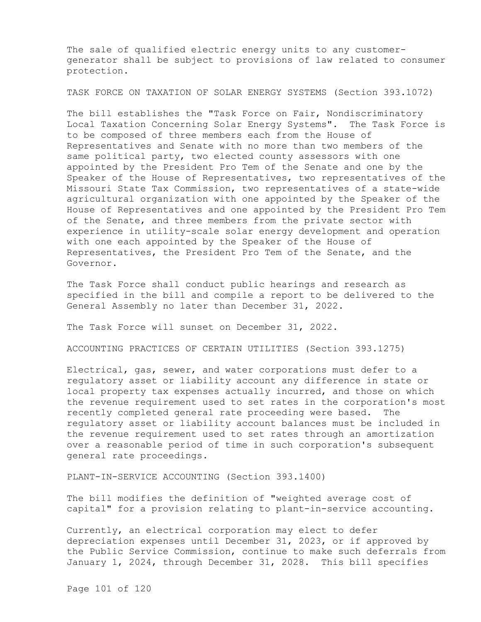The sale of qualified electric energy units to any customergenerator shall be subject to provisions of law related to consumer protection.

TASK FORCE ON TAXATION OF SOLAR ENERGY SYSTEMS (Section 393.1072)

The bill establishes the "Task Force on Fair, Nondiscriminatory Local Taxation Concerning Solar Energy Systems". The Task Force is to be composed of three members each from the House of Representatives and Senate with no more than two members of the same political party, two elected county assessors with one appointed by the President Pro Tem of the Senate and one by the Speaker of the House of Representatives, two representatives of the Missouri State Tax Commission, two representatives of a state-wide agricultural organization with one appointed by the Speaker of the House of Representatives and one appointed by the President Pro Tem of the Senate, and three members from the private sector with experience in utility-scale solar energy development and operation with one each appointed by the Speaker of the House of Representatives, the President Pro Tem of the Senate, and the Governor.

The Task Force shall conduct public hearings and research as specified in the bill and compile a report to be delivered to the General Assembly no later than December 31, 2022.

The Task Force will sunset on December 31, 2022.

ACCOUNTING PRACTICES OF CERTAIN UTILITIES (Section 393.1275)

Electrical, gas, sewer, and water corporations must defer to a regulatory asset or liability account any difference in state or local property tax expenses actually incurred, and those on which the revenue requirement used to set rates in the corporation's most recently completed general rate proceeding were based. The regulatory asset or liability account balances must be included in the revenue requirement used to set rates through an amortization over a reasonable period of time in such corporation's subsequent general rate proceedings.

PLANT-IN-SERVICE ACCOUNTING (Section 393.1400)

The bill modifies the definition of "weighted average cost of capital" for a provision relating to plant-in-service accounting.

Currently, an electrical corporation may elect to defer depreciation expenses until December 31, 2023, or if approved by the Public Service Commission, continue to make such deferrals from January 1, 2024, through December 31, 2028. This bill specifies

Page 101 of 120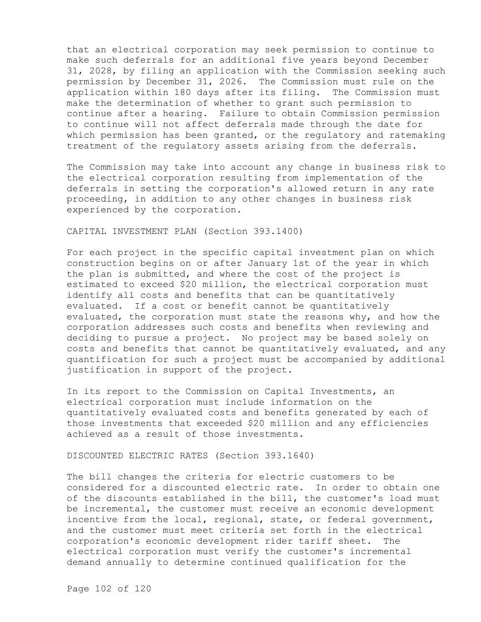that an electrical corporation may seek permission to continue to make such deferrals for an additional five years beyond December 31, 2028, by filing an application with the Commission seeking such permission by December 31, 2026. The Commission must rule on the application within 180 days after its filing. The Commission must make the determination of whether to grant such permission to continue after a hearing. Failure to obtain Commission permission to continue will not affect deferrals made through the date for which permission has been granted, or the regulatory and ratemaking treatment of the regulatory assets arising from the deferrals.

The Commission may take into account any change in business risk to the electrical corporation resulting from implementation of the deferrals in setting the corporation's allowed return in any rate proceeding, in addition to any other changes in business risk experienced by the corporation.

CAPITAL INVESTMENT PLAN (Section 393.1400)

For each project in the specific capital investment plan on which construction begins on or after January 1st of the year in which the plan is submitted, and where the cost of the project is estimated to exceed \$20 million, the electrical corporation must identify all costs and benefits that can be quantitatively evaluated. If a cost or benefit cannot be quantitatively evaluated, the corporation must state the reasons why, and how the corporation addresses such costs and benefits when reviewing and deciding to pursue a project. No project may be based solely on costs and benefits that cannot be quantitatively evaluated, and any quantification for such a project must be accompanied by additional justification in support of the project.

In its report to the Commission on Capital Investments, an electrical corporation must include information on the quantitatively evaluated costs and benefits generated by each of those investments that exceeded \$20 million and any efficiencies achieved as a result of those investments.

DISCOUNTED ELECTRIC RATES (Section 393.1640)

The bill changes the criteria for electric customers to be considered for a discounted electric rate. In order to obtain one of the discounts established in the bill, the customer's load must be incremental, the customer must receive an economic development incentive from the local, regional, state, or federal government, and the customer must meet criteria set forth in the electrical corporation's economic development rider tariff sheet. The electrical corporation must verify the customer's incremental demand annually to determine continued qualification for the

Page 102 of 120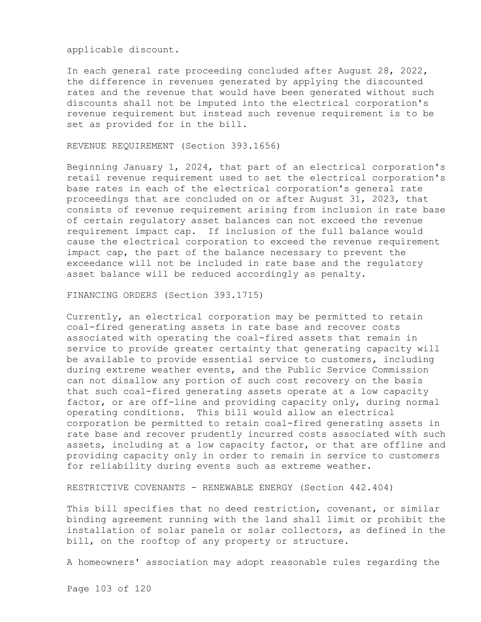applicable discount.

In each general rate proceeding concluded after August 28, 2022, the difference in revenues generated by applying the discounted rates and the revenue that would have been generated without such discounts shall not be imputed into the electrical corporation's revenue requirement but instead such revenue requirement is to be set as provided for in the bill.

REVENUE REQUIREMENT (Section 393.1656)

Beginning January 1, 2024, that part of an electrical corporation's retail revenue requirement used to set the electrical corporation's base rates in each of the electrical corporation's general rate proceedings that are concluded on or after August 31, 2023, that consists of revenue requirement arising from inclusion in rate base of certain regulatory asset balances can not exceed the revenue requirement impact cap. If inclusion of the full balance would cause the electrical corporation to exceed the revenue requirement impact cap, the part of the balance necessary to prevent the exceedance will not be included in rate base and the regulatory asset balance will be reduced accordingly as penalty.

FINANCING ORDERS (Section 393.1715)

Currently, an electrical corporation may be permitted to retain coal-fired generating assets in rate base and recover costs associated with operating the coal-fired assets that remain in service to provide greater certainty that generating capacity will be available to provide essential service to customers, including during extreme weather events, and the Public Service Commission can not disallow any portion of such cost recovery on the basis that such coal-fired generating assets operate at a low capacity factor, or are off-line and providing capacity only, during normal operating conditions. This bill would allow an electrical corporation be permitted to retain coal-fired generating assets in rate base and recover prudently incurred costs associated with such assets, including at a low capacity factor, or that are offline and providing capacity only in order to remain in service to customers for reliability during events such as extreme weather.

RESTRICTIVE COVENANTS - RENEWABLE ENERGY (Section 442.404)

This bill specifies that no deed restriction, covenant, or similar binding agreement running with the land shall limit or prohibit the installation of solar panels or solar collectors, as defined in the bill, on the rooftop of any property or structure.

A homeowners' association may adopt reasonable rules regarding the

Page 103 of 120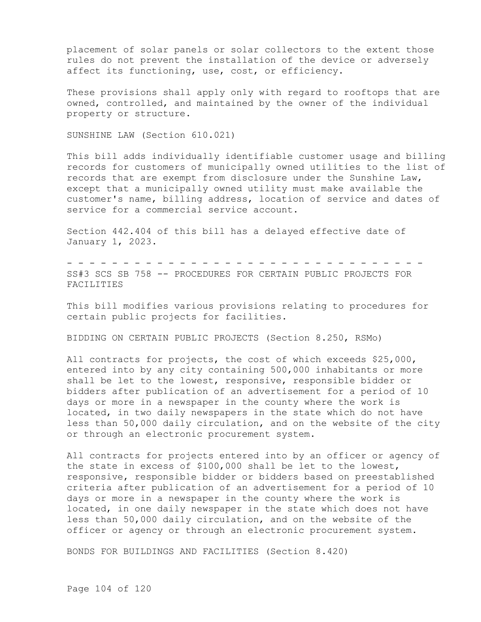placement of solar panels or solar collectors to the extent those rules do not prevent the installation of the device or adversely affect its functioning, use, cost, or efficiency.

These provisions shall apply only with regard to rooftops that are owned, controlled, and maintained by the owner of the individual property or structure.

SUNSHINE LAW (Section 610.021)

This bill adds individually identifiable customer usage and billing records for customers of municipally owned utilities to the list of records that are exempt from disclosure under the Sunshine Law, except that a municipally owned utility must make available the customer's name, billing address, location of service and dates of service for a commercial service account.

Section 442.404 of this bill has a delayed effective date of January 1, 2023.

- - - - - - - - - - - - - - - - - - - - - - - - - - - - - - - - SS#3 SCS SB 758 -- PROCEDURES FOR CERTAIN PUBLIC PROJECTS FOR **FACILITIES** 

This bill modifies various provisions relating to procedures for certain public projects for facilities.

BIDDING ON CERTAIN PUBLIC PROJECTS (Section 8.250, RSMo)

All contracts for projects, the cost of which exceeds \$25,000, entered into by any city containing 500,000 inhabitants or more shall be let to the lowest, responsive, responsible bidder or bidders after publication of an advertisement for a period of 10 days or more in a newspaper in the county where the work is located, in two daily newspapers in the state which do not have less than 50,000 daily circulation, and on the website of the city or through an electronic procurement system.

All contracts for projects entered into by an officer or agency of the state in excess of \$100,000 shall be let to the lowest, responsive, responsible bidder or bidders based on preestablished criteria after publication of an advertisement for a period of 10 days or more in a newspaper in the county where the work is located, in one daily newspaper in the state which does not have less than 50,000 daily circulation, and on the website of the officer or agency or through an electronic procurement system.

BONDS FOR BUILDINGS AND FACILITIES (Section 8.420)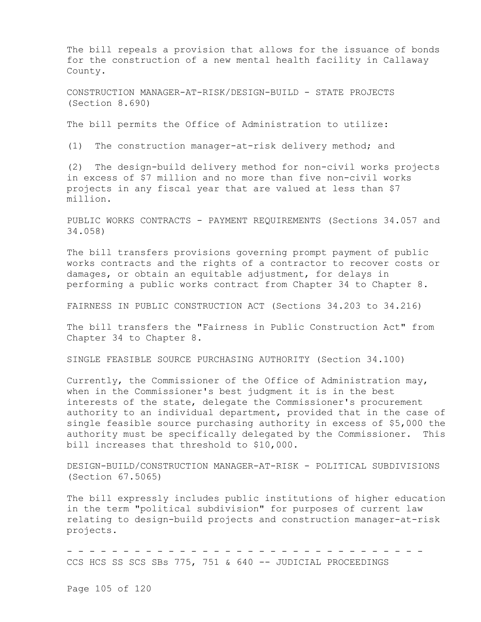The bill repeals a provision that allows for the issuance of bonds for the construction of a new mental health facility in Callaway County.

CONSTRUCTION MANAGER-AT-RISK/DESIGN-BUILD - STATE PROJECTS (Section 8.690)

The bill permits the Office of Administration to utilize:

(1) The construction manager-at-risk delivery method; and

(2) The design-build delivery method for non-civil works projects in excess of \$7 million and no more than five non-civil works projects in any fiscal year that are valued at less than \$7 million.

PUBLIC WORKS CONTRACTS - PAYMENT REQUIREMENTS (Sections 34.057 and 34.058)

The bill transfers provisions governing prompt payment of public works contracts and the rights of a contractor to recover costs or damages, or obtain an equitable adjustment, for delays in performing a public works contract from Chapter 34 to Chapter 8.

FAIRNESS IN PUBLIC CONSTRUCTION ACT (Sections 34.203 to 34.216)

The bill transfers the "Fairness in Public Construction Act" from Chapter 34 to Chapter 8.

SINGLE FEASIBLE SOURCE PURCHASING AUTHORITY (Section 34.100)

Currently, the Commissioner of the Office of Administration may, when in the Commissioner's best judgment it is in the best interests of the state, delegate the Commissioner's procurement authority to an individual department, provided that in the case of single feasible source purchasing authority in excess of \$5,000 the authority must be specifically delegated by the Commissioner. This bill increases that threshold to \$10,000.

DESIGN-BUILD/CONSTRUCTION MANAGER-AT-RISK - POLITICAL SUBDIVISIONS (Section 67.5065)

The bill expressly includes public institutions of higher education in the term "political subdivision" for purposes of current law relating to design-build projects and construction manager-at-risk projects.

- - - - - - - - - - - - - - - - - - - - - - - - - - - - - - - - CCS HCS SS SCS SBs 775, 751 & 640 -- JUDICIAL PROCEEDINGS

Page 105 of 120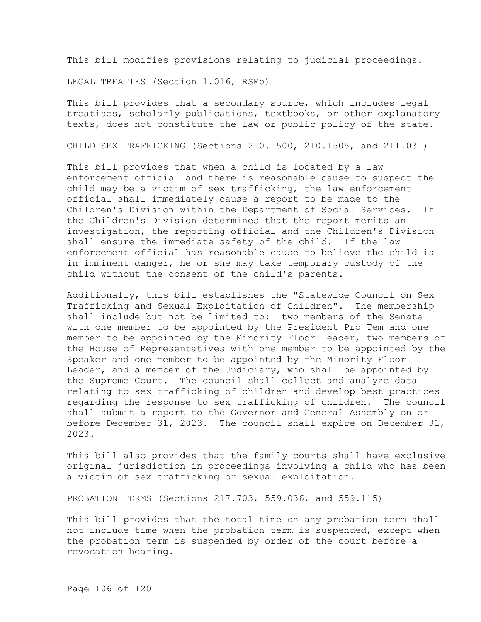This bill modifies provisions relating to judicial proceedings.

LEGAL TREATIES (Section 1.016, RSMo)

This bill provides that a secondary source, which includes legal treatises, scholarly publications, textbooks, or other explanatory texts, does not constitute the law or public policy of the state.

CHILD SEX TRAFFICKING (Sections 210.1500, 210.1505, and 211.031)

This bill provides that when a child is located by a law enforcement official and there is reasonable cause to suspect the child may be a victim of sex trafficking, the law enforcement official shall immediately cause a report to be made to the Children's Division within the Department of Social Services. If the Children's Division determines that the report merits an investigation, the reporting official and the Children's Division shall ensure the immediate safety of the child. If the law enforcement official has reasonable cause to believe the child is in imminent danger, he or she may take temporary custody of the child without the consent of the child's parents.

Additionally, this bill establishes the "Statewide Council on Sex Trafficking and Sexual Exploitation of Children". The membership shall include but not be limited to: two members of the Senate with one member to be appointed by the President Pro Tem and one member to be appointed by the Minority Floor Leader, two members of the House of Representatives with one member to be appointed by the Speaker and one member to be appointed by the Minority Floor Leader, and a member of the Judiciary, who shall be appointed by the Supreme Court. The council shall collect and analyze data relating to sex trafficking of children and develop best practices regarding the response to sex trafficking of children. The council shall submit a report to the Governor and General Assembly on or before December 31, 2023. The council shall expire on December 31, 2023.

This bill also provides that the family courts shall have exclusive original jurisdiction in proceedings involving a child who has been a victim of sex trafficking or sexual exploitation.

PROBATION TERMS (Sections 217.703, 559.036, and 559.115)

This bill provides that the total time on any probation term shall not include time when the probation term is suspended, except when the probation term is suspended by order of the court before a revocation hearing.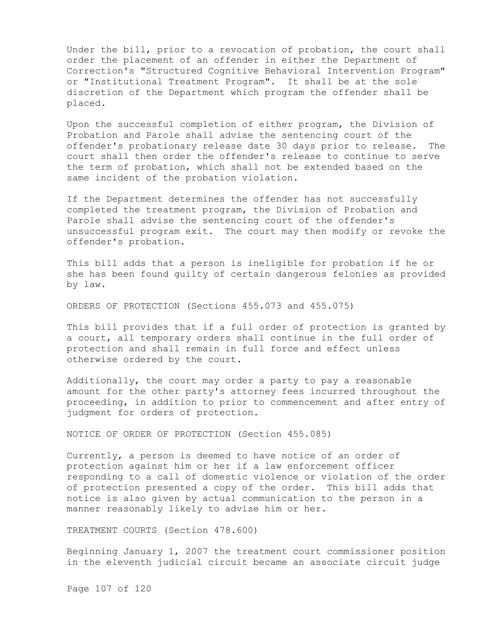Under the bill, prior to a revocation of probation, the court shall order the placement of an offender in either the Department of Correction's "Structured Cognitive Behavioral Intervention Program" or "Institutional Treatment Program". It shall be at the sole discretion of the Department which program the offender shall be placed.

Upon the successful completion of either program, the Division of Probation and Parole shall advise the sentencing court of the offender's probationary release date 30 days prior to release. The court shall then order the offender's release to continue to serve the term of probation, which shall not be extended based on the same incident of the probation violation.

If the Department determines the offender has not successfully completed the treatment program, the Division of Probation and Parole shall advise the sentencing court of the offender's unsuccessful program exit. The court may then modify or revoke the offender's probation.

This bill adds that a person is ineligible for probation if he or she has been found guilty of certain dangerous felonies as provided by law.

ORDERS OF PROTECTION (Sections 455.073 and 455.075)

This bill provides that if a full order of protection is granted by a court, all temporary orders shall continue in the full order of protection and shall remain in full force and effect unless otherwise ordered by the court.

Additionally, the court may order a party to pay a reasonable amount for the other party's attorney fees incurred throughout the proceeding, in addition to prior to commencement and after entry of judgment for orders of protection.

NOTICE OF ORDER OF PROTECTION (Section 455.085)

Currently, a person is deemed to have notice of an order of protection against him or her if a law enforcement officer responding to a call of domestic violence or violation of the order of protection presented a copy of the order. This bill adds that notice is also given by actual communication to the person in a manner reasonably likely to advise him or her.

TREATMENT COURTS (Section 478.600)

Beginning January 1, 2007 the treatment court commissioner position in the eleventh judicial circuit became an associate circuit judge

Page 107 of 120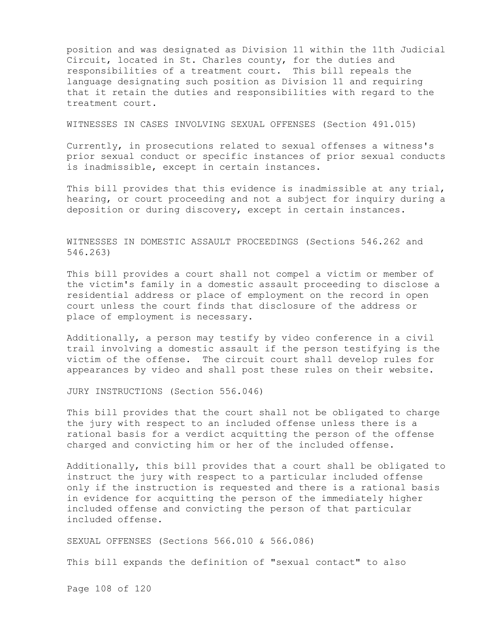position and was designated as Division 11 within the 11th Judicial Circuit, located in St. Charles county, for the duties and responsibilities of a treatment court. This bill repeals the language designating such position as Division 11 and requiring that it retain the duties and responsibilities with regard to the treatment court.

WITNESSES IN CASES INVOLVING SEXUAL OFFENSES (Section 491.015)

Currently, in prosecutions related to sexual offenses a witness's prior sexual conduct or specific instances of prior sexual conducts is inadmissible, except in certain instances.

This bill provides that this evidence is inadmissible at any trial, hearing, or court proceeding and not a subject for inquiry during a deposition or during discovery, except in certain instances.

WITNESSES IN DOMESTIC ASSAULT PROCEEDINGS (Sections 546.262 and 546.263)

This bill provides a court shall not compel a victim or member of the victim's family in a domestic assault proceeding to disclose a residential address or place of employment on the record in open court unless the court finds that disclosure of the address or place of employment is necessary.

Additionally, a person may testify by video conference in a civil trail involving a domestic assault if the person testifying is the victim of the offense. The circuit court shall develop rules for appearances by video and shall post these rules on their website.

JURY INSTRUCTIONS (Section 556.046)

This bill provides that the court shall not be obligated to charge the jury with respect to an included offense unless there is a rational basis for a verdict acquitting the person of the offense charged and convicting him or her of the included offense.

Additionally, this bill provides that a court shall be obligated to instruct the jury with respect to a particular included offense only if the instruction is requested and there is a rational basis in evidence for acquitting the person of the immediately higher included offense and convicting the person of that particular included offense.

SEXUAL OFFENSES (Sections 566.010 & 566.086)

This bill expands the definition of "sexual contact" to also

Page 108 of 120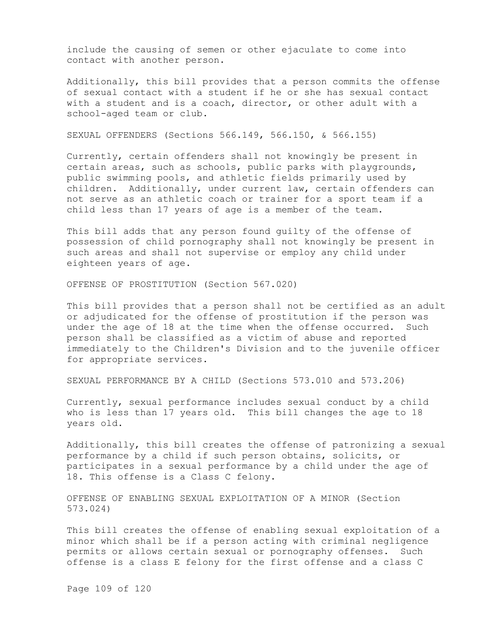include the causing of semen or other ejaculate to come into contact with another person.

Additionally, this bill provides that a person commits the offense of sexual contact with a student if he or she has sexual contact with a student and is a coach, director, or other adult with a school-aged team or club.

SEXUAL OFFENDERS (Sections 566.149, 566.150, & 566.155)

Currently, certain offenders shall not knowingly be present in certain areas, such as schools, public parks with playgrounds, public swimming pools, and athletic fields primarily used by children. Additionally, under current law, certain offenders can not serve as an athletic coach or trainer for a sport team if a child less than 17 years of age is a member of the team.

This bill adds that any person found guilty of the offense of possession of child pornography shall not knowingly be present in such areas and shall not supervise or employ any child under eighteen years of age.

OFFENSE OF PROSTITUTION (Section 567.020)

This bill provides that a person shall not be certified as an adult or adjudicated for the offense of prostitution if the person was under the age of 18 at the time when the offense occurred. Such person shall be classified as a victim of abuse and reported immediately to the Children's Division and to the juvenile officer for appropriate services.

SEXUAL PERFORMANCE BY A CHILD (Sections 573.010 and 573.206)

Currently, sexual performance includes sexual conduct by a child who is less than 17 years old. This bill changes the age to 18 years old.

Additionally, this bill creates the offense of patronizing a sexual performance by a child if such person obtains, solicits, or participates in a sexual performance by a child under the age of 18. This offense is a Class C felony.

OFFENSE OF ENABLING SEXUAL EXPLOITATION OF A MINOR (Section 573.024)

This bill creates the offense of enabling sexual exploitation of a minor which shall be if a person acting with criminal negligence permits or allows certain sexual or pornography offenses. Such offense is a class E felony for the first offense and a class C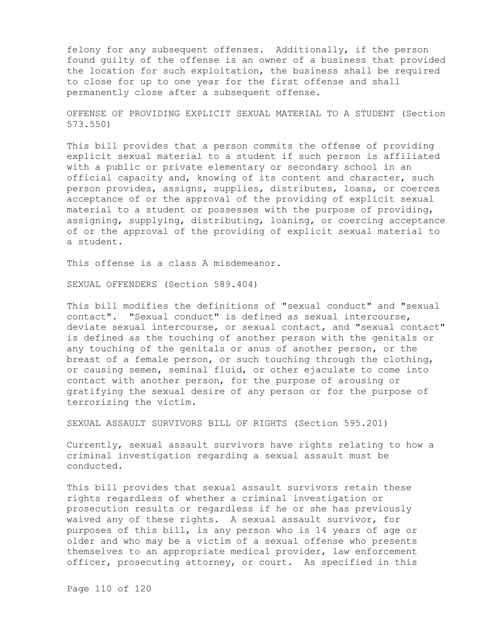felony for any subsequent offenses. Additionally, if the person found guilty of the offense is an owner of a business that provided the location for such exploitation, the business shall be required to close for up to one year for the first offense and shall permanently close after a subsequent offense.

OFFENSE OF PROVIDING EXPLICIT SEXUAL MATERIAL TO A STUDENT (Section 573.550)

This bill provides that a person commits the offense of providing explicit sexual material to a student if such person is affiliated with a public or private elementary or secondary school in an official capacity and, knowing of its content and character, such person provides, assigns, supplies, distributes, loans, or coerces acceptance of or the approval of the providing of explicit sexual material to a student or possesses with the purpose of providing, assigning, supplying, distributing, loaning, or coercing acceptance of or the approval of the providing of explicit sexual material to a student.

This offense is a class A misdemeanor.

SEXUAL OFFENDERS (Section 589.404)

This bill modifies the definitions of "sexual conduct" and "sexual contact". "Sexual conduct" is defined as sexual intercourse, deviate sexual intercourse, or sexual contact, and "sexual contact" is defined as the touching of another person with the genitals or any touching of the genitals or anus of another person, or the breast of a female person, or such touching through the clothing, or causing semen, seminal fluid, or other ejaculate to come into contact with another person, for the purpose of arousing or gratifying the sexual desire of any person or for the purpose of terrorizing the victim.

SEXUAL ASSAULT SURVIVORS BILL OF RIGHTS (Section 595.201)

Currently, sexual assault survivors have rights relating to how a criminal investigation regarding a sexual assault must be conducted.

This bill provides that sexual assault survivors retain these rights regardless of whether a criminal investigation or prosecution results or regardless if he or she has previously waived any of these rights. A sexual assault survivor, for purposes of this bill, is any person who is 14 years of age or older and who may be a victim of a sexual offense who presents themselves to an appropriate medical provider, law enforcement officer, prosecuting attorney, or court. As specified in this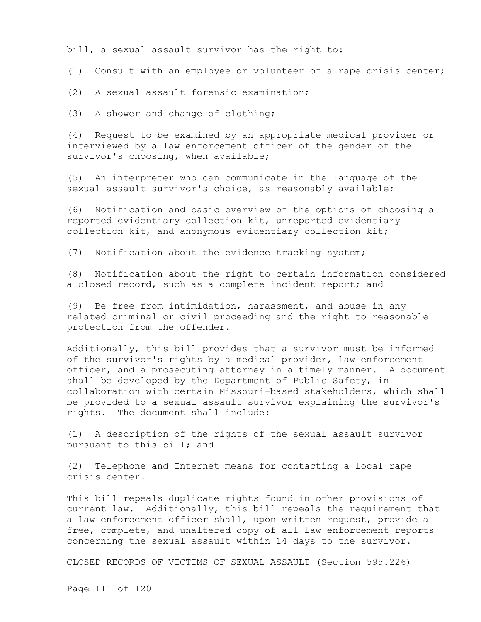bill, a sexual assault survivor has the right to:

(1) Consult with an employee or volunteer of a rape crisis center;

(2) A sexual assault forensic examination;

(3) A shower and change of clothing;

(4) Request to be examined by an appropriate medical provider or interviewed by a law enforcement officer of the gender of the survivor's choosing, when available;

(5) An interpreter who can communicate in the language of the sexual assault survivor's choice, as reasonably available;

(6) Notification and basic overview of the options of choosing a reported evidentiary collection kit, unreported evidentiary collection kit, and anonymous evidentiary collection kit;

(7) Notification about the evidence tracking system;

(8) Notification about the right to certain information considered a closed record, such as a complete incident report; and

(9) Be free from intimidation, harassment, and abuse in any related criminal or civil proceeding and the right to reasonable protection from the offender.

Additionally, this bill provides that a survivor must be informed of the survivor's rights by a medical provider, law enforcement officer, and a prosecuting attorney in a timely manner. A document shall be developed by the Department of Public Safety, in collaboration with certain Missouri-based stakeholders, which shall be provided to a sexual assault survivor explaining the survivor's rights. The document shall include:

(1) A description of the rights of the sexual assault survivor pursuant to this bill; and

(2) Telephone and Internet means for contacting a local rape crisis center.

This bill repeals duplicate rights found in other provisions of current law. Additionally, this bill repeals the requirement that a law enforcement officer shall, upon written request, provide a free, complete, and unaltered copy of all law enforcement reports concerning the sexual assault within 14 days to the survivor.

CLOSED RECORDS OF VICTIMS OF SEXUAL ASSAULT (Section 595.226)

Page 111 of 120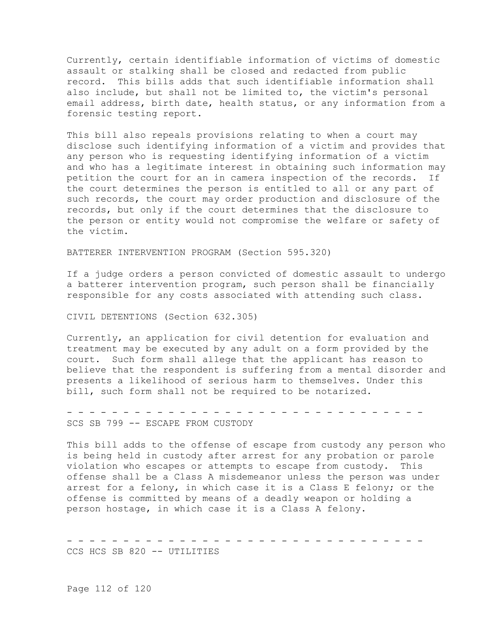Currently, certain identifiable information of victims of domestic assault or stalking shall be closed and redacted from public record. This bills adds that such identifiable information shall also include, but shall not be limited to, the victim's personal email address, birth date, health status, or any information from a forensic testing report.

This bill also repeals provisions relating to when a court may disclose such identifying information of a victim and provides that any person who is requesting identifying information of a victim and who has a legitimate interest in obtaining such information may petition the court for an in camera inspection of the records. If the court determines the person is entitled to all or any part of such records, the court may order production and disclosure of the records, but only if the court determines that the disclosure to the person or entity would not compromise the welfare or safety of the victim.

BATTERER INTERVENTION PROGRAM (Section 595.320)

If a judge orders a person convicted of domestic assault to undergo a batterer intervention program, such person shall be financially responsible for any costs associated with attending such class.

CIVIL DETENTIONS (Section 632.305)

Currently, an application for civil detention for evaluation and treatment may be executed by any adult on a form provided by the court. Such form shall allege that the applicant has reason to believe that the respondent is suffering from a mental disorder and presents a likelihood of serious harm to themselves. Under this bill, such form shall not be required to be notarized.

- - - - - - - - - - - - - - - - - - - - - - - - - - - - - - - - SCS SB 799 -- ESCAPE FROM CUSTODY

This bill adds to the offense of escape from custody any person who is being held in custody after arrest for any probation or parole violation who escapes or attempts to escape from custody. This offense shall be a Class A misdemeanor unless the person was under arrest for a felony, in which case it is a Class E felony; or the offense is committed by means of a deadly weapon or holding a person hostage, in which case it is a Class A felony.

- - - - - - - - - - - - - - - - - - - - - - - - - - - - - - - - CCS HCS SB 820 -- UTILITIES

Page 112 of 120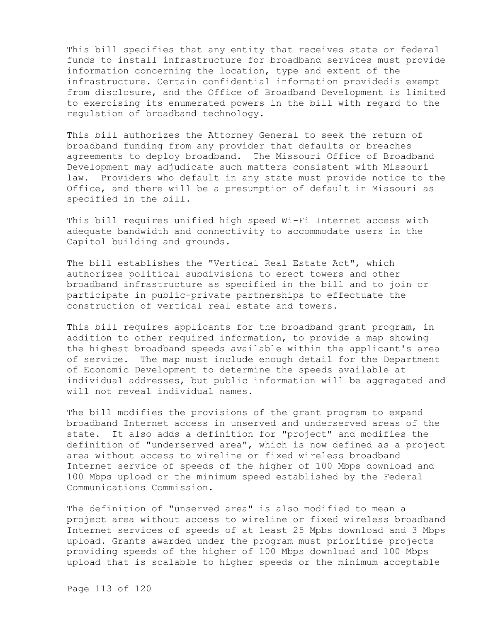This bill specifies that any entity that receives state or federal funds to install infrastructure for broadband services must provide information concerning the location, type and extent of the infrastructure. Certain confidential information providedis exempt from disclosure, and the Office of Broadband Development is limited to exercising its enumerated powers in the bill with regard to the regulation of broadband technology.

This bill authorizes the Attorney General to seek the return of broadband funding from any provider that defaults or breaches agreements to deploy broadband. The Missouri Office of Broadband Development may adjudicate such matters consistent with Missouri law. Providers who default in any state must provide notice to the Office, and there will be a presumption of default in Missouri as specified in the bill.

This bill requires unified high speed Wi-Fi Internet access with adequate bandwidth and connectivity to accommodate users in the Capitol building and grounds.

The bill establishes the "Vertical Real Estate Act", which authorizes political subdivisions to erect towers and other broadband infrastructure as specified in the bill and to join or participate in public-private partnerships to effectuate the construction of vertical real estate and towers.

This bill requires applicants for the broadband grant program, in addition to other required information, to provide a map showing the highest broadband speeds available within the applicant's area of service. The map must include enough detail for the Department of Economic Development to determine the speeds available at individual addresses, but public information will be aggregated and will not reveal individual names.

The bill modifies the provisions of the grant program to expand broadband Internet access in unserved and underserved areas of the state. It also adds a definition for "project" and modifies the definition of "underserved area", which is now defined as a project area without access to wireline or fixed wireless broadband Internet service of speeds of the higher of 100 Mbps download and 100 Mbps upload or the minimum speed established by the Federal Communications Commission.

The definition of "unserved area" is also modified to mean a project area without access to wireline or fixed wireless broadband Internet services of speeds of at least 25 Mpbs download and 3 Mbps upload. Grants awarded under the program must prioritize projects providing speeds of the higher of 100 Mbps download and 100 Mbps upload that is scalable to higher speeds or the minimum acceptable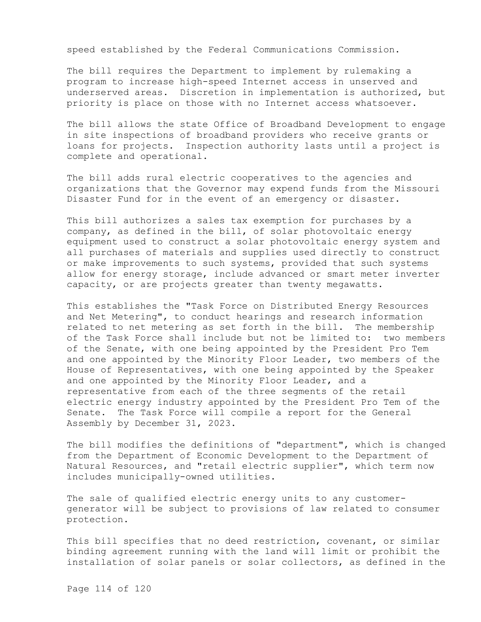speed established by the Federal Communications Commission.

The bill requires the Department to implement by rulemaking a program to increase high-speed Internet access in unserved and underserved areas. Discretion in implementation is authorized, but priority is place on those with no Internet access whatsoever.

The bill allows the state Office of Broadband Development to engage in site inspections of broadband providers who receive grants or loans for projects. Inspection authority lasts until a project is complete and operational.

The bill adds rural electric cooperatives to the agencies and organizations that the Governor may expend funds from the Missouri Disaster Fund for in the event of an emergency or disaster.

This bill authorizes a sales tax exemption for purchases by a company, as defined in the bill, of solar photovoltaic energy equipment used to construct a solar photovoltaic energy system and all purchases of materials and supplies used directly to construct or make improvements to such systems, provided that such systems allow for energy storage, include advanced or smart meter inverter capacity, or are projects greater than twenty megawatts.

This establishes the "Task Force on Distributed Energy Resources and Net Metering", to conduct hearings and research information related to net metering as set forth in the bill. The membership of the Task Force shall include but not be limited to: two members of the Senate, with one being appointed by the President Pro Tem and one appointed by the Minority Floor Leader, two members of the House of Representatives, with one being appointed by the Speaker and one appointed by the Minority Floor Leader, and a representative from each of the three segments of the retail electric energy industry appointed by the President Pro Tem of the Senate. The Task Force will compile a report for the General Assembly by December 31, 2023.

The bill modifies the definitions of "department", which is changed from the Department of Economic Development to the Department of Natural Resources, and "retail electric supplier", which term now includes municipally-owned utilities.

The sale of qualified electric energy units to any customergenerator will be subject to provisions of law related to consumer protection.

This bill specifies that no deed restriction, covenant, or similar binding agreement running with the land will limit or prohibit the installation of solar panels or solar collectors, as defined in the

Page 114 of 120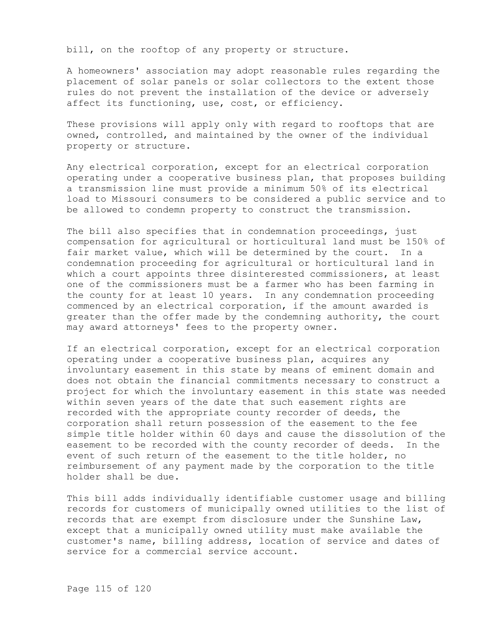bill, on the rooftop of any property or structure.

A homeowners' association may adopt reasonable rules regarding the placement of solar panels or solar collectors to the extent those rules do not prevent the installation of the device or adversely affect its functioning, use, cost, or efficiency.

These provisions will apply only with regard to rooftops that are owned, controlled, and maintained by the owner of the individual property or structure.

Any electrical corporation, except for an electrical corporation operating under a cooperative business plan, that proposes building a transmission line must provide a minimum 50% of its electrical load to Missouri consumers to be considered a public service and to be allowed to condemn property to construct the transmission.

The bill also specifies that in condemnation proceedings, just compensation for agricultural or horticultural land must be 150% of fair market value, which will be determined by the court. In a condemnation proceeding for agricultural or horticultural land in which a court appoints three disinterested commissioners, at least one of the commissioners must be a farmer who has been farming in the county for at least 10 years. In any condemnation proceeding commenced by an electrical corporation, if the amount awarded is greater than the offer made by the condemning authority, the court may award attorneys' fees to the property owner.

If an electrical corporation, except for an electrical corporation operating under a cooperative business plan, acquires any involuntary easement in this state by means of eminent domain and does not obtain the financial commitments necessary to construct a project for which the involuntary easement in this state was needed within seven years of the date that such easement rights are recorded with the appropriate county recorder of deeds, the corporation shall return possession of the easement to the fee simple title holder within 60 days and cause the dissolution of the easement to be recorded with the county recorder of deeds. In the event of such return of the easement to the title holder, no reimbursement of any payment made by the corporation to the title holder shall be due.

This bill adds individually identifiable customer usage and billing records for customers of municipally owned utilities to the list of records that are exempt from disclosure under the Sunshine Law, except that a municipally owned utility must make available the customer's name, billing address, location of service and dates of service for a commercial service account.

Page 115 of 120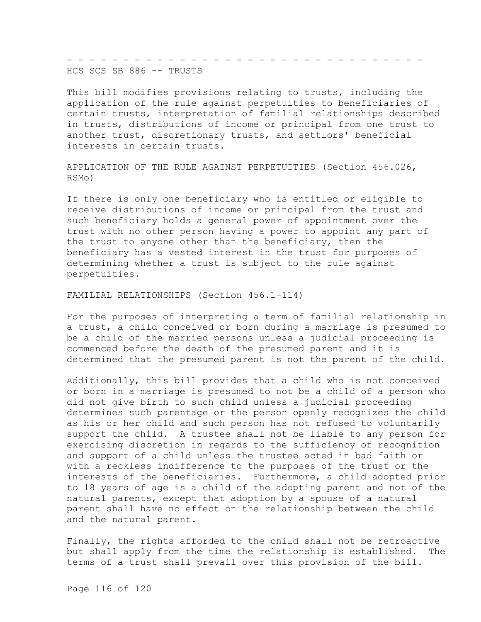- - - - - - - - - - - - - - - - - - - - - - - - - - - - - - - - HCS SCS SB 886 -- TRUSTS

This bill modifies provisions relating to trusts, including the application of the rule against perpetuities to beneficiaries of certain trusts, interpretation of familial relationships described in trusts, distributions of income or principal from one trust to another trust, discretionary trusts, and settlors' beneficial interests in certain trusts.

APPLICATION OF THE RULE AGAINST PERPETUITIES (Section 456.026, RSMo)

If there is only one beneficiary who is entitled or eligible to receive distributions of income or principal from the trust and such beneficiary holds a general power of appointment over the trust with no other person having a power to appoint any part of the trust to anyone other than the beneficiary, then the beneficiary has a vested interest in the trust for purposes of determining whether a trust is subject to the rule against perpetuities.

FAMILIAL RELATIONSHIPS (Section 456.1-114)

For the purposes of interpreting a term of familial relationship in a trust, a child conceived or born during a marriage is presumed to be a child of the married persons unless a judicial proceeding is commenced before the death of the presumed parent and it is determined that the presumed parent is not the parent of the child.

Additionally, this bill provides that a child who is not conceived or born in a marriage is presumed to not be a child of a person who did not give birth to such child unless a judicial proceeding determines such parentage or the person openly recognizes the child as his or her child and such person has not refused to voluntarily support the child. A trustee shall not be liable to any person for exercising discretion in regards to the sufficiency of recognition and support of a child unless the trustee acted in bad faith or with a reckless indifference to the purposes of the trust or the interests of the beneficiaries. Furthermore, a child adopted prior to 18 years of age is a child of the adopting parent and not of the natural parents, except that adoption by a spouse of a natural parent shall have no effect on the relationship between the child and the natural parent.

Finally, the rights afforded to the child shall not be retroactive but shall apply from the time the relationship is established. The terms of a trust shall prevail over this provision of the bill.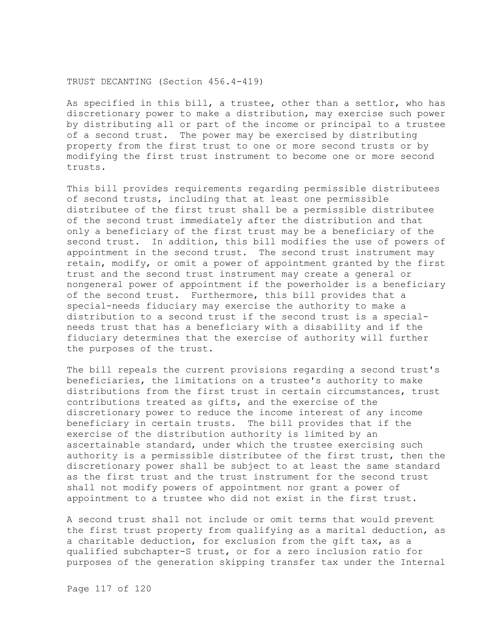## TRUST DECANTING (Section 456.4-419)

As specified in this bill, a trustee, other than a settlor, who has discretionary power to make a distribution, may exercise such power by distributing all or part of the income or principal to a trustee of a second trust. The power may be exercised by distributing property from the first trust to one or more second trusts or by modifying the first trust instrument to become one or more second trusts.

This bill provides requirements regarding permissible distributees of second trusts, including that at least one permissible distributee of the first trust shall be a permissible distributee of the second trust immediately after the distribution and that only a beneficiary of the first trust may be a beneficiary of the second trust. In addition, this bill modifies the use of powers of appointment in the second trust. The second trust instrument may retain, modify, or omit a power of appointment granted by the first trust and the second trust instrument may create a general or nongeneral power of appointment if the powerholder is a beneficiary of the second trust. Furthermore, this bill provides that a special-needs fiduciary may exercise the authority to make a distribution to a second trust if the second trust is a specialneeds trust that has a beneficiary with a disability and if the fiduciary determines that the exercise of authority will further the purposes of the trust.

The bill repeals the current provisions regarding a second trust's beneficiaries, the limitations on a trustee's authority to make distributions from the first trust in certain circumstances, trust contributions treated as gifts, and the exercise of the discretionary power to reduce the income interest of any income beneficiary in certain trusts. The bill provides that if the exercise of the distribution authority is limited by an ascertainable standard, under which the trustee exercising such authority is a permissible distributee of the first trust, then the discretionary power shall be subject to at least the same standard as the first trust and the trust instrument for the second trust shall not modify powers of appointment nor grant a power of appointment to a trustee who did not exist in the first trust.

A second trust shall not include or omit terms that would prevent the first trust property from qualifying as a marital deduction, as a charitable deduction, for exclusion from the gift tax, as a qualified subchapter-S trust, or for a zero inclusion ratio for purposes of the generation skipping transfer tax under the Internal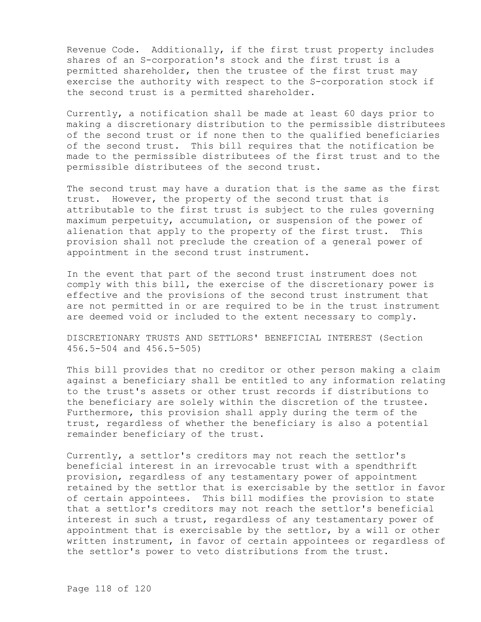Revenue Code. Additionally, if the first trust property includes shares of an S-corporation's stock and the first trust is a permitted shareholder, then the trustee of the first trust may exercise the authority with respect to the S-corporation stock if the second trust is a permitted shareholder.

Currently, a notification shall be made at least 60 days prior to making a discretionary distribution to the permissible distributees of the second trust or if none then to the qualified beneficiaries of the second trust. This bill requires that the notification be made to the permissible distributees of the first trust and to the permissible distributees of the second trust.

The second trust may have a duration that is the same as the first trust. However, the property of the second trust that is attributable to the first trust is subject to the rules governing maximum perpetuity, accumulation, or suspension of the power of alienation that apply to the property of the first trust. This provision shall not preclude the creation of a general power of appointment in the second trust instrument.

In the event that part of the second trust instrument does not comply with this bill, the exercise of the discretionary power is effective and the provisions of the second trust instrument that are not permitted in or are required to be in the trust instrument are deemed void or included to the extent necessary to comply.

DISCRETIONARY TRUSTS AND SETTLORS' BENEFICIAL INTEREST (Section 456.5-504 and 456.5-505)

This bill provides that no creditor or other person making a claim against a beneficiary shall be entitled to any information relating to the trust's assets or other trust records if distributions to the beneficiary are solely within the discretion of the trustee. Furthermore, this provision shall apply during the term of the trust, regardless of whether the beneficiary is also a potential remainder beneficiary of the trust.

Currently, a settlor's creditors may not reach the settlor's beneficial interest in an irrevocable trust with a spendthrift provision, regardless of any testamentary power of appointment retained by the settlor that is exercisable by the settlor in favor of certain appointees. This bill modifies the provision to state that a settlor's creditors may not reach the settlor's beneficial interest in such a trust, regardless of any testamentary power of appointment that is exercisable by the settlor, by a will or other written instrument, in favor of certain appointees or regardless of the settlor's power to veto distributions from the trust.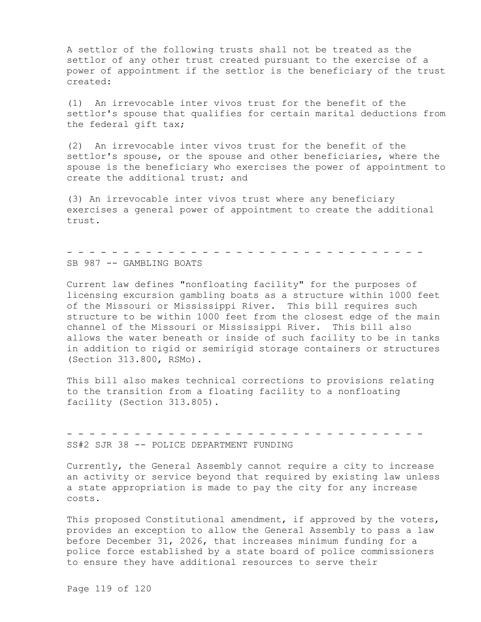A settlor of the following trusts shall not be treated as the settlor of any other trust created pursuant to the exercise of a power of appointment if the settlor is the beneficiary of the trust created:

(1) An irrevocable inter vivos trust for the benefit of the settlor's spouse that qualifies for certain marital deductions from the federal gift tax;

(2) An irrevocable inter vivos trust for the benefit of the settlor's spouse, or the spouse and other beneficiaries, where the spouse is the beneficiary who exercises the power of appointment to create the additional trust; and

(3) An irrevocable inter vivos trust where any beneficiary exercises a general power of appointment to create the additional trust.

- - - - - - - - - - - - - - - - - - - - - - - - - - - - - - - -

SB 987 -- GAMBLING BOATS

Current law defines "nonfloating facility" for the purposes of licensing excursion gambling boats as a structure within 1000 feet of the Missouri or Mississippi River. This bill requires such structure to be within 1000 feet from the closest edge of the main channel of the Missouri or Mississippi River. This bill also allows the water beneath or inside of such facility to be in tanks in addition to rigid or semirigid storage containers or structures (Section 313.800, RSMo).

This bill also makes technical corrections to provisions relating to the transition from a floating facility to a nonfloating facility (Section 313.805).

SS#2 SJR 38 -- POLICE DEPARTMENT FUNDING

Currently, the General Assembly cannot require a city to increase an activity or service beyond that required by existing law unless a state appropriation is made to pay the city for any increase costs.

- - - - - - - - - - - - - - - - - - - - - - - - - - - - - - - -

This proposed Constitutional amendment, if approved by the voters, provides an exception to allow the General Assembly to pass a law before December 31, 2026, that increases minimum funding for a police force established by a state board of police commissioners to ensure they have additional resources to serve their

Page 119 of 120